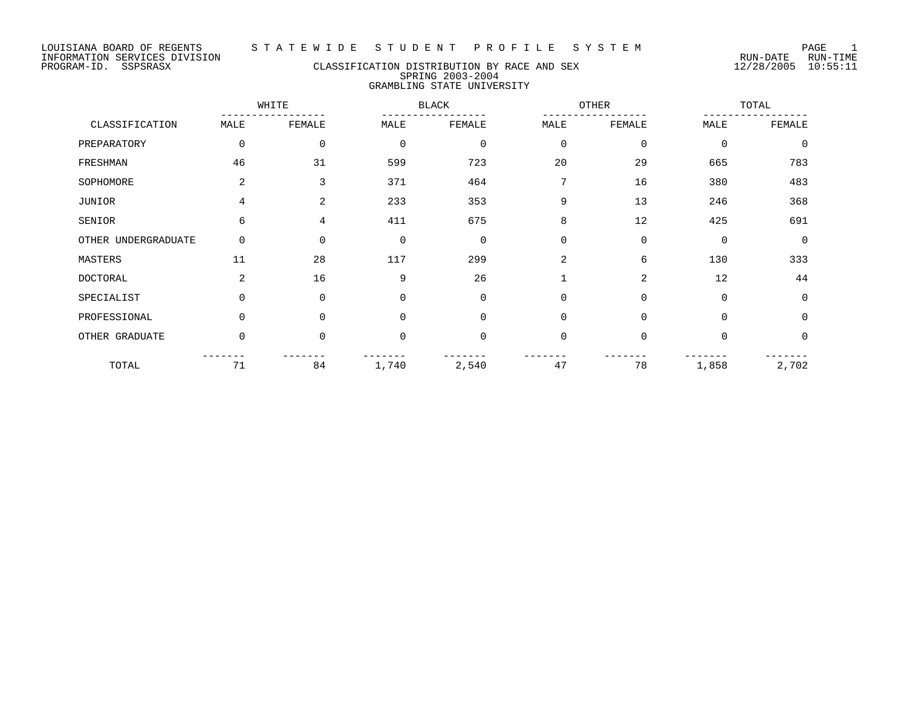## PROGRAM-ID. SSPSRASX CLASSIFICATION DISTRIBUTION BY RACE AND SEX 12/28/2005 10:55:11 SPRING 2003-2004 GRAMBLING STATE UNIVERSITY

|                     |                | WHITE       |             | <b>BLACK</b> |             | OTHER    |             | TOTAL       |  |
|---------------------|----------------|-------------|-------------|--------------|-------------|----------|-------------|-------------|--|
| CLASSIFICATION      | MALE           | FEMALE      | MALE        | FEMALE       | MALE        | FEMALE   | MALE        | FEMALE      |  |
| PREPARATORY         | 0              | $\mathbf 0$ | $\mathbf 0$ | $\mathbf 0$  | $\mathbf 0$ | 0        | $\mathbf 0$ | $\mathbf 0$ |  |
| FRESHMAN            | 46             | 31          | 599         | 723          | 20          | 29       | 665         | 783         |  |
| SOPHOMORE           | 2              | 3           | 371         | 464          | 7           | 16       | 380         | 483         |  |
| JUNIOR              | 4              | 2           | 233         | 353          | 9           | 13       | 246         | 368         |  |
| SENIOR              | 6              | 4           | 411         | 675          | 8           | 12       | 425         | 691         |  |
| OTHER UNDERGRADUATE | 0              | $\Omega$    | $\mathbf 0$ | $\Omega$     | $\Omega$    | $\Omega$ | $\mathbf 0$ | $\Omega$    |  |
| MASTERS             | 11             | 28          | 117         | 299          | 2           | 6        | 130         | 333         |  |
| <b>DOCTORAL</b>     | $\overline{a}$ | 16          | 9           | 26           | 1           | 2        | 12          | 44          |  |
| SPECIALIST          | $\Omega$       | 0           | $\mathbf 0$ | $\Omega$     | $\mathbf 0$ | $\Omega$ | $\Omega$    | $\mathbf 0$ |  |
| PROFESSIONAL        | $\Omega$       | $\Omega$    | $\Omega$    | $\Omega$     | $\Omega$    | $\Omega$ | $\Omega$    | $\Omega$    |  |
| OTHER GRADUATE      | $\Omega$       | $\Omega$    | $\mathbf 0$ | $\Omega$     | $\Omega$    | $\Omega$ | $\Omega$    | $\Omega$    |  |
| TOTAL               | 71             | 84          | 1,740       | 2,540        | 47          | 78       | 1,858       | 2,702       |  |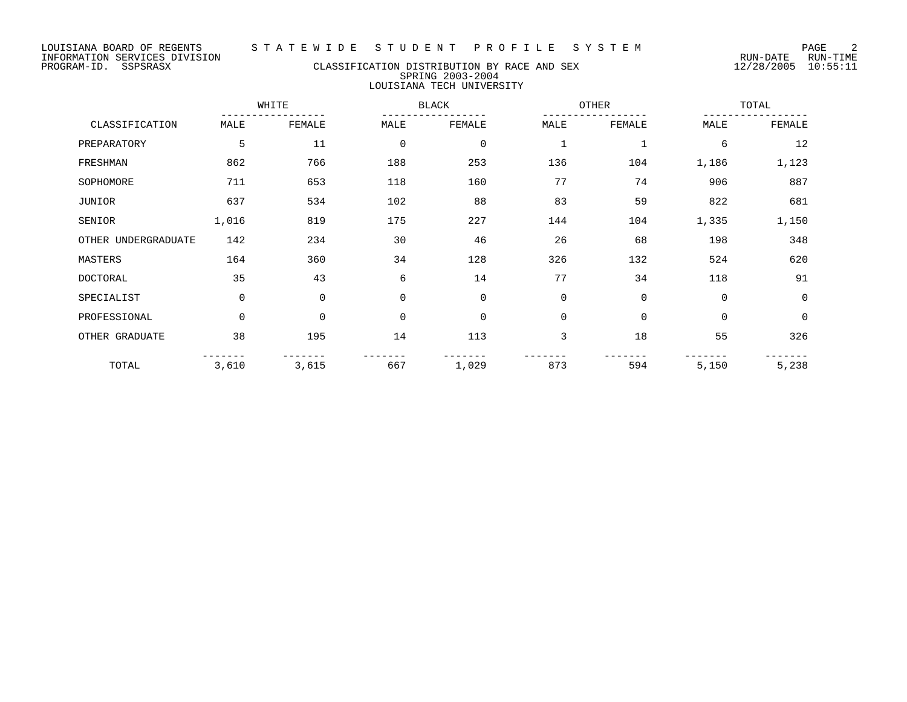# PROGRAM-ID. SSPSRASX CLASSIFICATION DISTRIBUTION BY RACE AND SEX 12/28/2005 10:55:11 SPRING 2003-2004 LOUISIANA TECH UNIVERSITY

|                     |             | WHITE<br><b>BLACK</b> |              |             | OTHER       |              | TOTAL       |                |
|---------------------|-------------|-----------------------|--------------|-------------|-------------|--------------|-------------|----------------|
| CLASSIFICATION      | MALE        | FEMALE                | MALE         | FEMALE      | MALE        | FEMALE       | MALE        | FEMALE         |
| PREPARATORY         | 5           | 11                    | $\mathbf 0$  | $\mathbf 0$ | $\mathbf 1$ | $\mathbf{1}$ | 6           | 12             |
| FRESHMAN            | 862         | 766                   | 188          | 253         | 136         | 104          | 1,186       | 1,123          |
| SOPHOMORE           | 711         | 653                   | 118          | 160         | 77          | 74           | 906         | 887            |
| <b>JUNIOR</b>       | 637         | 534                   | 102          | 88          | 83          | 59           | 822         | 681            |
| SENIOR              | 1,016       | 819                   | 175          | 227         | 144         | 104          | 1,335       | 1,150          |
| OTHER UNDERGRADUATE | 142         | 234                   | 30           | 46          | 26          | 68           | 198         | 348            |
| MASTERS             | 164         | 360                   | 34           | 128         | 326         | 132          | 524         | 620            |
| <b>DOCTORAL</b>     | 35          | 43                    | 6            | 14          | 77          | 34           | 118         | 91             |
| SPECIALIST          | $\mathbf 0$ | $\mathbf 0$           | $\mathbf{0}$ | $\mathbf 0$ | $\mathbf 0$ | 0            | $\Omega$    | $\mathbf 0$    |
| PROFESSIONAL        | $\mathbf 0$ | $\mathbf 0$           | $\mathbf 0$  | $\mathbf 0$ | $\mathbf 0$ | 0            | $\mathbf 0$ | $\overline{0}$ |
| OTHER GRADUATE      | 38          | 195                   | 14           | 113         | 3           | 18           | 55          | 326            |
| TOTAL               | 3,610       | 3,615                 | 667          | 1,029       | 873         | 594          | 5,150       | 5,238          |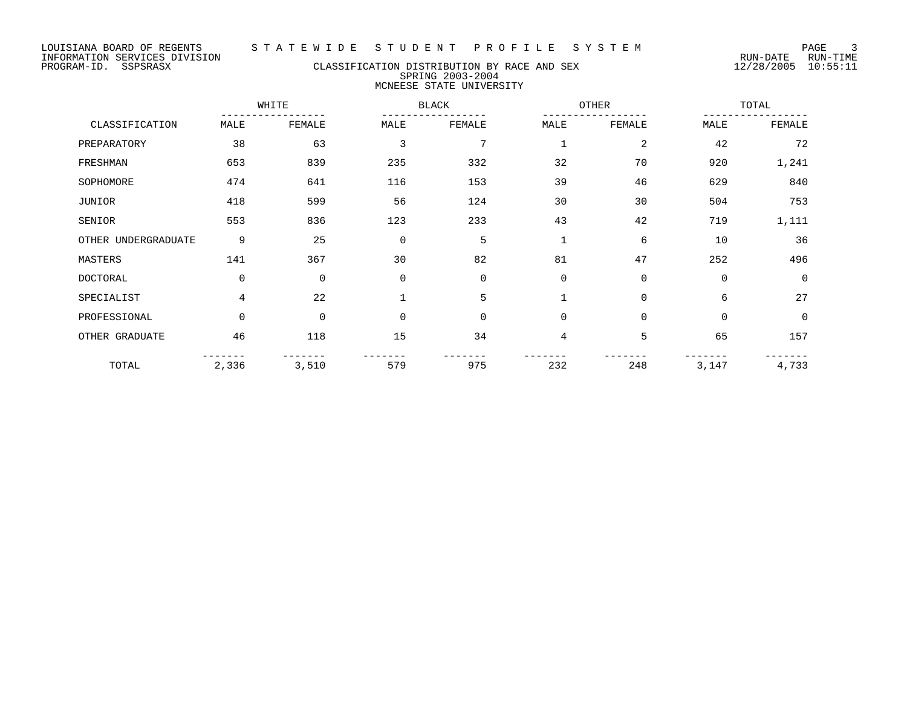# PROGRAM-ID. SSPSRASX CLASSIFICATION DISTRIBUTION BY RACE AND SEX 12/28/2005 10:55:11 SPRING 2003-2004 MCNEESE STATE UNIVERSITY

|                     |             | WHITE       |                | <b>BLACK</b> |             | OTHER          |             | TOTAL       |  |
|---------------------|-------------|-------------|----------------|--------------|-------------|----------------|-------------|-------------|--|
| CLASSIFICATION      | MALE        | FEMALE      | MALE           | FEMALE       | MALE        | FEMALE         | MALE        | FEMALE      |  |
| PREPARATORY         | 38          | 63          | $\overline{3}$ | 7            | 1           | $\overline{2}$ | 42          | 72          |  |
| FRESHMAN            | 653         | 839         | 235            | 332          | 32          | 70             | 920         | 1,241       |  |
| SOPHOMORE           | 474         | 641         | 116            | 153          | 39          | 46             | 629         | 840         |  |
| JUNIOR              | 418         | 599         | 56             | 124          | 30          | 30             | 504         | 753         |  |
| SENIOR              | 553         | 836         | 123            | 233          | 43          | 42             | 719         | 1,111       |  |
| OTHER UNDERGRADUATE | 9           | 25          | $\mathbf 0$    | 5            | $\mathbf 1$ | 6              | 10          | 36          |  |
| MASTERS             | 141         | 367         | 30             | 82           | 81          | 47             | 252         | 496         |  |
| <b>DOCTORAL</b>     | $\mathbf 0$ | $\mathbf 0$ | $\mathbf 0$    | $\mathbf 0$  | $\mathbf 0$ | $\Omega$       | $\mathbf 0$ | $\mathbf 0$ |  |
| SPECIALIST          | 4           | 22          | $\mathbf{1}$   | 5            |             | $\mathbf 0$    | 6           | 27          |  |
| PROFESSIONAL        | 0           | $\mathbf 0$ | $\mathbf 0$    | $\mathbf 0$  | $\mathbf 0$ | 0              | $\mathbf 0$ | $\mathbf 0$ |  |
| OTHER GRADUATE      | 46          | 118         | 15             | 34           | 4           | 5              | 65          | 157         |  |
| TOTAL               | 2,336       | 3,510       | 579            | 975          | 232         | 248            | 3,147       | 4,733       |  |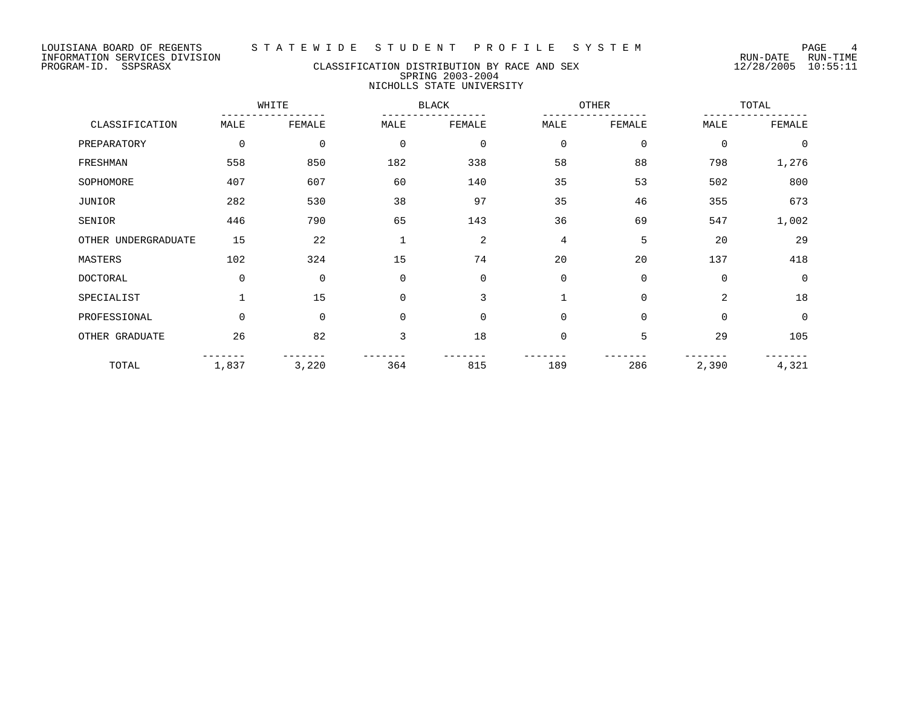## PROGRAM-ID. SSPSRASX CLASSIFICATION DISTRIBUTION BY RACE AND SEX 12/28/2005 10:55:11 SPRING 2003-2004 NICHOLLS STATE UNIVERSITY

|                     |          | WHITE       |              | <b>BLACK</b> |             | OTHER       |                | TOTAL    |  |
|---------------------|----------|-------------|--------------|--------------|-------------|-------------|----------------|----------|--|
| CLASSIFICATION      | MALE     | FEMALE      | MALE         | FEMALE       | MALE        | FEMALE      | MALE           | FEMALE   |  |
| PREPARATORY         | 0        | 0           | $\mathbf 0$  | $\mathbf 0$  | $\mathbf 0$ | 0           | $\mathbf 0$    | $\Omega$ |  |
| FRESHMAN            | 558      | 850         | 182          | 338          | 58          | 88          | 798            | 1,276    |  |
| SOPHOMORE           | 407      | 607         | 60           | 140          | 35          | 53          | 502            | 800      |  |
| JUNIOR              | 282      | 530         | 38           | 97           | 35          | 46          | 355            | 673      |  |
| SENIOR              | 446      | 790         | 65           | 143          | 36          | 69          | 547            | 1,002    |  |
| OTHER UNDERGRADUATE | 15       | 22          | $\mathbf{1}$ | 2            | 4           | 5           | 20             | 29       |  |
| MASTERS             | 102      | 324         | 15           | 74           | 20          | 20          | 137            | 418      |  |
| <b>DOCTORAL</b>     | $\Omega$ | $\mathbf 0$ | $\Omega$     | $\mathbf 0$  | $\mathbf 0$ | 0           | $\Omega$       | $\Omega$ |  |
| SPECIALIST          |          | 15          | $\Omega$     | 3            | 1           | $\mathbf 0$ | $\overline{a}$ | 18       |  |
| PROFESSIONAL        | $\Omega$ | $\mathbf 0$ | $\mathbf 0$  | $\mathbf 0$  | $\mathbf 0$ | 0           | 0              | $\Omega$ |  |
| OTHER GRADUATE      | 26       | 82          | 3            | 18           | $\mathbf 0$ | 5           | 29             | 105      |  |
| TOTAL               | 1,837    | 3,220       | 364          | 815          | 189         | 286         | 2,390          | 4,321    |  |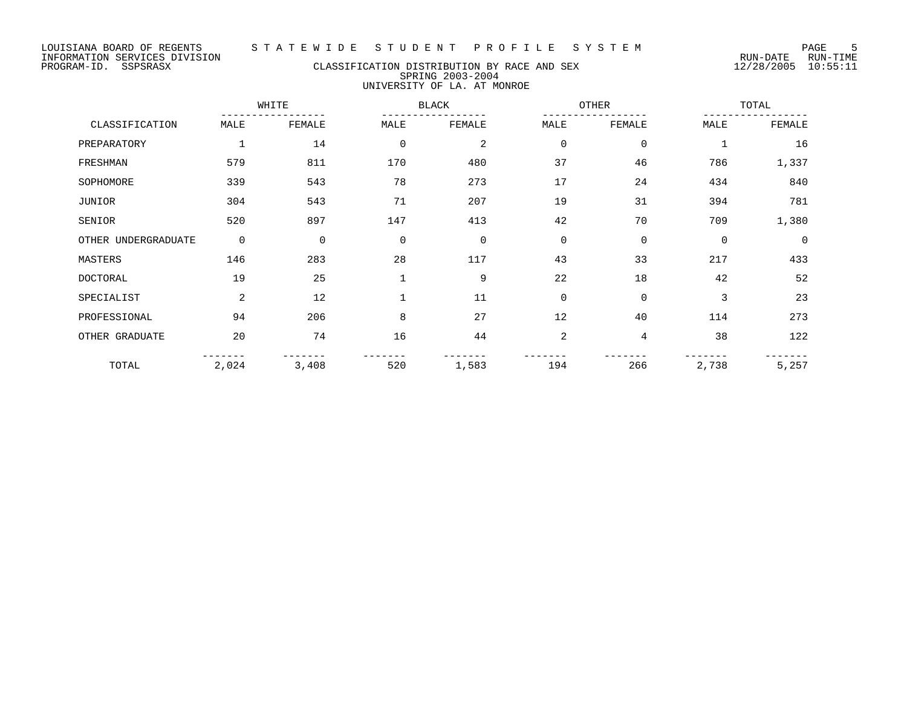## PROGRAM-ID. SSPSRASX CLASSIFICATION DISTRIBUTION BY RACE AND SEX 12/28/2005 10:55:11 SPRING 2003-2004 UNIVERSITY OF LA. AT MONROE

|                     |                | WHITE       |              | <b>BLACK</b> |             | OTHER       |              | TOTAL       |  |
|---------------------|----------------|-------------|--------------|--------------|-------------|-------------|--------------|-------------|--|
| CLASSIFICATION      | MALE           | FEMALE      | MALE         | FEMALE       | MALE        | FEMALE      | MALE         | FEMALE      |  |
| PREPARATORY         | $\mathbf 1$    | 14          | $\mathbf 0$  | 2            | $\mathbf 0$ | $\mathbf 0$ | $\mathbf{1}$ | 16          |  |
| FRESHMAN            | 579            | 811         | 170          | 480          | 37          | 46          | 786          | 1,337       |  |
| SOPHOMORE           | 339            | 543         | 78           | 273          | 17          | 24          | 434          | 840         |  |
| JUNIOR              | 304            | 543         | 71           | 207          | 19          | 31          | 394          | 781         |  |
| SENIOR              | 520            | 897         | 147          | 413          | 42          | 70          | 709          | 1,380       |  |
| OTHER UNDERGRADUATE | $\mathbf 0$    | $\mathbf 0$ | $\mathbf 0$  | $\mathbf 0$  | $\mathbf 0$ | $\mathbf 0$ | $\mathbf 0$  | $\mathbf 0$ |  |
| MASTERS             | 146            | 283         | 28           | 117          | 43          | 33          | 217          | 433         |  |
| <b>DOCTORAL</b>     | 19             | 25          | $\mathbf{1}$ | 9            | 22          | 18          | 42           | 52          |  |
| SPECIALIST          | $\overline{2}$ | 12          | $\mathbf{1}$ | 11           | $\mathbf 0$ | $\mathbf 0$ | 3            | 23          |  |
| PROFESSIONAL        | 94             | 206         | 8            | 27           | 12          | 40          | 114          | 273         |  |
| OTHER GRADUATE      | 20             | 74          | 16           | 44           | 2           | 4           | 38           | 122         |  |
| TOTAL               | 2,024          | 3,408       | 520          | 1,583        | 194         | 266         | 2,738        | 5,257       |  |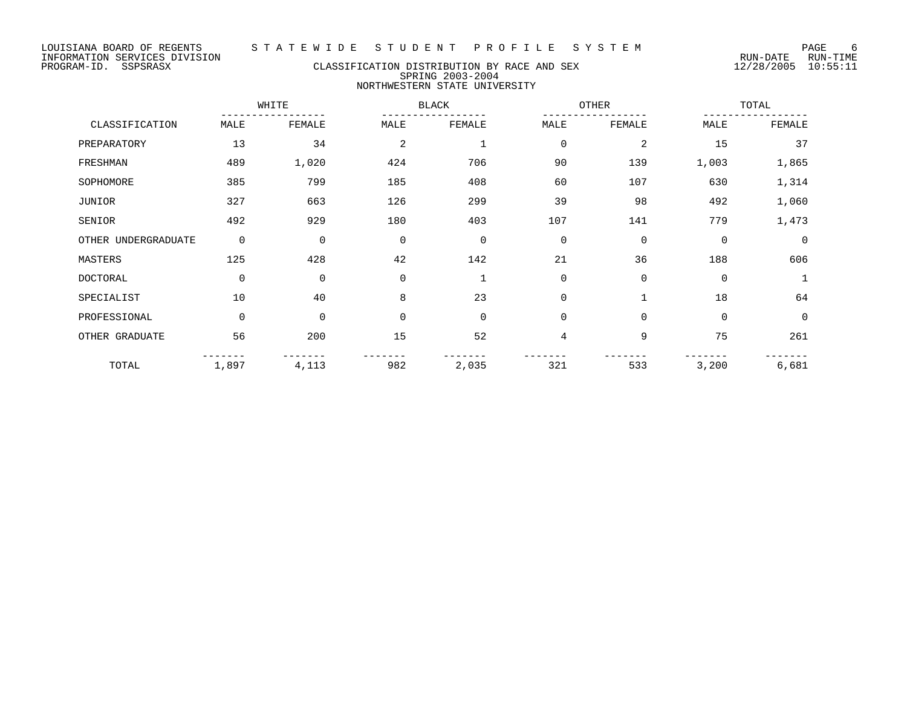# PROGRAM-ID. SSPSRASX CLASSIFICATION DISTRIBUTION BY RACE AND SEX 12/28/2005 10:55:11 SPRING 2003-2004 NORTHWESTERN STATE UNIVERSITY

|                     |             | WHITE  |             | <b>BLACK</b> |                | OTHER        |             | TOTAL       |  |
|---------------------|-------------|--------|-------------|--------------|----------------|--------------|-------------|-------------|--|
| CLASSIFICATION      | MALE        | FEMALE | MALE        | FEMALE       | MALE           | FEMALE       | MALE        | FEMALE      |  |
| PREPARATORY         | 13          | 34     | 2           |              | $\overline{0}$ | 2            | 15          | 37          |  |
| FRESHMAN            | 489         | 1,020  | 424         | 706          | 90             | 139          | 1,003       | 1,865       |  |
| SOPHOMORE           | 385         | 799    | 185         | 408          | 60             | 107          | 630         | 1,314       |  |
| JUNIOR              | 327         | 663    | 126         | 299          | 39             | 98           | 492         | 1,060       |  |
| SENIOR              | 492         | 929    | 180         | 403          | 107            | 141          | 779         | 1,473       |  |
| OTHER UNDERGRADUATE | 0           | 0      | 0           | $\mathbf 0$  | $\mathbf 0$    | $\mathbf 0$  | $\mathbf 0$ | $\mathbf 0$ |  |
| MASTERS             | 125         | 428    | 42          | 142          | 21             | 36           | 188         | 606         |  |
| DOCTORAL            | $\mathbf 0$ | 0      | $\mathbf 0$ |              | $\mathbf 0$    | $\mathbf 0$  | 0           |             |  |
| SPECIALIST          | 10          | 40     | 8           | 23           | $\overline{0}$ | $\mathbf{1}$ | 18          | 64          |  |
| PROFESSIONAL        | $\mathbf 0$ | 0      | 0           | $\Omega$     | $\mathbf 0$    | $\mathbf 0$  | $\mathbf 0$ | $\mathbf 0$ |  |
| OTHER GRADUATE      | 56          | 200    | 15          | 52           | 4              | 9            | 75          | 261         |  |
| TOTAL               | 1,897       | 4,113  | 982         | 2,035        | 321            | 533          | 3,200       | 6,681       |  |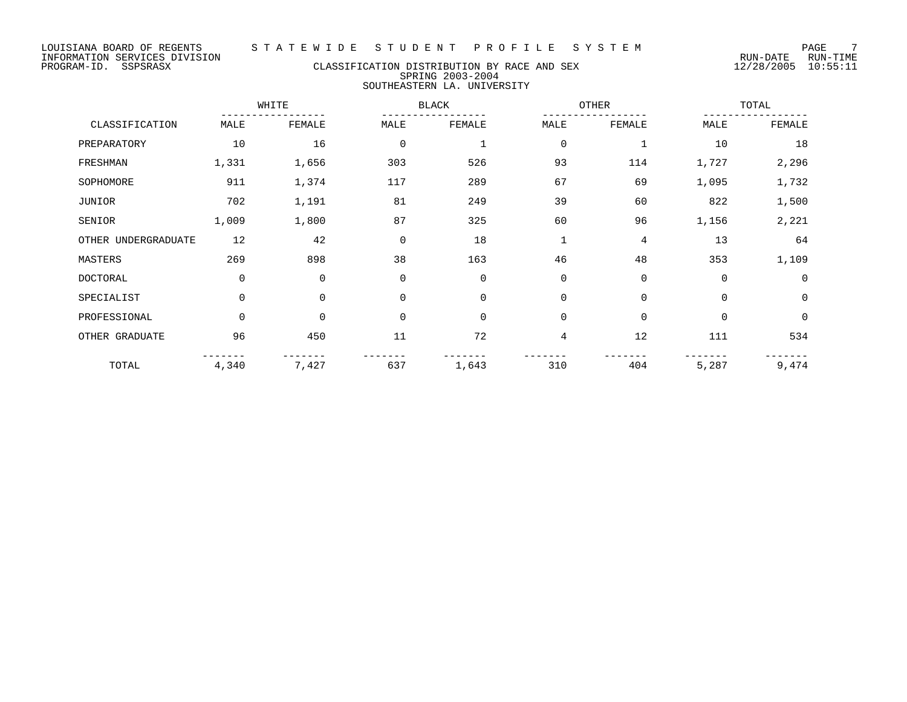# LOUISIANA BOARD OF REGENTS STATEWIDE STUDENT PROFILE SYSTEM PAGE 7<br>INFORMATION SERVICES DIVISION INFORMATION SERVICES DIVISION

## PROGRAM-ID. SSPSRASX CLASSIFICATION DISTRIBUTION BY RACE AND SEX 12/28/2005 10:55:11 SPRING 2003-2004 SOUTHEASTERN LA. UNIVERSITY

|                     |             | WHITE       |          | BLACK       |                | <b>OTHER</b> | TOTAL       |             |
|---------------------|-------------|-------------|----------|-------------|----------------|--------------|-------------|-------------|
| CLASSIFICATION      | MALE        | FEMALE      | MALE     | FEMALE      | MALE           | FEMALE       | MALE        | FEMALE      |
| PREPARATORY         | 10          | 16          | $\Omega$ |             | $\mathbf 0$    | $\mathbf{1}$ | 10          | 18          |
| FRESHMAN            | 1,331       | 1,656       | 303      | 526         | 93             | 114          | 1,727       | 2,296       |
| SOPHOMORE           | 911         | 1,374       | 117      | 289         | 67             | 69           | 1,095       | 1,732       |
| JUNIOR              | 702         | 1,191       | 81       | 249         | 39             | 60           | 822         | 1,500       |
| SENIOR              | 1,009       | 1,800       | 87       | 325         | 60             | 96           | 1,156       | 2,221       |
| OTHER UNDERGRADUATE | 12          | 42          | $\Omega$ | 18          | $\mathbf 1$    | 4            | 13          | 64          |
| MASTERS             | 269         | 898         | 38       | 163         | 46             | 48           | 353         | 1,109       |
| <b>DOCTORAL</b>     | 0           | $\mathbf 0$ | 0        | $\mathbf 0$ | $\mathbf 0$    | $\mathbf 0$  | $\mathbf 0$ | 0           |
| SPECIALIST          | $\mathbf 0$ | $\Omega$    | $\Omega$ | $\Omega$    | $\Omega$       | $\Omega$     | $\Omega$    | $\mathbf 0$ |
| PROFESSIONAL        | $\Omega$    | $\Omega$    | $\Omega$ | $\Omega$    | $\Omega$       | $\Omega$     | $\Omega$    | $\mathbf 0$ |
| OTHER GRADUATE      | 96          | 450         | 11       | 72          | $\overline{4}$ | 12           | 111         | 534         |
| TOTAL               | 4,340       | 7,427       | 637      | 1,643       | 310            | 404          | 5,287       | 9,474       |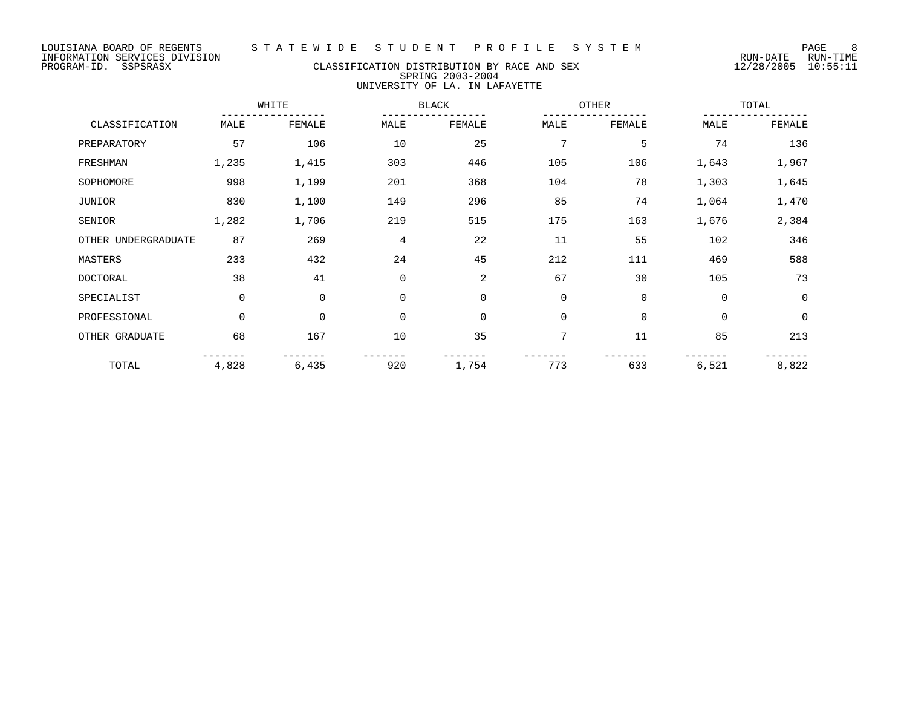# PROGRAM-ID. SSPSRASX CLASSIFICATION DISTRIBUTION BY RACE AND SEX 12/28/2005 10:55:11 SPRING 2003-2004 UNIVERSITY OF LA. IN LAFAYETTE

|                     |             | WHITE  |             | <b>BLACK</b> | OTHER       |             |             | TOTAL       |  |
|---------------------|-------------|--------|-------------|--------------|-------------|-------------|-------------|-------------|--|
| CLASSIFICATION      | MALE        | FEMALE | MALE        | FEMALE       | MALE        | FEMALE      | MALE        | FEMALE      |  |
| PREPARATORY         | 57          | 106    | 10          | 25           | 7           | 5           | 74          | 136         |  |
| FRESHMAN            | 1,235       | 1,415  | 303         | 446          | 105         | 106         | 1,643       | 1,967       |  |
| SOPHOMORE           | 998         | 1,199  | 201         | 368          | 104         | 78          | 1,303       | 1,645       |  |
| JUNIOR              | 830         | 1,100  | 149         | 296          | 85          | 74          | 1,064       | 1,470       |  |
| SENIOR              | 1,282       | 1,706  | 219         | 515          | 175         | 163         | 1,676       | 2,384       |  |
| OTHER UNDERGRADUATE | 87          | 269    | 4           | 22           | 11          | 55          | 102         | 346         |  |
| MASTERS             | 233         | 432    | 24          | 45           | 212         | 111         | 469         | 588         |  |
| <b>DOCTORAL</b>     | 38          | 41     | $\mathbf 0$ | 2            | 67          | 30          | 105         | 73          |  |
| SPECIALIST          | $\mathbf 0$ | 0      | $\mathbf 0$ | $\mathbf 0$  | $\mathbf 0$ | $\mathbf 0$ | $\mathbf 0$ | $\mathbf 0$ |  |
| PROFESSIONAL        | $\mathbf 0$ | 0      | $\mathbf 0$ | $\mathbf 0$  | $\mathbf 0$ | $\mathbf 0$ | $\mathbf 0$ | $\mathbf 0$ |  |
| OTHER GRADUATE      | 68          | 167    | 10          | 35           | 7           | 11          | 85          | 213         |  |
| TOTAL               | 4,828       | 6,435  | 920         | 1,754        | 773         | 633         | 6,521       | 8,822       |  |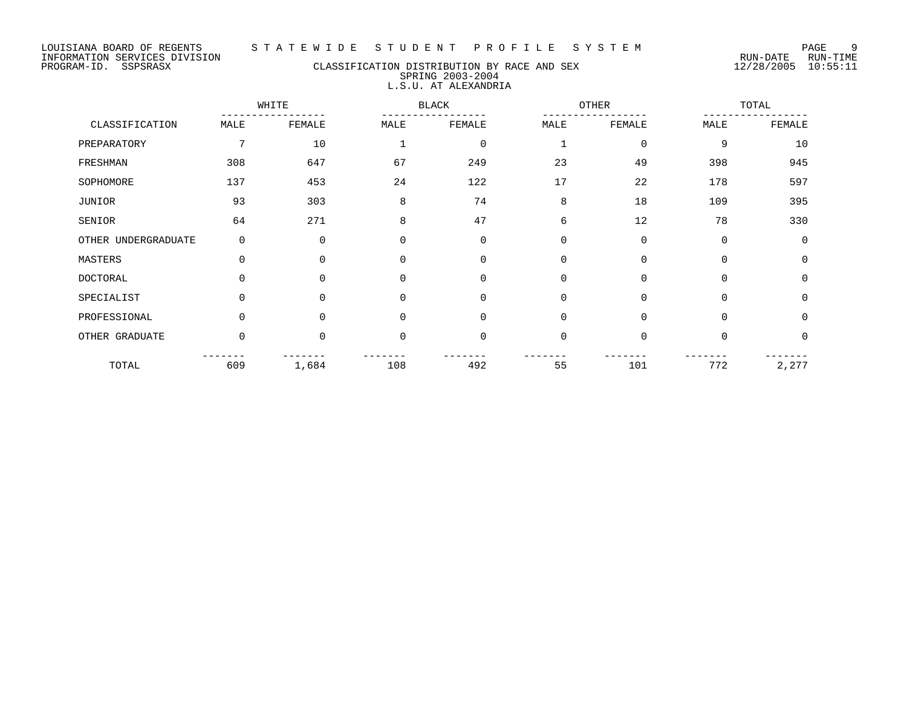## PROGRAM-ID. SSPSRASX CLASSIFICATION DISTRIBUTION BY RACE AND SEX 12/28/2005 10:55:11 SPRING 2003-2004 L.S.U. AT ALEXANDRIA

|                     |             | WHITE    |             | <b>BLACK</b> |              | OTHER       |             | TOTAL       |  |
|---------------------|-------------|----------|-------------|--------------|--------------|-------------|-------------|-------------|--|
| CLASSIFICATION      | MALE        | FEMALE   | MALE        | FEMALE       | MALE         | FEMALE      | MALE        | FEMALE      |  |
| PREPARATORY         | 7           | 10       |             | $\mathbf 0$  | $\mathbf{1}$ | 0           | 9           | 10          |  |
| FRESHMAN            | 308         | 647      | 67          | 249          | 23           | 49          | 398         | 945         |  |
| SOPHOMORE           | 137         | 453      | 24          | 122          | 17           | 22          | 178         | 597         |  |
| JUNIOR              | 93          | 303      | 8           | 74           | 8            | 18          | 109         | 395         |  |
| SENIOR              | 64          | 271      | 8           | 47           | 6            | 12          | 78          | 330         |  |
| OTHER UNDERGRADUATE | $\mathbf 0$ | $\Omega$ | $\Omega$    | $\Omega$     | $\mathbf 0$  | $\mathbf 0$ | $\mathbf 0$ | $\Omega$    |  |
| MASTERS             | $\Omega$    | $\Omega$ | $\mathbf 0$ | $\Omega$     | $\mathbf 0$  | $\mathbf 0$ | $\mathbf 0$ | $\mathbf 0$ |  |
| DOCTORAL            | $\Omega$    | $\Omega$ | $\Omega$    | $\Omega$     | $\Omega$     | $\mathbf 0$ | $\Omega$    | $\Omega$    |  |
| SPECIALIST          | $\Omega$    | 0        | $\mathbf 0$ | $\mathbf 0$  | $\mathbf 0$  | $\mathbf 0$ | $\mathbf 0$ | $\mathbf 0$ |  |
| PROFESSIONAL        | $\Omega$    | $\Omega$ | $\mathbf 0$ | $\Omega$     | $\Omega$     | $\Omega$    | $\Omega$    | $\Omega$    |  |
| OTHER GRADUATE      | $\Omega$    | $\Omega$ | $\mathbf 0$ | $\Omega$     | $\Omega$     | $\mathbf 0$ | $\Omega$    | $\Omega$    |  |
| TOTAL               | 609         | 1,684    | 108         | 492          | 55           | 101         | 772         | 2,277       |  |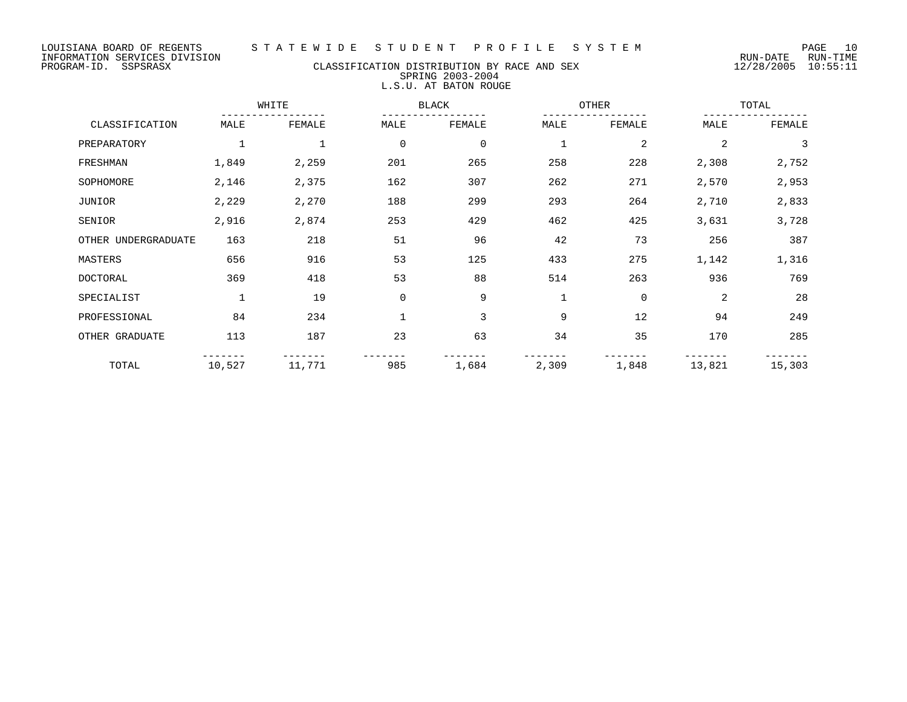# PROGRAM-ID. SSPSRASX CLASSIFICATION DISTRIBUTION BY RACE AND SEX 12/28/2005 10:55:11 SPRING 2003-2004 L.S.U. AT BATON ROUGE

|                     |              | WHITE       |              | <b>BLACK</b>   |             | OTHER          |                | TOTAL  |  |
|---------------------|--------------|-------------|--------------|----------------|-------------|----------------|----------------|--------|--|
| CLASSIFICATION      | MALE         | FEMALE      | MALE         | FEMALE         | MALE        | FEMALE         | MALE           | FEMALE |  |
| PREPARATORY         | $\mathbf{1}$ | $\mathbf 1$ | $\mathbf 0$  | $\overline{0}$ | 1           | $\overline{2}$ | $\overline{2}$ | 3      |  |
| FRESHMAN            | 1,849        | 2,259       | 201          | 265            | 258         | 228            | 2,308          | 2,752  |  |
| SOPHOMORE           | 2,146        | 2,375       | 162          | 307            | 262         | 271            | 2,570          | 2,953  |  |
| JUNIOR              | 2,229        | 2,270       | 188          | 299            | 293         | 264            | 2,710          | 2,833  |  |
| SENIOR              | 2,916        | 2,874       | 253          | 429            | 462         | 425            | 3,631          | 3,728  |  |
| OTHER UNDERGRADUATE | 163          | 218         | 51           | 96             | 42          | 73             | 256            | 387    |  |
| MASTERS             | 656          | 916         | 53           | 125            | 433         | 275            | 1,142          | 1,316  |  |
| <b>DOCTORAL</b>     | 369          | 418         | 53           | 88             | 514         | 263            | 936            | 769    |  |
| SPECIALIST          | $\mathbf{1}$ | 19          | $\mathbf 0$  | 9              | $\mathbf 1$ | $\mathbf 0$    | 2              | 28     |  |
| PROFESSIONAL        | 84           | 234         | $\mathbf{1}$ | 3              | 9           | 12             | 94             | 249    |  |
| OTHER GRADUATE      | 113          | 187         | 23           | 63             | 34          | 35             | 170            | 285    |  |
| TOTAL               | 10,527       | 11,771      | 985          | 1,684          | 2,309       | 1,848          | 13,821         | 15,303 |  |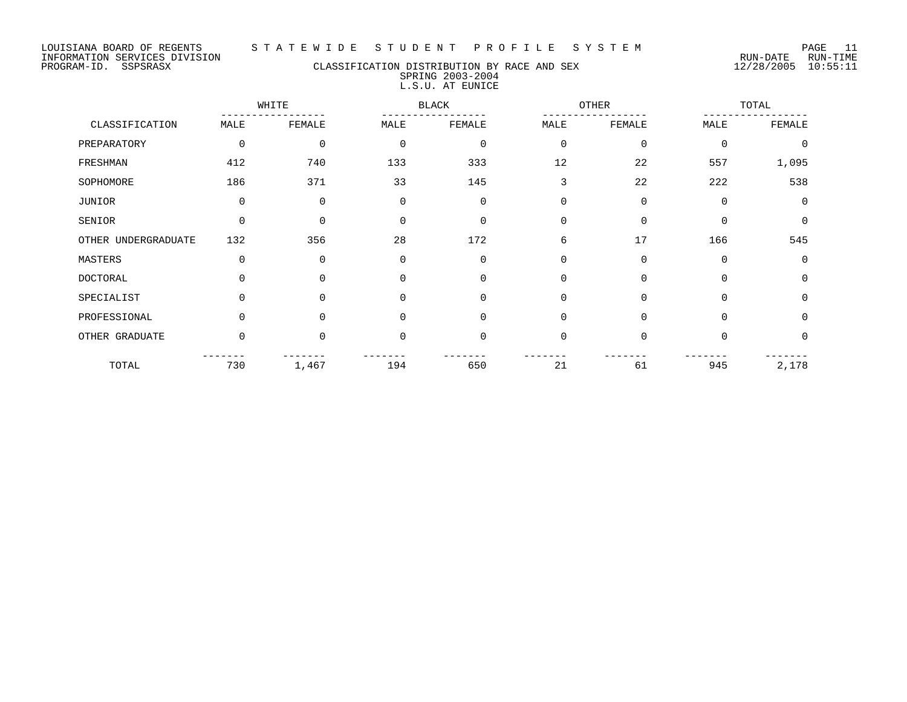LOUISIANA BOARD OF REGENTS S T A T E W I D E S T U D E N T P R O F I L E S Y S T E M PAGE 11

## PROGRAM-ID. SSPSRASX CLASSIFICATION DISTRIBUTION BY RACE AND SEX 12/28/2005 10:55:11 SPRING 2003-2004 L.S.U. AT EUNICE

|                     |             | WHITE<br><b>BLACK</b> |             |             | OTHER          |             | TOTAL       |             |
|---------------------|-------------|-----------------------|-------------|-------------|----------------|-------------|-------------|-------------|
| CLASSIFICATION      | MALE        | FEMALE                | MALE        | FEMALE      | MALE           | FEMALE      | MALE        | FEMALE      |
| PREPARATORY         | $\mathbf 0$ | $\mathbf 0$           | $\mathbf 0$ | $\mathbf 0$ | $\overline{0}$ | $\mathbf 0$ | $\mathbf 0$ | $\mathbf 0$ |
| FRESHMAN            | 412         | 740                   | 133         | 333         | 12             | 22          | 557         | 1,095       |
| SOPHOMORE           | 186         | 371                   | 33          | 145         | 3              | 22          | 222         | 538         |
| JUNIOR              | $\mathbf 0$ | 0                     | $\Omega$    | $\mathbf 0$ | $\Omega$       | $\Omega$    | $\Omega$    | $\Omega$    |
| SENIOR              | $\Omega$    | $\Omega$              | $\Omega$    | $\Omega$    | $\Omega$       | $\Omega$    | $\Omega$    | $\mathbf 0$ |
| OTHER UNDERGRADUATE | 132         | 356                   | 28          | 172         | 6              | 17          | 166         | 545         |
| MASTERS             | $\mathbf 0$ | 0                     | $\Omega$    | $\mathbf 0$ | $\mathbf 0$    | 0           | $\mathbf 0$ | 0           |
| <b>DOCTORAL</b>     | $\Omega$    | $\Omega$              | $\Omega$    | $\mathbf 0$ | $\Omega$       | $\Omega$    | $\Omega$    | $\mathbf 0$ |
| SPECIALIST          | $\Omega$    | $\mathbf 0$           | $\Omega$    | $\mathbf 0$ | $\Omega$       | $\Omega$    | $\Omega$    | $\mathbf 0$ |
| PROFESSIONAL        | $\Omega$    | $\Omega$              | $\Omega$    | $\Omega$    | $\Omega$       | $\Omega$    | $\Omega$    | $\Omega$    |
| OTHER GRADUATE      | $\Omega$    | $\Omega$              | $\Omega$    | $\Omega$    | $\Omega$       | $\Omega$    | $\Omega$    | $\Omega$    |
| TOTAL               | 730         | 1,467                 | 194         | 650         | 21             | 61          | 945         | 2,178       |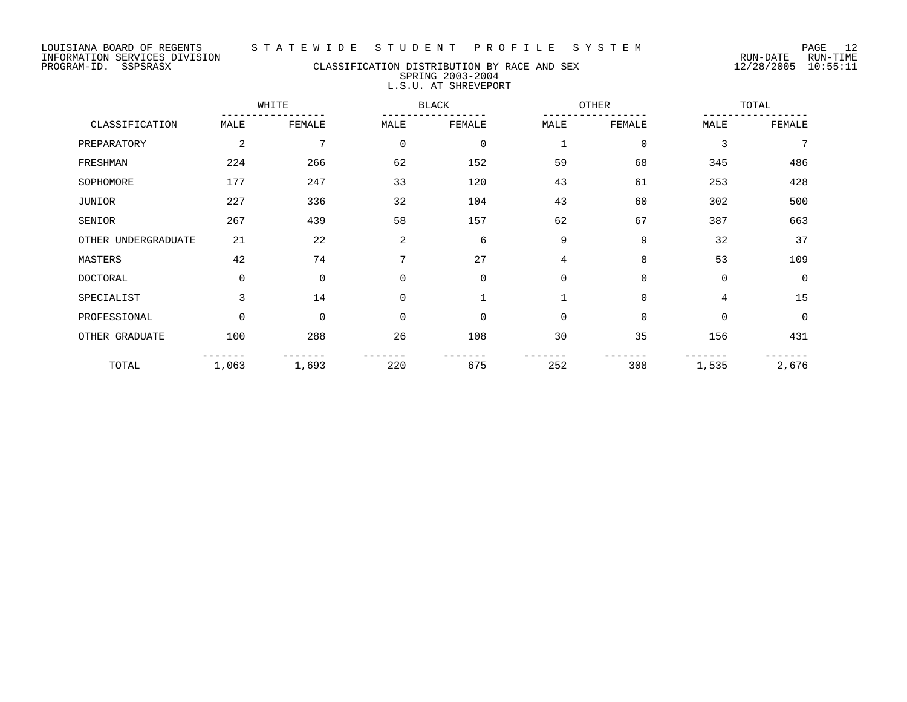# PROGRAM-ID. SSPSRASX CLASSIFICATION DISTRIBUTION BY RACE AND SEX 12/28/2005 10:55:11 SPRING 2003-2004 L.S.U. AT SHREVEPORT

|                     |          | WHITE<br><b>BLACK</b> |             |             | OTHER       |             | TOTAL       |          |
|---------------------|----------|-----------------------|-------------|-------------|-------------|-------------|-------------|----------|
| CLASSIFICATION      | MALE     | FEMALE                | MALE        | FEMALE      | MALE        | FEMALE      | MALE        | FEMALE   |
| PREPARATORY         | 2        | 7                     | $\mathbf 0$ | $\mathbf 0$ | 1           | $\mathbf 0$ | 3           | 7        |
| FRESHMAN            | 224      | 266                   | 62          | 152         | 59          | 68          | 345         | 486      |
| SOPHOMORE           | 177      | 247                   | 33          | 120         | 43          | 61          | 253         | 428      |
| JUNIOR              | 227      | 336                   | 32          | 104         | 43          | 60          | 302         | 500      |
| SENIOR              | 267      | 439                   | 58          | 157         | 62          | 67          | 387         | 663      |
| OTHER UNDERGRADUATE | 21       | 22                    | 2           | 6           | 9           | 9           | 32          | 37       |
| MASTERS             | 42       | 74                    | 7           | 27          | 4           | 8           | 53          | 109      |
| <b>DOCTORAL</b>     | $\Omega$ | $\mathbf 0$           | $\Omega$    | $\mathbf 0$ | $\mathbf 0$ | $\mathbf 0$ | $\mathbf 0$ | $\Omega$ |
| SPECIALIST          | 3        | 14                    | $\mathbf 0$ | 1           | $\mathbf 1$ | $\mathbf 0$ | 4           | 15       |
| PROFESSIONAL        | $\Omega$ | $\mathbf 0$           | $\Omega$    | $\Omega$    | $\Omega$    | $\mathbf 0$ | $\mathbf 0$ | $\Omega$ |
| OTHER GRADUATE      | 100      | 288                   | 26          | 108         | 30          | 35          | 156         | 431      |
| TOTAL               | 1,063    | 1,693                 | 220         | 675         | 252         | 308         | 1,535       | 2,676    |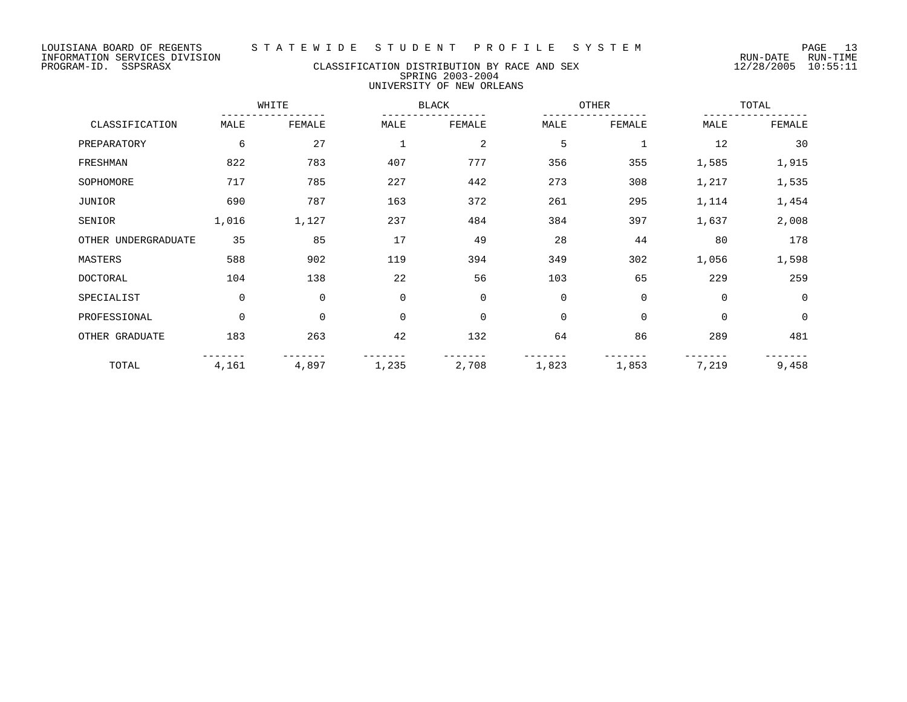PROGRAM-ID. SSPSRASX CLASSIFICATION DISTRIBUTION BY RACE AND SEX 12/28/2005 10:55:11 SPRING 2003-2004 UNIVERSITY OF NEW ORLEANS

WHITE BLACK OTHER TOTAL ----------------- ----------------- ----------------- ----------------- CLASSIFICATION MALE FEMALE MALE FEMALE MALE FEMALE MALE FEMALE PREPARATORY 6 6 27 1 2 5 1 12 30 FRESHMAN 822 783 407 777 356 355 1,585 1,915 SOPHOMORE 217 785 227 442 273 308 1,217 1,535 JUNIOR 690 787 163 372 261 295 1,114 1,454 SENIOR 1,016 1,127 237 484 384 397 1,637 2,008 OTHER UNDERGRADUATE 35 85 17 49 28 44 80 178 MASTERS 588 902 119 394 349 302 1,056 1,598 DOCTORAL 104 138 22 56 103 65 229 259 SPECIALIST 0 0 0 0 0 0 0 0 PROFESSIONAL 0 0 0 0 0 0 0 0 OTHER GRADUATE 183 263 42 132 64 86 289 481 ------- ------- ------- ------- ------- ------- ------- ------- TOTAL 4,161 4,897 1,235 2,708 1,823 1,853 7,219 9,458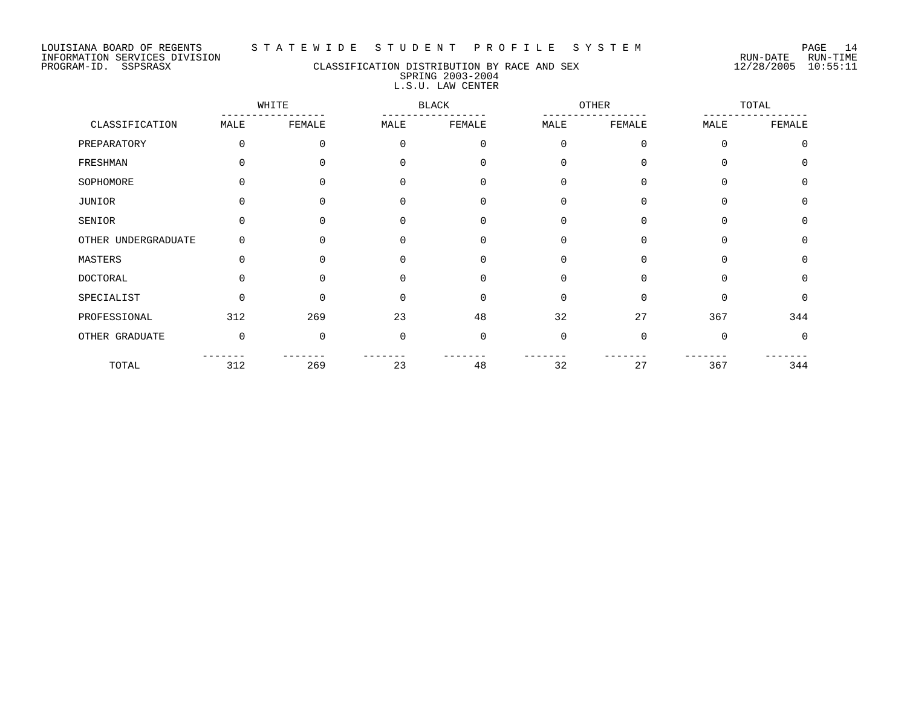#### LOUISIANA BOARD OF REGENTS S T A T E W I D E S T U D E N T P R O F I L E S Y S T E M PAGE 14

# PROGRAM-ID. SSPSRASX CLASSIFICATION DISTRIBUTION BY RACE AND SEX 12/28/2005 10:55:11 SPRING 2003-2004 L.S.U. LAW CENTER

|                     |             | WHITE    |              | <b>BLACK</b> |          | <b>OTHER</b> |          | TOTAL        |  |
|---------------------|-------------|----------|--------------|--------------|----------|--------------|----------|--------------|--|
| CLASSIFICATION      | MALE        | FEMALE   | MALE         | FEMALE       | MALE     | FEMALE       | MALE     | FEMALE       |  |
| PREPARATORY         | 0           | 0        | 0            | $\Omega$     | $\Omega$ | $\Omega$     | $\Omega$ | $\Omega$     |  |
| FRESHMAN            | 0           | U        |              | $\Omega$     | $\Omega$ | $\Omega$     |          | $\cap$       |  |
| SOPHOMORE           | 0           | 0        | ∩            | $\Omega$     | $\Omega$ | $\Omega$     | $\cap$   | <sup>n</sup> |  |
| JUNIOR              | 0           | 0        |              | 0            | $\Omega$ | $\Omega$     | $\Omega$ | $\Omega$     |  |
| SENIOR              | 0           | U        |              | $\Omega$     | $\Omega$ | $\Omega$     |          | $\Omega$     |  |
| OTHER UNDERGRADUATE | 0           | $\Omega$ | <sup>0</sup> | $\Omega$     | $\Omega$ | $\Omega$     | $\Omega$ | $\Omega$     |  |
| MASTERS             | $\Omega$    | 0        | <sup>0</sup> | $\Omega$     | $\Omega$ | $\Omega$     | $\Omega$ | <sup>0</sup> |  |
| DOCTORAL            | 0           | 0        | ∩            | $\Omega$     | $\Omega$ | $\Omega$     | $\Omega$ | <sup>0</sup> |  |
| SPECIALIST          | $\Omega$    | $\Omega$ | $\Omega$     | $\Omega$     | $\Omega$ | $\Omega$     | $\Omega$ | $\Omega$     |  |
| PROFESSIONAL        | 312         | 269      | 23           | 48           | 32       | 27           | 367      | 344          |  |
| OTHER GRADUATE      | $\mathbf 0$ | $\Omega$ | <sup>0</sup> | $\Omega$     | $\Omega$ | $\Omega$     | $\Omega$ | $\Omega$     |  |
| TOTAL               | 312         | 269      | 23           | 48           | 32       | 27           | 367      | 344          |  |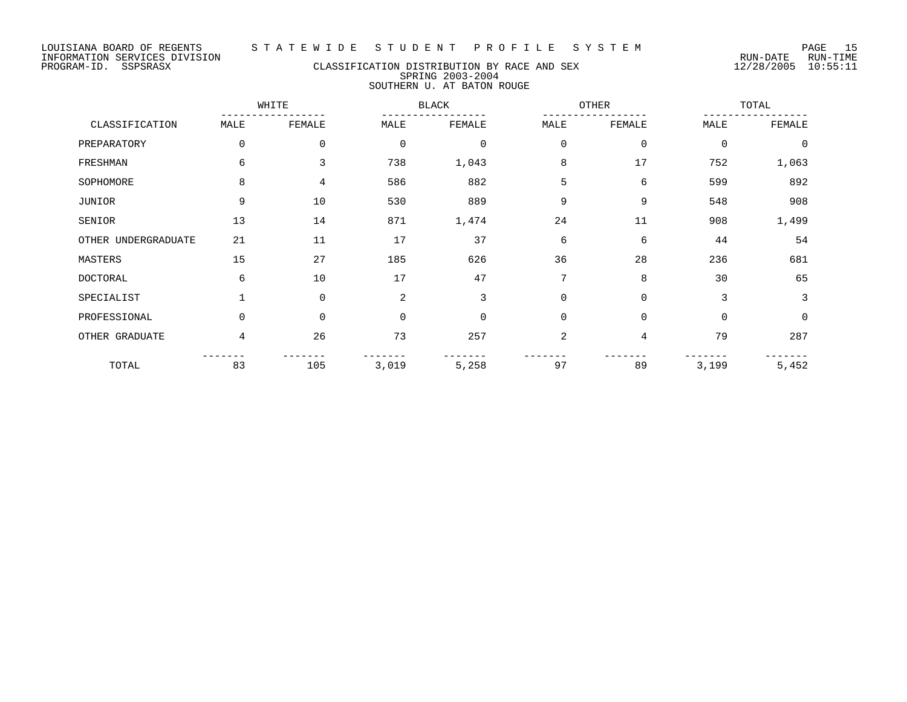# PROGRAM-ID. SSPSRASX CLASSIFICATION DISTRIBUTION BY RACE AND SEX 12/28/2005 10:55:11 SPRING 2003-2004 SOUTHERN U. AT BATON ROUGE

|                     |      | WHITE          |             | <b>BLACK</b> |                | OTHER          |             | TOTAL          |  |
|---------------------|------|----------------|-------------|--------------|----------------|----------------|-------------|----------------|--|
| CLASSIFICATION      | MALE | FEMALE         | MALE        | FEMALE       | MALE           | FEMALE         | MALE        | FEMALE         |  |
| PREPARATORY         | 0    | 0              | $\mathbf 0$ | 0            | $\mathbf 0$    | $\mathbf 0$    | $\mathbf 0$ | $\overline{0}$ |  |
| FRESHMAN            | 6    | 3              | 738         | 1,043        | 8              | 17             | 752         | 1,063          |  |
| SOPHOMORE           | 8    | $\overline{4}$ | 586         | 882          | 5              | 6              | 599         | 892            |  |
| JUNIOR              | 9    | 10             | 530         | 889          | 9              | 9              | 548         | 908            |  |
| SENIOR              | 13   | 14             | 871         | 1,474        | 24             | 11             | 908         | 1,499          |  |
| OTHER UNDERGRADUATE | 21   | 11             | 17          | 37           | 6              | 6              | 44          | 54             |  |
| MASTERS             | 15   | 27             | 185         | 626          | 36             | 28             | 236         | 681            |  |
| <b>DOCTORAL</b>     | 6    | 10             | 17          | 47           | 7              | 8              | 30          | 65             |  |
| SPECIALIST          |      | $\Omega$       | 2           | 3            | $\Omega$       | $\mathbf 0$    | 3           | 3              |  |
| PROFESSIONAL        | 0    | 0              | $\mathbf 0$ | 0            | $\mathbf 0$    | 0              | $\mathbf 0$ | 0              |  |
| OTHER GRADUATE      | 4    | 26             | 73          | 257          | $\overline{2}$ | $\overline{4}$ | 79          | 287            |  |
| TOTAL               | 83   | 105            | 3,019       | 5,258        | 97             | 89             | 3,199       | 5,452          |  |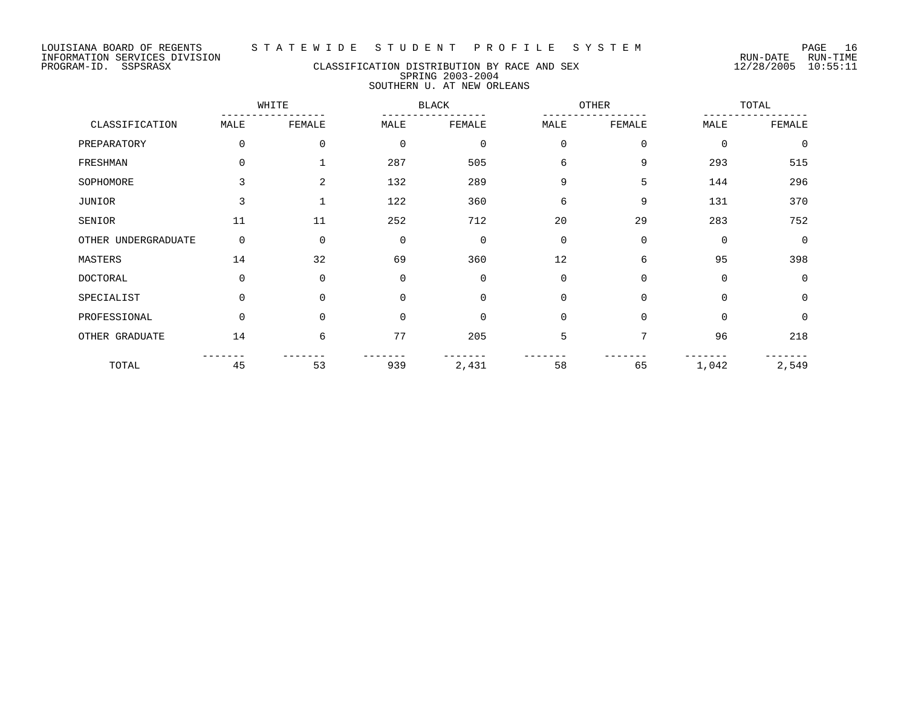# PROGRAM-ID. SSPSRASX CLASSIFICATION DISTRIBUTION BY RACE AND SEX 12/28/2005 10:55:11 SPRING 2003-2004 SOUTHERN U. AT NEW ORLEANS

|                     |          | WHITE          |             | <b>BLACK</b> |             | OTHER       |          | TOTAL       |  |
|---------------------|----------|----------------|-------------|--------------|-------------|-------------|----------|-------------|--|
| CLASSIFICATION      | MALE     | FEMALE         | MALE        | FEMALE       | MALE        | FEMALE      | MALE     | FEMALE      |  |
| PREPARATORY         | 0        | 0              | $\mathbf 0$ | $\mathbf 0$  | 0           | $\mathbf 0$ | 0        | $\mathbf 0$ |  |
| FRESHMAN            | 0        |                | 287         | 505          | 6           | 9           | 293      | 515         |  |
| SOPHOMORE           | 3        | $\overline{2}$ | 132         | 289          | 9           | 5           | 144      | 296         |  |
| JUNIOR              | 3        |                | 122         | 360          | 6           | 9           | 131      | 370         |  |
| SENIOR              | 11       | 11             | 252         | 712          | 20          | 29          | 283      | 752         |  |
| OTHER UNDERGRADUATE | 0        | $\Omega$       | $\mathbf 0$ | $\Omega$     | $\Omega$    | $\Omega$    | $\Omega$ | $\Omega$    |  |
| MASTERS             | 14       | 32             | 69          | 360          | 12          | 6           | 95       | 398         |  |
| <b>DOCTORAL</b>     | $\Omega$ | $\Omega$       | $\mathbf 0$ | $\Omega$     | $\Omega$    | $\Omega$    | $\Omega$ | $\Omega$    |  |
| SPECIALIST          | 0        | $\Omega$       | $\Omega$    | $\Omega$     | 0           | $\Omega$    | $\Omega$ | $\Omega$    |  |
| PROFESSIONAL        | 0        | $\Omega$       | $\mathbf 0$ | $\Omega$     | $\mathbf 0$ | $\Omega$    | 0        | 0           |  |
| OTHER GRADUATE      | 14       | 6              | 77          | 205          | 5           | 7           | 96       | 218         |  |
| TOTAL               | 45       | 53             | 939         | 2,431        | 58          | 65          | 1,042    | 2,549       |  |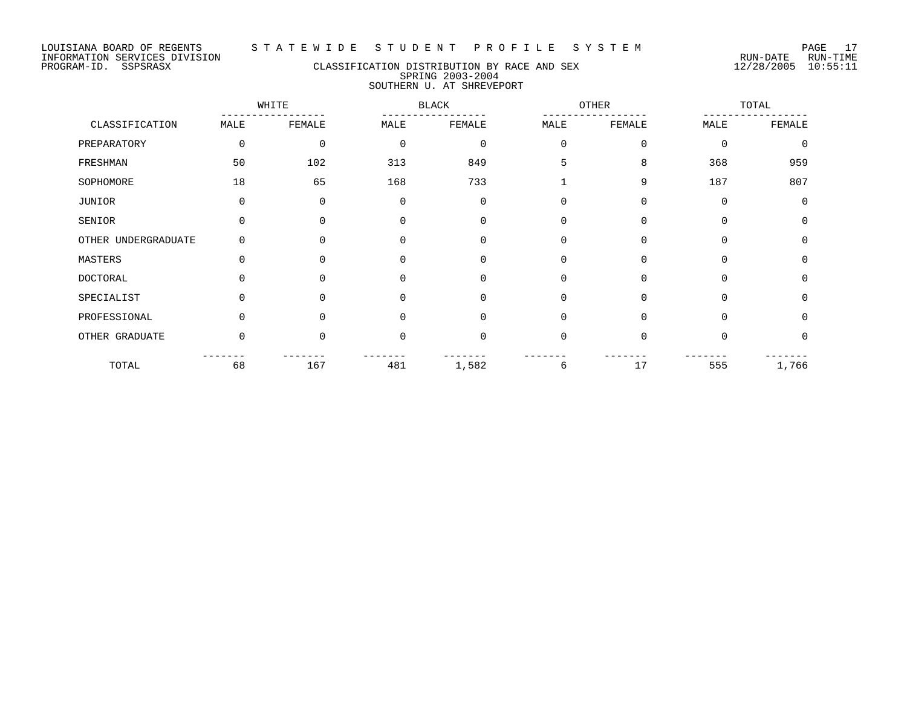## PROGRAM-ID. SSPSRASX CLASSIFICATION DISTRIBUTION BY RACE AND SEX 12/28/2005 10:55:11 SPRING 2003-2004 SOUTHERN U. AT SHREVEPORT

|                     |          | WHITE    |             | <b>BLACK</b> |          | OTHER       |             | TOTAL       |  |
|---------------------|----------|----------|-------------|--------------|----------|-------------|-------------|-------------|--|
| CLASSIFICATION      | MALE     | FEMALE   | MALE        | FEMALE       | MALE     | FEMALE      | MALE        | FEMALE      |  |
| PREPARATORY         | 0        | $\Omega$ | $\mathbf 0$ | $\mathbf 0$  | $\Omega$ | $\mathbf 0$ | $\mathbf 0$ | $\mathbf 0$ |  |
| FRESHMAN            | 50       | 102      | 313         | 849          | 5        | 8           | 368         | 959         |  |
| SOPHOMORE           | 18       | 65       | 168         | 733          |          | 9           | 187         | 807         |  |
| <b>JUNIOR</b>       | 0        | $\Omega$ | $\mathbf 0$ | $\mathbf 0$  | 0        | 0           | $\mathbf 0$ | $\mathbf 0$ |  |
| SENIOR              | $\Omega$ |          | $\Omega$    | $\Omega$     | $\Omega$ | $\Omega$    | $\Omega$    | 0           |  |
| OTHER UNDERGRADUATE | $\Omega$ | $\Omega$ | $\Omega$    | $\Omega$     | $\Omega$ | $\Omega$    | $\Omega$    | $\Omega$    |  |
| MASTERS             | $\Omega$ | $\Omega$ | $\Omega$    | 0            | $\Omega$ | $\mathbf 0$ | $\Omega$    | 0           |  |
| <b>DOCTORAL</b>     | $\Omega$ | $\Omega$ | $\Omega$    | $\Omega$     | $\Omega$ | $\Omega$    | $\Omega$    | $\Omega$    |  |
| SPECIALIST          | $\Omega$ | $\Omega$ | $\Omega$    | $\Omega$     | $\Omega$ | $\Omega$    | $\Omega$    | $\Omega$    |  |
| PROFESSIONAL        | $\Omega$ | $\Omega$ | $\Omega$    | $\Omega$     | $\Omega$ | $\Omega$    | $\Omega$    | $\mathbf 0$ |  |
| OTHER GRADUATE      | $\Omega$ | $\Omega$ | $\Omega$    | $\Omega$     | $\Omega$ | $\Omega$    | $\Omega$    | $\Omega$    |  |
| TOTAL               | 68       | 167      | 481         | 1,582        | 6        | 17          | 555         | 1,766       |  |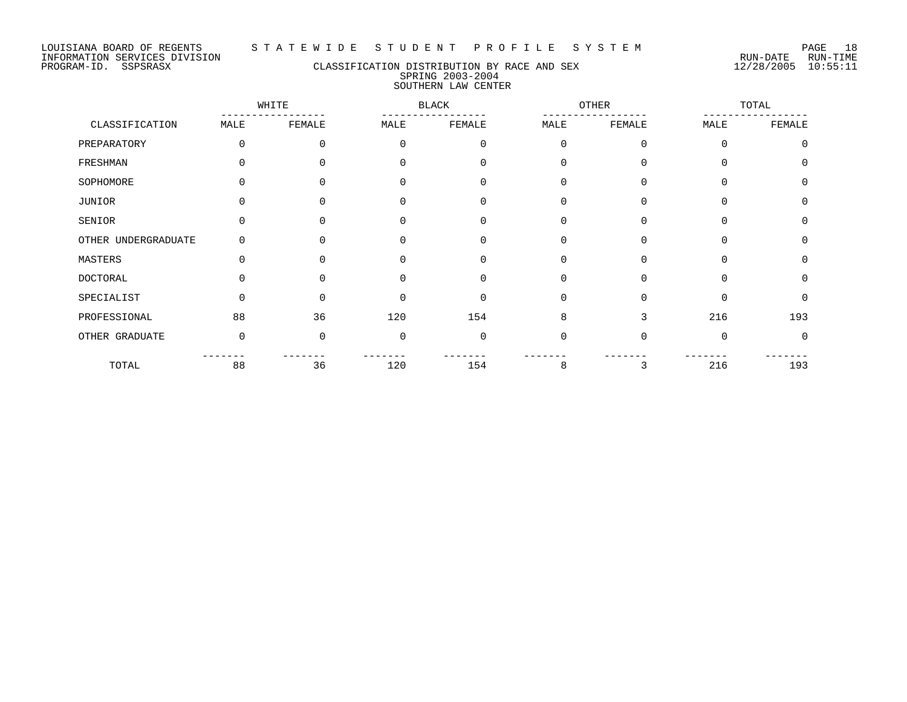#### LOUISIANA BOARD OF REGENTS S T A T E W I D E S T U D E N T P R O F I L E S Y S T E M PAGE 18

## PROGRAM-ID. SSPSRASX CLASSIFICATION DISTRIBUTION BY RACE AND SEX 12/28/2005 10:55:11 SPRING 2003-2004 SOUTHERN LAW CENTER

|                     | WHITE    |              |          | <b>BLACK</b> |          | OTHER    |          | TOTAL    |  |
|---------------------|----------|--------------|----------|--------------|----------|----------|----------|----------|--|
| CLASSIFICATION      | MALE     | FEMALE       | MALE     | FEMALE       | MALE     | FEMALE   | MALE     | FEMALE   |  |
| PREPARATORY         | $\Omega$ | 0            | $\Omega$ | $\mathbf 0$  | $\Omega$ | $\Omega$ | 0        | $\Omega$ |  |
| FRESHMAN            |          | <sup>n</sup> | $\cap$   | $\Omega$     | $\Omega$ | $\Omega$ | 0        | $\cap$   |  |
| SOPHOMORE           | ∩        | <sup>n</sup> | $\Omega$ | $\Omega$     | $\Omega$ | $\Omega$ | 0        | $\Omega$ |  |
| JUNIOR              |          | 0            | $\Omega$ | 0            | 0        | $\Omega$ | 0        | $\Omega$ |  |
| SENIOR              |          |              | $\cap$   | $\Omega$     | $\Omega$ | $\Omega$ | $\Omega$ | $\Omega$ |  |
| OTHER UNDERGRADUATE | 0        | 0            | $\Omega$ | $\Omega$     | $\Omega$ | $\Omega$ | $\Omega$ | $\Omega$ |  |
| MASTERS             |          | U            | $\Omega$ | $\Omega$     | $\Omega$ | $\Omega$ | $\Omega$ | $\Omega$ |  |
| <b>DOCTORAL</b>     | U        | ∩            | $\cap$   | $\mathbf 0$  | $\Omega$ | $\Omega$ | 0        | $\cap$   |  |
| SPECIALIST          | $\Omega$ | $\Omega$     | $\Omega$ | $\Omega$     | $\Omega$ | $\Omega$ | 0        | $\Omega$ |  |
| PROFESSIONAL        | 88       | 36           | 120      | 154          | 8        | 3        | 216      | 193      |  |
| OTHER GRADUATE      | $\Omega$ | $\Omega$     | $\Omega$ | $\Omega$     | $\Omega$ | $\Omega$ | $\Omega$ | $\Omega$ |  |
| TOTAL               | 88       | 36           | 120      | 154          | 8        | 3        | 216      | 193      |  |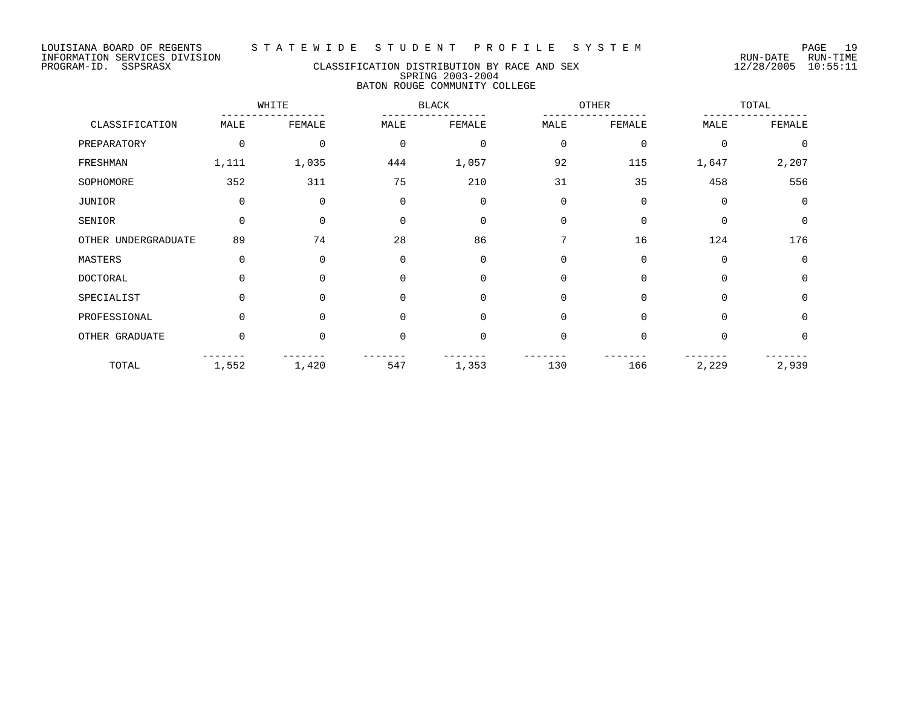# PROGRAM-ID. SSPSRASX CLASSIFICATION DISTRIBUTION BY RACE AND SEX 12/28/2005 10:55:11 SPRING 2003-2004 BATON ROUGE COMMUNITY COLLEGE

|                     | WHITE    |             |             | <b>BLACK</b>   |                | OTHER       |             | TOTAL    |  |
|---------------------|----------|-------------|-------------|----------------|----------------|-------------|-------------|----------|--|
| CLASSIFICATION      | MALE     | FEMALE      | MALE        | FEMALE         | MALE           | FEMALE      | MALE        | FEMALE   |  |
| PREPARATORY         | 0        | 0           | $\mathbf 0$ | $\mathbf 0$    | $\overline{0}$ | $\mathbf 0$ | $\mathbf 0$ | $\Omega$ |  |
| FRESHMAN            | 1,111    | 1,035       | 444         | 1,057          | 92             | 115         | 1,647       | 2,207    |  |
| SOPHOMORE           | 352      | 311         | 75          | 210            | 31             | 35          | 458         | 556      |  |
| JUNIOR              | 0        | $\mathbf 0$ | $\mathbf 0$ | $\mathbf 0$    | $\Omega$       | $\mathbf 0$ | $\mathbf 0$ | $\Omega$ |  |
| SENIOR              | $\Omega$ | $\Omega$    | $\Omega$    | $\overline{0}$ | $\Omega$       | $\Omega$    | 0           | $\Omega$ |  |
| OTHER UNDERGRADUATE | 89       | 74          | 28          | 86             | 7              | 16          | 124         | 176      |  |
| MASTERS             | 0        | $\Omega$    | $\mathbf 0$ | $\mathbf 0$    | $\mathbf 0$    | $\mathbf 0$ | 0           | $\Omega$ |  |
| <b>DOCTORAL</b>     | $\Omega$ | $\Omega$    | $\Omega$    | $\mathbf 0$    | $\Omega$       | $\Omega$    | 0           | $\Omega$ |  |
| SPECIALIST          | $\Omega$ | $\Omega$    | $\Omega$    | $\mathbf 0$    | $\Omega$       | $\Omega$    | $\Omega$    | $\Omega$ |  |
| PROFESSIONAL        | 0        | $\Omega$    | $\Omega$    | $\overline{0}$ | $\Omega$       | $\Omega$    | $\Omega$    | $\Omega$ |  |
| OTHER GRADUATE      | $\Omega$ | $\Omega$    | $\Omega$    | $\overline{0}$ | $\Omega$       | $\Omega$    | $\Omega$    | $\Omega$ |  |
| TOTAL               | 1,552    | 1,420       | 547         | 1,353          | 130            | 166         | 2,229       | 2,939    |  |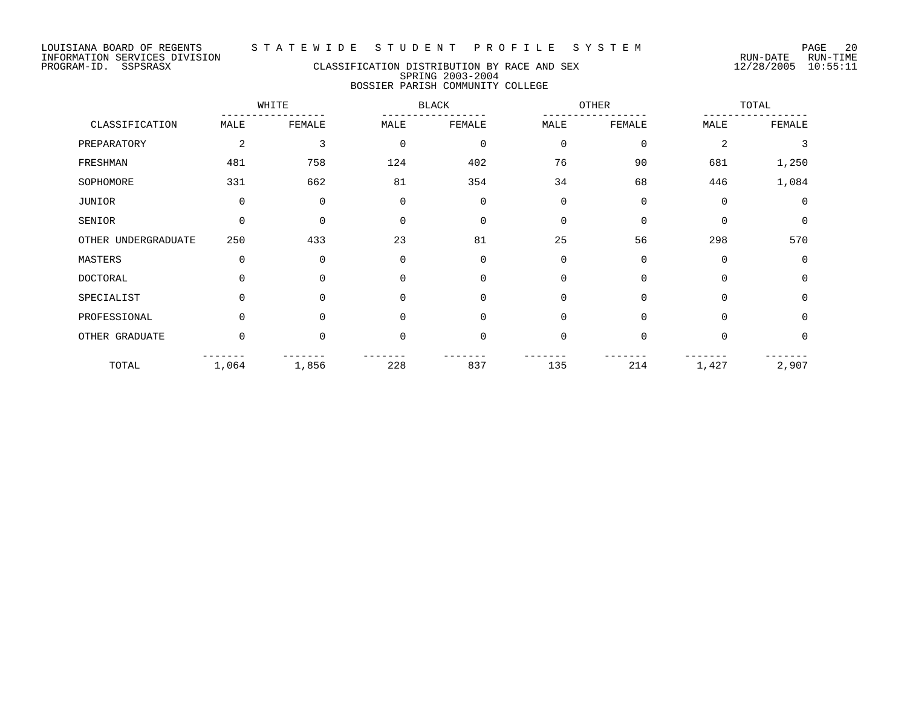# PROGRAM-ID. SSPSRASX CLASSIFICATION DISTRIBUTION BY RACE AND SEX 12/28/2005 10:55:11 SPRING 2003-2004 BOSSIER PARISH COMMUNITY COLLEGE

|                     |                | WHITE    |          | BLACK<br>OTHER |             |             |          | TOTAL       |  |
|---------------------|----------------|----------|----------|----------------|-------------|-------------|----------|-------------|--|
| CLASSIFICATION      | MALE           | FEMALE   | MALE     | FEMALE         | MALE        | FEMALE      | MALE     | FEMALE      |  |
| PREPARATORY         | $\overline{2}$ | 3        | $\Omega$ | $\mathbf 0$    | $\mathbf 0$ | $\mathbf 0$ | 2        | 3           |  |
| FRESHMAN            | 481            | 758      | 124      | 402            | 76          | 90          | 681      | 1,250       |  |
| SOPHOMORE           | 331            | 662      | 81       | 354            | 34          | 68          | 446      | 1,084       |  |
| JUNIOR              | $\mathbf 0$    | $\Omega$ | $\Omega$ | $\Omega$       | $\Omega$    | $\mathbf 0$ | $\Omega$ | 0           |  |
| SENIOR              | $\mathbf 0$    | $\Omega$ | $\Omega$ | $\Omega$       | $\Omega$    | $\Omega$    | $\Omega$ | $\mathbf 0$ |  |
| OTHER UNDERGRADUATE | 250            | 433      | 23       | 81             | 25          | 56          | 298      | 570         |  |
| MASTERS             | $\Omega$       | $\Omega$ | $\Omega$ | $\Omega$       | $\Omega$    | $\Omega$    | $\Omega$ | 0           |  |
| <b>DOCTORAL</b>     | $\Omega$       | $\Omega$ | $\Omega$ | $\Omega$       | $\Omega$    | $\Omega$    | 0        | $\mathbf 0$ |  |
| SPECIALIST          | $\Omega$       |          | 0        | $\Omega$       | $\Omega$    | $\Omega$    |          | 0           |  |
| PROFESSIONAL        | $\Omega$       | $\cap$   | 0        | $\Omega$       | $\Omega$    | $\Omega$    | $\Omega$ | $\mathbf 0$ |  |
| OTHER GRADUATE      | 0              | $\Omega$ | $\Omega$ | 0              | $\Omega$    | $\Omega$    | $\Omega$ | 0           |  |
| TOTAL               | 1,064          | 1,856    | 228      | 837            | 135         | 214         | 1,427    | 2,907       |  |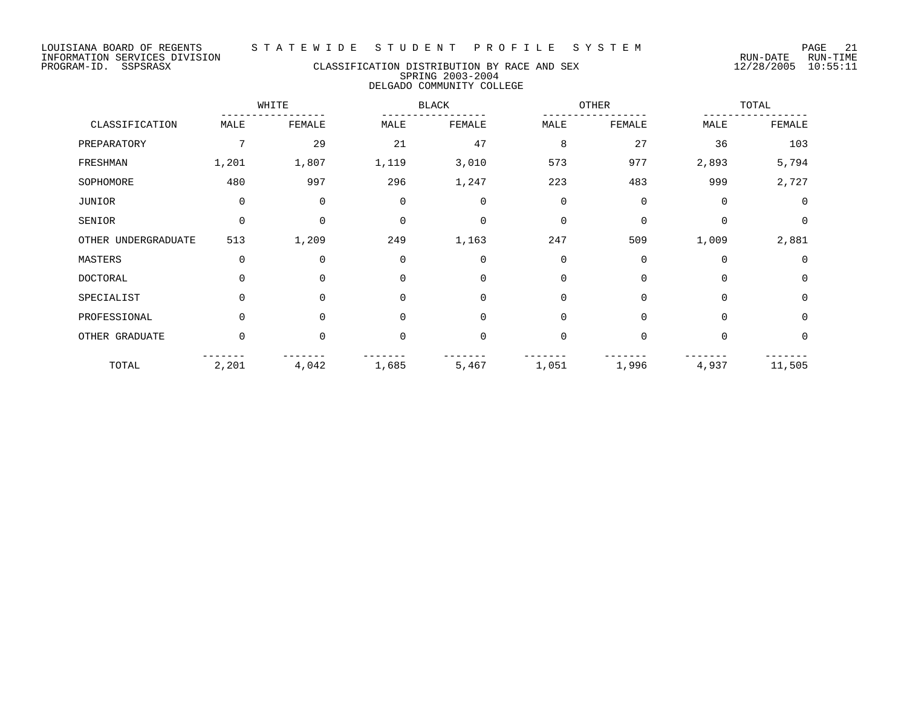## PROGRAM-ID. SSPSRASX CLASSIFICATION DISTRIBUTION BY RACE AND SEX 12/28/2005 10:55:11 SPRING 2003-2004 DELGADO COMMUNITY COLLEGE

|                     |             | WHITE       |             | <b>BLACK</b> |             | OTHER       |             | TOTAL       |  |
|---------------------|-------------|-------------|-------------|--------------|-------------|-------------|-------------|-------------|--|
| CLASSIFICATION      | MALE        | FEMALE      | MALE        | FEMALE       | MALE        | FEMALE      | MALE        | FEMALE      |  |
| PREPARATORY         | 7           | 29          | 21          | 47           | 8           | 27          | 36          | 103         |  |
| FRESHMAN            | 1,201       | 1,807       | 1,119       | 3,010        | 573         | 977         | 2,893       | 5,794       |  |
| SOPHOMORE           | 480         | 997         | 296         | 1,247        | 223         | 483         | 999         | 2,727       |  |
| JUNIOR              | $\mathbf 0$ | 0           | $\mathbf 0$ | $\mathbf 0$  | $\mathbf 0$ | $\mathbf 0$ | $\mathbf 0$ | $\mathbf 0$ |  |
| SENIOR              | $\Omega$    | $\mathbf 0$ | $\Omega$    | $\Omega$     | $\Omega$    | $\Omega$    | $\Omega$    | $\Omega$    |  |
| OTHER UNDERGRADUATE | 513         | 1,209       | 249         | 1,163        | 247         | 509         | 1,009       | 2,881       |  |
| MASTERS             | $\mathbf 0$ | 0           | $\Omega$    | $\mathbf 0$  | 0           | $\Omega$    | $\Omega$    | $\mathbf 0$ |  |
| <b>DOCTORAL</b>     | $\Omega$    | $\mathbf 0$ | $\Omega$    | $\Omega$     | $\Omega$    | $\Omega$    | $\Omega$    | $\Omega$    |  |
| SPECIALIST          | $\Omega$    | $\mathbf 0$ | $\Omega$    | $\Omega$     | $\Omega$    | $\Omega$    | $\Omega$    | $\Omega$    |  |
| PROFESSIONAL        | $\Omega$    | $\Omega$    | $\Omega$    | $\Omega$     | $\Omega$    | $\Omega$    | $\Omega$    | $\Omega$    |  |
| OTHER GRADUATE      | $\Omega$    | 0           | $\Omega$    | $\Omega$     | $\Omega$    | $\Omega$    | $\Omega$    | 0           |  |
| TOTAL               | 2,201       | 4,042       | 1,685       | 5,467        | 1,051       | 1,996       | 4,937       | 11,505      |  |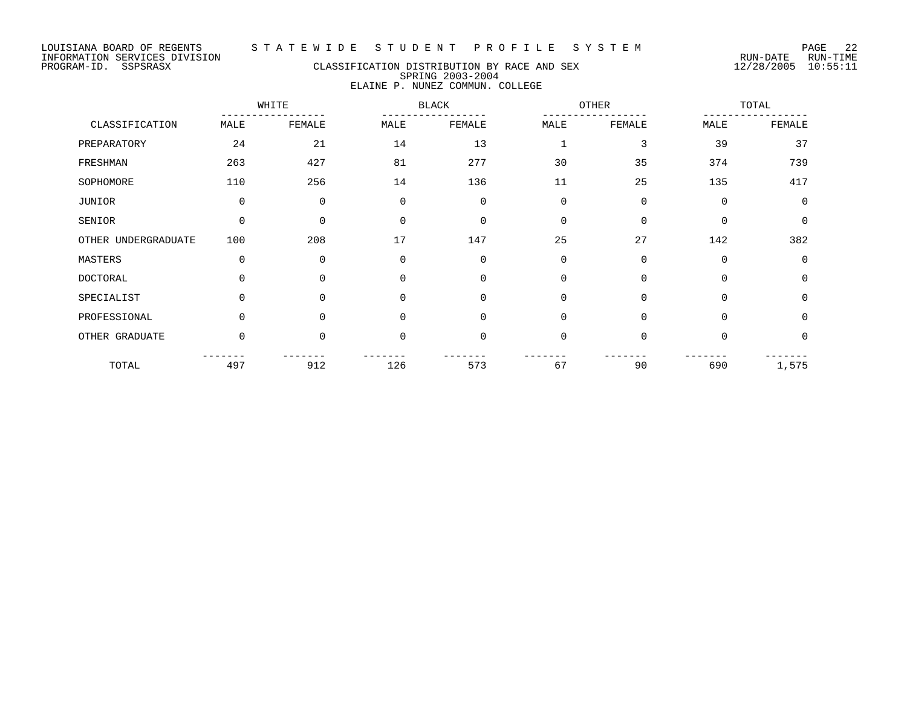#### LOUISIANA BOARD OF REGENTS S T A T E W I D E S T U D E N T P R O F I L E S Y S T E M PAGE 22

## PROGRAM-ID. SSPSRASX CLASSIFICATION DISTRIBUTION BY RACE AND SEX 12/28/2005 10:55:11 SPRING 2003-2004 ELAINE P. NUNEZ COMMUN. COLLEGE

|                     | WHITE       |          |          | <b>BLACK</b>   |             | OTHER       |             | TOTAL       |  |
|---------------------|-------------|----------|----------|----------------|-------------|-------------|-------------|-------------|--|
| CLASSIFICATION      | MALE        | FEMALE   | MALE     | FEMALE         | MALE        | FEMALE      | MALE        | FEMALE      |  |
| PREPARATORY         | 24          | 21       | 14       | 13             | 1           | 3           | 39          | 37          |  |
| FRESHMAN            | 263         | 427      | 81       | 277            | 30          | 35          | 374         | 739         |  |
| SOPHOMORE           | 110         | 256      | 14       | 136            | 11          | 25          | 135         | 417         |  |
| JUNIOR              | $\mathbf 0$ | 0        | 0        | $\mathbf 0$    | $\mathbf 0$ | $\mathbf 0$ | $\mathbf 0$ | $\mathbf 0$ |  |
| SENIOR              | $\mathbf 0$ | $\Omega$ | $\Omega$ | $\overline{0}$ | $\mathbf 0$ | $\mathbf 0$ | $\Omega$    | $\mathbf 0$ |  |
| OTHER UNDERGRADUATE | 100         | 208      | 17       | 147            | 25          | 27          | 142         | 382         |  |
| MASTERS             | $\mathbf 0$ | 0        | $\Omega$ | $\Omega$       | $\mathbf 0$ | $\Omega$    | $\Omega$    | $\mathbf 0$ |  |
| DOCTORAL            | $\Omega$    | $\Omega$ | $\Omega$ | $\Omega$       | 0           | $\Omega$    | $\Omega$    | $\mathbf 0$ |  |
| SPECIALIST          | $\Omega$    | $\Omega$ | $\Omega$ | $\Omega$       | $\mathbf 0$ | $\Omega$    | $\Omega$    | $\mathbf 0$ |  |
| PROFESSIONAL        | $\Omega$    | $\Omega$ | $\Omega$ | $\mathbf 0$    | $\mathbf 0$ | $\Omega$    | $\Omega$    | $\mathbf 0$ |  |
| OTHER GRADUATE      | $\Omega$    | $\Omega$ | $\Omega$ | $\overline{0}$ | $\mathbf 0$ | $\Omega$    | $\Omega$    | $\Omega$    |  |
| TOTAL               | 497         | 912      | 126      | 573            | 67          | 90          | 690         | 1,575       |  |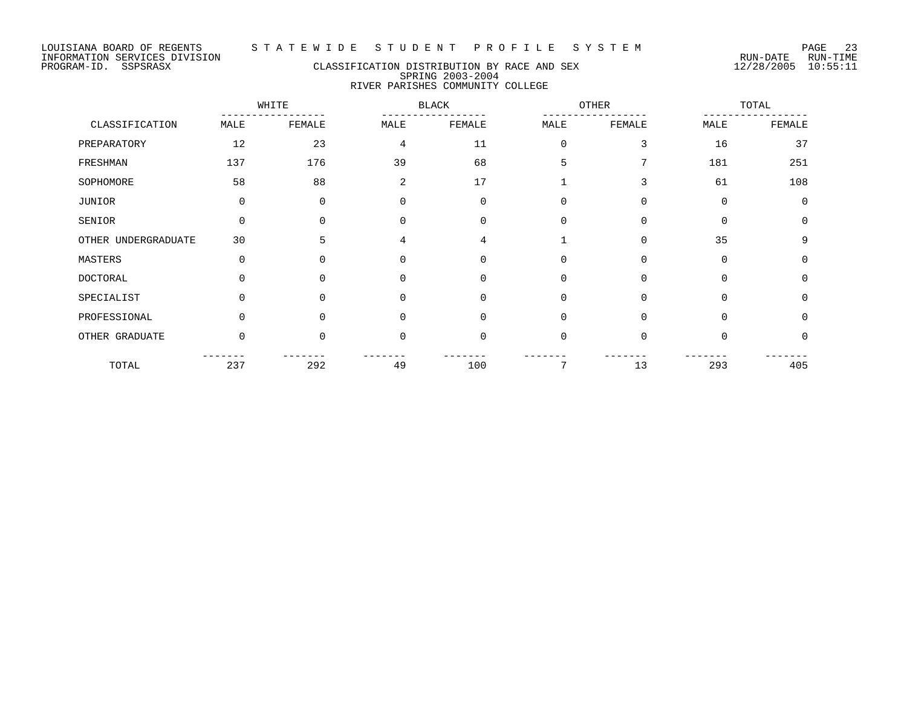# PROGRAM-ID. SSPSRASX CLASSIFICATION DISTRIBUTION BY RACE AND SEX 12/28/2005 10:55:11 SPRING 2003-2004 RIVER PARISHES COMMUNITY COLLEGE

|                     | WHITE       |          |          | <b>BLACK</b> |             | <b>OTHER</b> |             | TOTAL    |  |
|---------------------|-------------|----------|----------|--------------|-------------|--------------|-------------|----------|--|
| CLASSIFICATION      | MALE        | FEMALE   | MALE     | FEMALE       | MALE        | FEMALE       | MALE        | FEMALE   |  |
| PREPARATORY         | 12          | 23       | 4        | 11           | $\mathbf 0$ | 3            | 16          | 37       |  |
| FRESHMAN            | 137         | 176      | 39       | 68           | 5           | 7            | 181         | 251      |  |
| SOPHOMORE           | 58          | 88       | 2        | 17           |             | 3            | 61          | 108      |  |
| JUNIOR              | $\mathbf 0$ | 0        | $\Omega$ | $\Omega$     | 0           | 0            | $\Omega$    | $\Omega$ |  |
| SENIOR              | $\Omega$    | $\Omega$ | $\Omega$ | $\Omega$     | $\Omega$    | 0            | $\Omega$    | $\Omega$ |  |
| OTHER UNDERGRADUATE | 30          | 5        | 4        | 4            |             | $\Omega$     | 35          | 9        |  |
| MASTERS             | 0           | 0        | 0        | 0            | 0           | 0            | $\mathbf 0$ | $\Omega$ |  |
| <b>DOCTORAL</b>     | $\Omega$    | $\Omega$ | $\Omega$ | 0            | $\Omega$    | 0            | $\Omega$    | $\Omega$ |  |
| SPECIALIST          | $\Omega$    | $\Omega$ | $\Omega$ | $\Omega$     | $\mathbf 0$ | $\mathbf 0$  | $\Omega$    | $\Omega$ |  |
| PROFESSIONAL        | $\Omega$    | $\Omega$ | $\Omega$ | $\Omega$     | $\Omega$    | $\mathbf 0$  | $\Omega$    | $\Omega$ |  |
| OTHER GRADUATE      | 0           | 0        | $\Omega$ | $\Omega$     | $\mathbf 0$ | 0            | $\Omega$    | $\Omega$ |  |
| TOTAL               | 237         | 292      | 49       | 100          | 7           | 13           | 293         | 405      |  |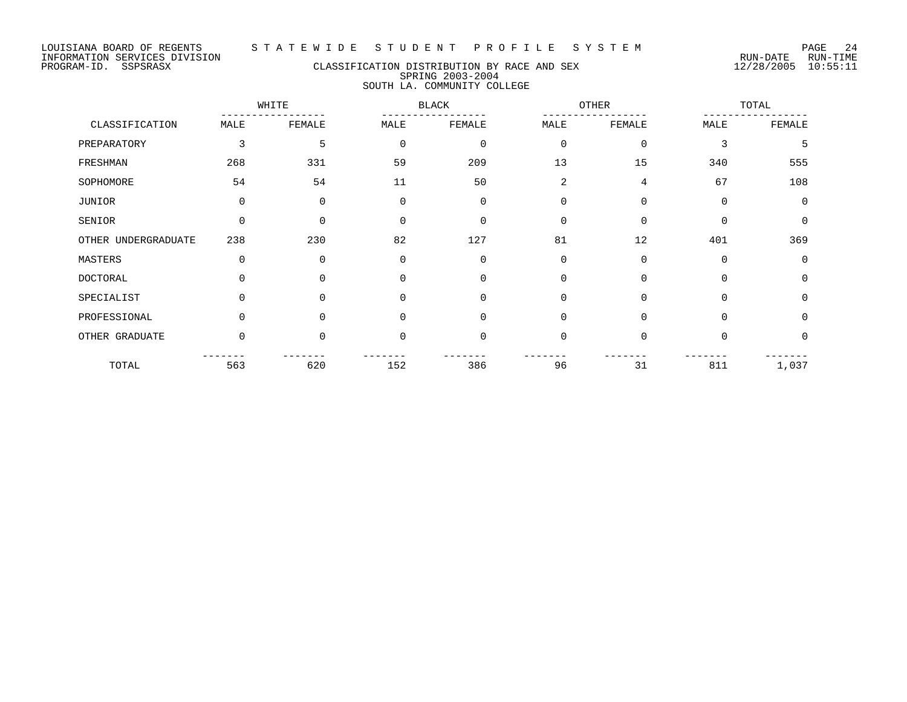## PROGRAM-ID. SSPSRASX CLASSIFICATION DISTRIBUTION BY RACE AND SEX 12/28/2005 10:55:11 SPRING 2003-2004 SOUTH LA. COMMUNITY COLLEGE

|                     | WHITE    |          |             | <b>BLACK</b>   |                | OTHER          |          | TOTAL          |  |
|---------------------|----------|----------|-------------|----------------|----------------|----------------|----------|----------------|--|
| CLASSIFICATION      | MALE     | FEMALE   | MALE        | FEMALE         | MALE           | FEMALE         | MALE     | FEMALE         |  |
| PREPARATORY         | 3        | 5        | $\mathbf 0$ | $\mathbf 0$    | $\mathbf 0$    | $\mathbf 0$    | 3        | 5              |  |
| FRESHMAN            | 268      | 331      | 59          | 209            | 13             | 15             | 340      | 555            |  |
| SOPHOMORE           | 54       | 54       | 11          | 50             | $\overline{2}$ | $\overline{4}$ | 67       | 108            |  |
| JUNIOR              | 0        | $\Omega$ | $\mathbf 0$ | $\mathbf 0$    | $\mathbf 0$    | $\mathbf 0$    | 0        | $\overline{0}$ |  |
| SENIOR              | $\Omega$ | $\Omega$ | $\Omega$    | $\overline{0}$ | $\Omega$       | $\Omega$       | $\Omega$ | $\Omega$       |  |
| OTHER UNDERGRADUATE | 238      | 230      | 82          | 127            | 81             | 12             | 401      | 369            |  |
| MASTERS             | 0        | $\Omega$ | $\Omega$    | $\overline{0}$ | $\Omega$       | $\Omega$       | 0        | $\Omega$       |  |
| <b>DOCTORAL</b>     | $\Omega$ | $\Omega$ | $\Omega$    | $\overline{0}$ | $\Omega$       | $\Omega$       | $\Omega$ | $\Omega$       |  |
| SPECIALIST          | $\Omega$ | $\Omega$ | $\Omega$    | $\overline{0}$ | $\Omega$       | $\Omega$       | $\Omega$ | $\Omega$       |  |
| PROFESSIONAL        | $\Omega$ | $\Omega$ | $\Omega$    | $\mathbf 0$    | $\Omega$       | $\Omega$       | $\Omega$ | $\Omega$       |  |
| OTHER GRADUATE      | 0        | $\Omega$ | $\mathbf 0$ | $\overline{0}$ | $\Omega$       | $\mathbf 0$    | 0        | $\Omega$       |  |
| TOTAL               | 563      | 620      | 152         | 386            | 96             | 31             | 811      | 1,037          |  |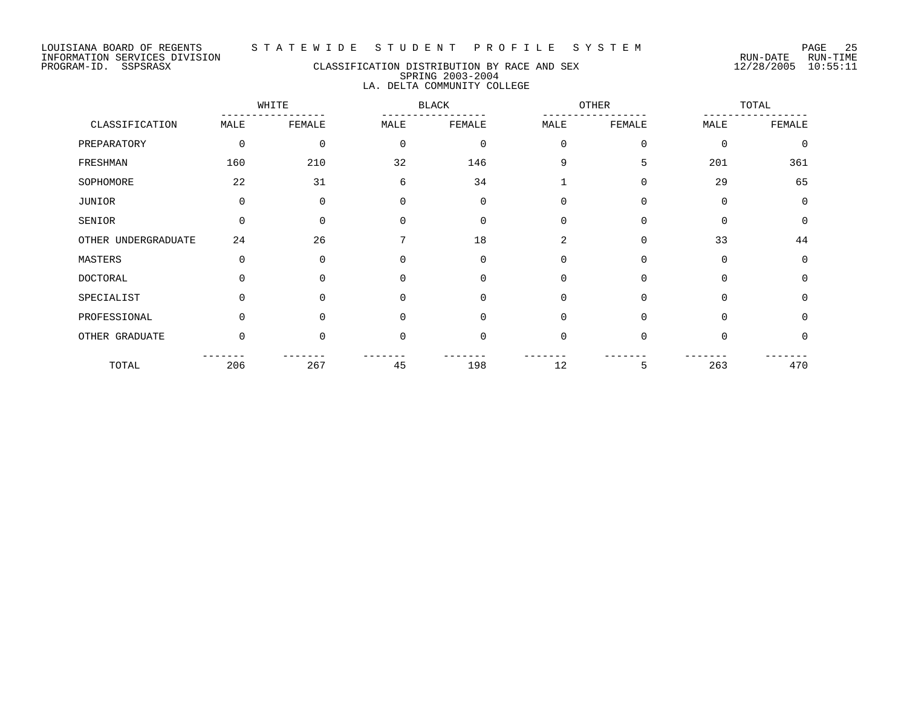# PROGRAM-ID. SSPSRASX CLASSIFICATION DISTRIBUTION BY RACE AND SEX 12/28/2005 10:55:11 SPRING 2003-2004 LA. DELTA COMMUNITY COLLEGE

|                     | WHITE       |          |          | <b>BLACK</b> |                | OTHER       |             | TOTAL       |  |
|---------------------|-------------|----------|----------|--------------|----------------|-------------|-------------|-------------|--|
| CLASSIFICATION      | MALE        | FEMALE   | MALE     | FEMALE       | MALE           | FEMALE      | MALE        | FEMALE      |  |
| PREPARATORY         | $\mathbf 0$ | 0        | 0        | $\mathbf 0$  | $\mathbf 0$    | $\mathbf 0$ | $\mathbf 0$ | $\mathbf 0$ |  |
| FRESHMAN            | 160         | 210      | 32       | 146          | 9              | 5           | 201         | 361         |  |
| SOPHOMORE           | 22          | 31       | 6        | 34           | $\mathbf{1}$   | $\Omega$    | 29          | 65          |  |
| JUNIOR              | $\mathbf 0$ | 0        | $\Omega$ | $\mathbf 0$  | 0              | $\mathbf 0$ | $\mathbf 0$ | $\mathbf 0$ |  |
| SENIOR              | $\Omega$    | 0        | $\Omega$ | $\Omega$     | $\mathbf 0$    | $\Omega$    | $\Omega$    | $\mathbf 0$ |  |
| OTHER UNDERGRADUATE | 24          | 26       |          | 18           | $\overline{a}$ | $\Omega$    | 33          | 44          |  |
| MASTERS             | $\Omega$    | $\Omega$ | $\Omega$ | $\Omega$     | $\mathbf 0$    | $\Omega$    | $\Omega$    | $\mathbf 0$ |  |
| DOCTORAL            | $\Omega$    | $\Omega$ | $\Omega$ | $\Omega$     | $\mathbf 0$    | $\Omega$    | $\Omega$    | $\mathbf 0$ |  |
| SPECIALIST          | $\Omega$    | $\Omega$ | $\Omega$ | $\Omega$     | $\mathbf 0$    | $\Omega$    | $\Omega$    | $\mathbf 0$ |  |
| PROFESSIONAL        | $\Omega$    | $\Omega$ | $\Omega$ | $\Omega$     | $\mathbf 0$    | $\Omega$    | $\Omega$    | $\mathbf 0$ |  |
| OTHER GRADUATE      | $\Omega$    | $\Omega$ | $\Omega$ | $\mathbf 0$  | $\mathbf 0$    | $\Omega$    | $\Omega$    | $\mathbf 0$ |  |
| TOTAL               | 206         | 267      | 45       | 198          | 12             | 5           | 263         | 470         |  |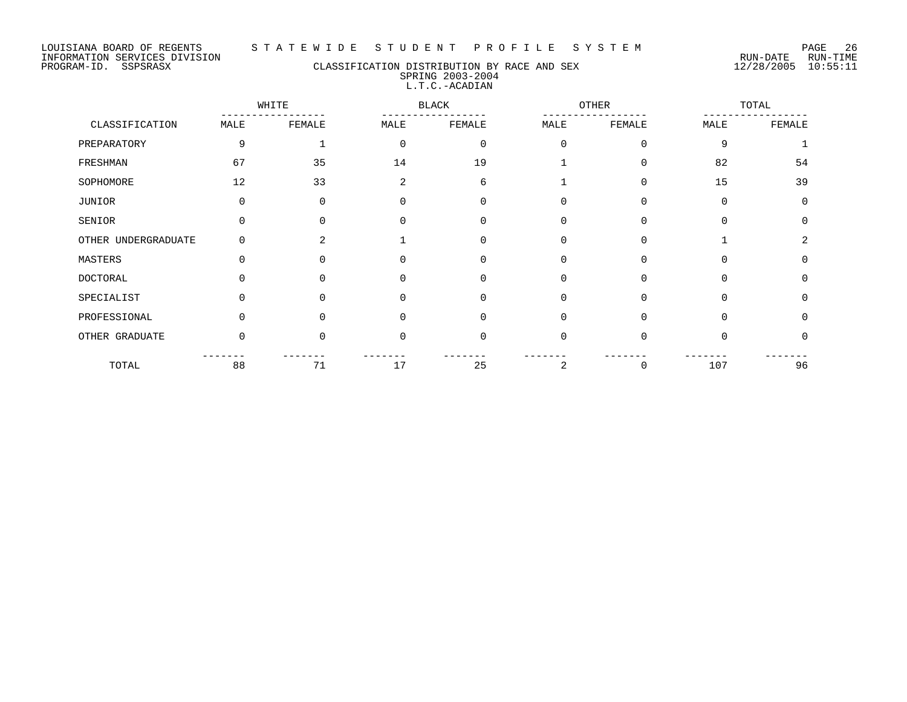#### LOUISIANA BOARD OF REGENTS S T A T E W I D E S T U D E N T P R O F I L E S Y S T E M PAGE 26

## PROGRAM-ID. SSPSRASX CLASSIFICATION DISTRIBUTION BY RACE AND SEX 12/28/2005 10:55:11 SPRING 2003-2004 L.T.C.-ACADIAN

|                     |          | WHITE        |             | <b>BLACK</b> |          | OTHER       |             | TOTAL        |  |
|---------------------|----------|--------------|-------------|--------------|----------|-------------|-------------|--------------|--|
| CLASSIFICATION      | MALE     | FEMALE       | MALE        | FEMALE       | MALE     | FEMALE      | MALE        | FEMALE       |  |
| PREPARATORY         | 9        |              | $\mathbf 0$ | $\mathbf 0$  | $\Omega$ | $\mathbf 0$ | 9           | $\mathbf{1}$ |  |
| FRESHMAN            | 67       | 35           | 14          | 19           |          | $\Omega$    | 82          | 54           |  |
| SOPHOMORE           | 12       | 33           | 2           | 6            |          | $\mathbf 0$ | 15          | 39           |  |
| JUNIOR              | 0        | 0            | 0           | $\mathbf 0$  | 0        | $\mathbf 0$ | $\mathbf 0$ | $\mathbf 0$  |  |
| SENIOR              | 0        | $\Omega$     | $\Omega$    | $\Omega$     | $\Omega$ | $\Omega$    | $\Omega$    | $\Omega$     |  |
| OTHER UNDERGRADUATE | $\Omega$ | 2            |             | 0            | $\Omega$ | $\Omega$    |             | 2            |  |
| MASTERS             | $\Omega$ | <sup>0</sup> | $\Omega$    | 0            | $\Omega$ | $\Omega$    | $\Omega$    | $\Omega$     |  |
| <b>DOCTORAL</b>     | U        | ∩            | $\cap$      | 0            | $\Omega$ | $\Omega$    | $\Omega$    | $\Omega$     |  |
| SPECIALIST          | 0        | $\Omega$     | $\Omega$    | $\Omega$     | $\Omega$ | $\Omega$    | $\Omega$    | $\Omega$     |  |
| PROFESSIONAL        | 0        | $\Omega$     | $\Omega$    | 0            | $\Omega$ | $\Omega$    | $\Omega$    | $\Omega$     |  |
| OTHER GRADUATE      | $\Omega$ | $\Omega$     | $\Omega$    | $\Omega$     | $\Omega$ | $\Omega$    | $\Omega$    | $\Omega$     |  |
| TOTAL               | 88       | 71           | 17          | 25           | 2        | 0           | 107         | 96           |  |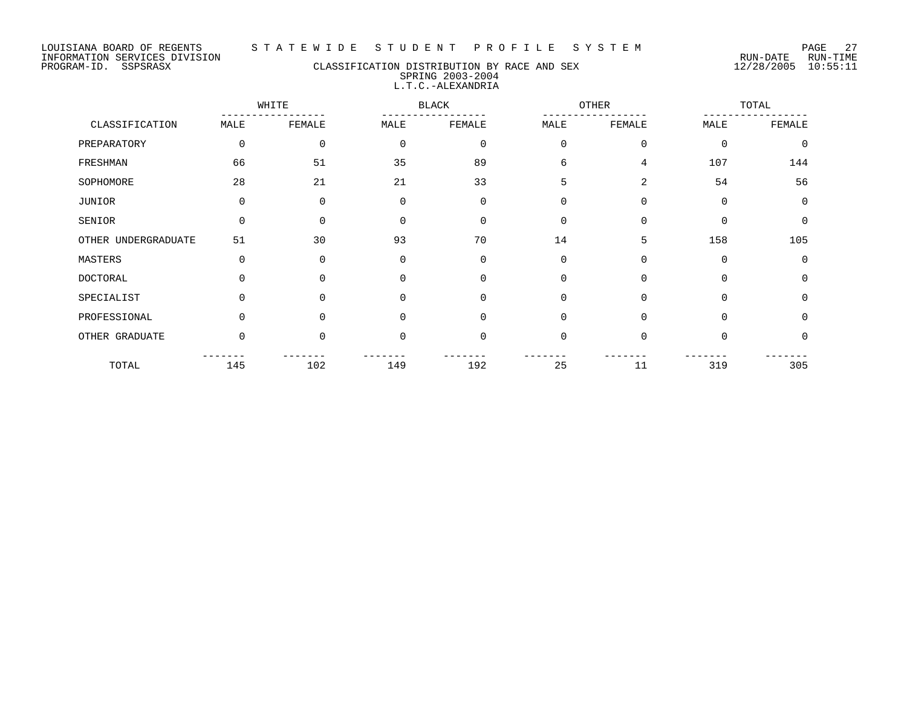#### PROGRAM-ID. SSPSRASX CLASSIFICATION DISTRIBUTION BY RACE AND SEX 12/28/2005 10:55:11 SPRING 2003-2004 L.T.C.-ALEXANDRIA

WHITE BLACK OTHER TOTAL ----------------- ----------------- ----------------- ----------------- CLASSIFICATION MALE FEMALE MALE FEMALE MALE FEMALE MALE FEMALE PREPARATORY 0 0 0 0 0 0 0 0 FRESHMAN 66 51 35 89 6 4 107 144 SOPHOMORE 28 21 21 33 5 2 54 56 JUNIOR 0 0 0 0 0 0 0 0 SENIOR 0 0 0 0 0 0 0 0 OTHER UNDERGRADUATE 51 30 93 70 14 5 158 105 MASTERS 0 0 0 0 0 0 0 0 DOCTORAL 0 0 0 0 0 0 0 0 SPECIALIST 0 0 0 0 0 0 0 0 0 0 PROFESSIONAL 0 0 0 0 0 0 0 0 0 0 0 0 OTHER GRADUATE 0 0 0 0 0 0 0 0 ------- ------- ------- ------- ------- ------- ------- ------- TOTAL 145 102 149 192 25 11 319 305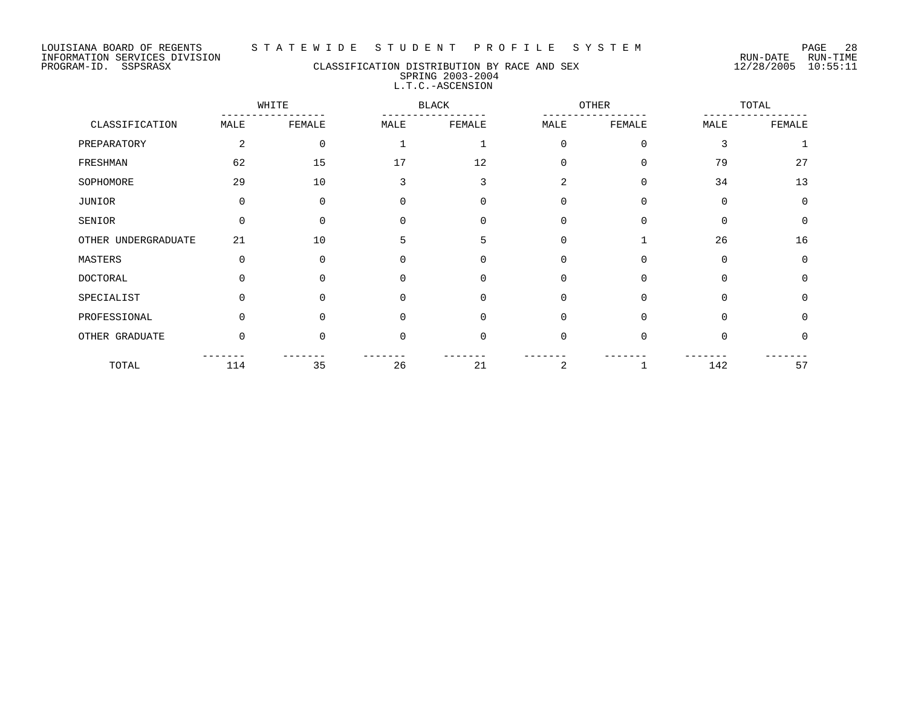## PROGRAM-ID. SSPSRASX CLASSIFICATION DISTRIBUTION BY RACE AND SEX 12/28/2005 10:55:11 SPRING 2003-2004 L.T.C.-ASCENSION

|                     |             | WHITE       |             | <b>BLACK</b> |                | <b>OTHER</b> |             | TOTAL       |
|---------------------|-------------|-------------|-------------|--------------|----------------|--------------|-------------|-------------|
| CLASSIFICATION      | MALE        | FEMALE      | MALE        | FEMALE       | MALE           | FEMALE       | MALE        | FEMALE      |
| PREPARATORY         | 2           | $\mathbf 0$ |             |              | $\Omega$       | $\mathbf 0$  | 3           |             |
| FRESHMAN            | 62          | 15          | 17          | 12           | $\Omega$       | $\mathbf 0$  | 79          | 27          |
| SOPHOMORE           | 29          | 10          | 3           | 3            | $\overline{a}$ | $\mathbf 0$  | 34          | 13          |
| JUNIOR              | $\mathbf 0$ | 0           | $\mathbf 0$ | $\mathbf 0$  | $\Omega$       | $\mathbf 0$  | $\mathbf 0$ | $\mathbf 0$ |
| SENIOR              | $\Omega$    | $\Omega$    | $\Omega$    | $\mathbf 0$  | $\Omega$       | $\mathbf 0$  | $\Omega$    | $\mathbf 0$ |
| OTHER UNDERGRADUATE | 21          | 10          | 5           | 5            | $\Omega$       | $\mathbf{1}$ | 26          | 16          |
| MASTERS             | 0           | $\Omega$    | $\mathbf 0$ | 0            | 0              | 0            | 0           | 0           |
| <b>DOCTORAL</b>     | U           | $\Omega$    | $\Omega$    | $\mathbf 0$  | $\Omega$       | $\Omega$     | $\Omega$    | $\Omega$    |
| SPECIALIST          | 0           | $\Omega$    | $\Omega$    | $\mathbf 0$  | $\Omega$       | $\Omega$     | $\Omega$    | $\Omega$    |
| PROFESSIONAL        | 0           | 0           | $\Omega$    | $\mathbf 0$  | $\Omega$       | $\Omega$     | $\Omega$    | $\Omega$    |
| OTHER GRADUATE      | $\Omega$    | $\Omega$    | $\Omega$    | $\mathbf 0$  | $\Omega$       | $\Omega$     | $\Omega$    | $\Omega$    |
| TOTAL               | 114         | 35          | 26          | 21           | 2              |              | 142         | 57          |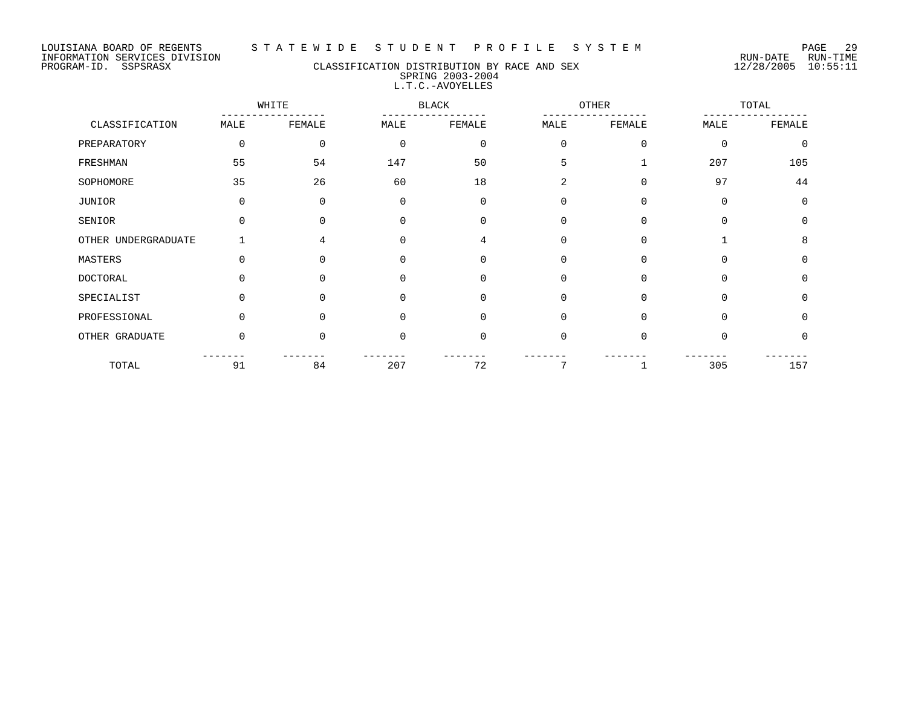## PROGRAM-ID. SSPSRASX CLASSIFICATION DISTRIBUTION BY RACE AND SEX 12/28/2005 10:55:11 SPRING 2003-2004 L.T.C.-AVOYELLES

|                     |          | WHITE        |              | <b>BLACK</b> |             | OTHER    |          | TOTAL    |  |
|---------------------|----------|--------------|--------------|--------------|-------------|----------|----------|----------|--|
| CLASSIFICATION      | MALE     | FEMALE       | MALE         | FEMALE       | MALE        | FEMALE   | MALE     | FEMALE   |  |
| PREPARATORY         | $\Omega$ | $\Omega$     | $\Omega$     | $\mathbf 0$  | $\Omega$    | $\Omega$ | $\Omega$ | $\Omega$ |  |
| FRESHMAN            | 55       | 54           | 147          | 50           | 5           |          | 207      | 105      |  |
| SOPHOMORE           | 35       | 26           | 60           | 18           | 2           | $\Omega$ | 97       | 44       |  |
| JUNIOR              | 0        | $\Omega$     | $\Omega$     | 0            | 0           | $\Omega$ | $\Omega$ | $\Omega$ |  |
| SENIOR              |          | <sup>n</sup> | <sup>0</sup> | $\Omega$     | $\Omega$    | $\Omega$ | $\Omega$ | $\Omega$ |  |
| OTHER UNDERGRADUATE |          | 4            | $\Omega$     | 4            | 0           | $\Omega$ |          | 8        |  |
| MASTERS             | O        | 0            | 0            | 0            | 0           | 0        | 0        | $\Omega$ |  |
| <b>DOCTORAL</b>     |          |              | $\Omega$     | $\Omega$     | $\mathbf 0$ | $\Omega$ | $\Omega$ | $\Omega$ |  |
| SPECIALIST          | U        | $\Omega$     | 0            | $\Omega$     | $\mathbf 0$ | $\Omega$ | $\Omega$ | $\Omega$ |  |
| PROFESSIONAL        | U        | U            | 0            | $\Omega$     | $\mathbf 0$ | $\Omega$ | $\Omega$ | $\Omega$ |  |
| OTHER GRADUATE      | $\Omega$ | $\Omega$     | $\mathbf 0$  | 0            | 0           | $\Omega$ | $\Omega$ | $\Omega$ |  |
| TOTAL               | 91       | 84           | 207          | 72           | 7           |          | 305      | 157      |  |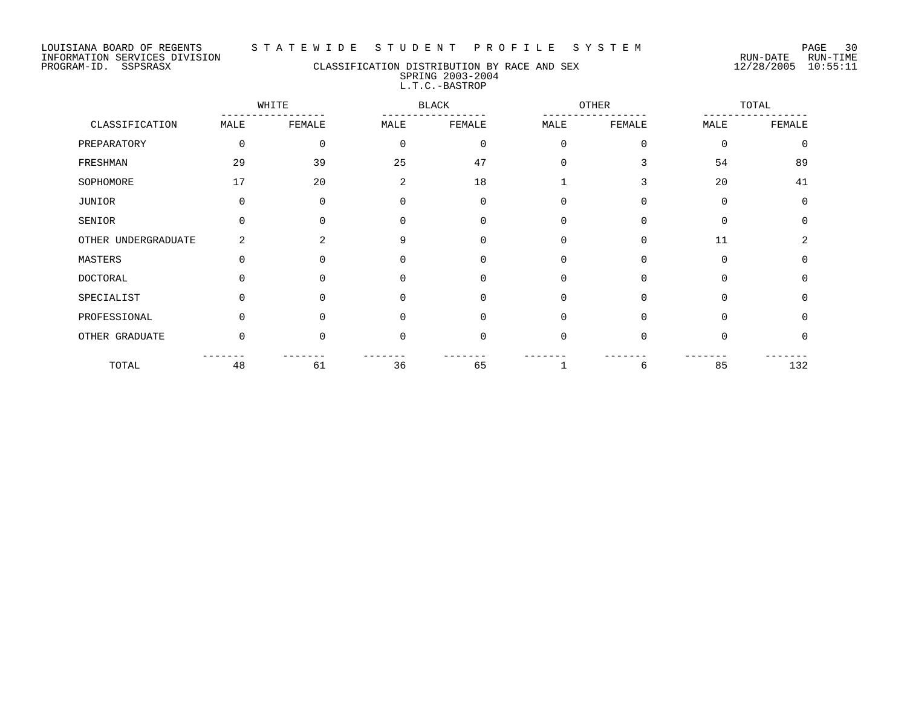#### LOUISIANA BOARD OF REGENTS S T A T E W I D E S T U D E N T P R O F I L E S Y S T E M PAGE 30

## PROGRAM-ID. SSPSRASX CLASSIFICATION DISTRIBUTION BY RACE AND SEX 12/28/2005 10:55:11 SPRING 2003-2004 L.T.C.-BASTROP

|                     |          | WHITE    | <b>BLACK</b> |             |              | <b>OTHER</b> |             | TOTAL    |
|---------------------|----------|----------|--------------|-------------|--------------|--------------|-------------|----------|
| CLASSIFICATION      | MALE     | FEMALE   | MALE         | FEMALE      | MALE         | FEMALE       | MALE        | FEMALE   |
| PREPARATORY         | $\Omega$ | $\Omega$ | $\Omega$     | $\mathbf 0$ | $\mathbf 0$  | $\Omega$     | $\Omega$    | $\Omega$ |
| FRESHMAN            | 29       | 39       | 25           | 47          | 0            | 3            | 54          | 89       |
| SOPHOMORE           | 17       | 20       | 2            | 18          | $\mathbf{1}$ | 3            | 20          | 41       |
| JUNIOR              | $\Omega$ | $\Omega$ | $\Omega$     | $\Omega$    | $\mathbf 0$  | $\Omega$     | $\mathbf 0$ | $\Omega$ |
| SENIOR              | $\Omega$ | $\Omega$ | $\Omega$     | $\Omega$    | 0            | $\Omega$     | $\Omega$    | $\Omega$ |
| OTHER UNDERGRADUATE | 2        | 2        | 9            | $\Omega$    | 0            | $\Omega$     | 11          | 2        |
| MASTERS             | O        | $\Omega$ | 0            | $\mathbf 0$ | 0            | 0            | $\mathbf 0$ | $\Omega$ |
| <b>DOCTORAL</b>     |          |          | $\Omega$     | $\Omega$    | $\mathbf 0$  | $\Omega$     | $\Omega$    | $\Omega$ |
| SPECIALIST          | $\Omega$ | $\Omega$ | $\Omega$     | $\Omega$    | $\Omega$     | $\Omega$     | $\Omega$    | $\Omega$ |
| PROFESSIONAL        | $\Omega$ | $\Omega$ | $\Omega$     | $\Omega$    | $\mathbf 0$  | $\Omega$     | $\Omega$    | $\Omega$ |
| OTHER GRADUATE      | $\Omega$ | $\Omega$ | $\Omega$     | $\Omega$    | $\mathbf 0$  | $\Omega$     | $\Omega$    | $\Omega$ |
| TOTAL               | 48       | 61       | 36           | 65          |              | 6            | 85          | 132      |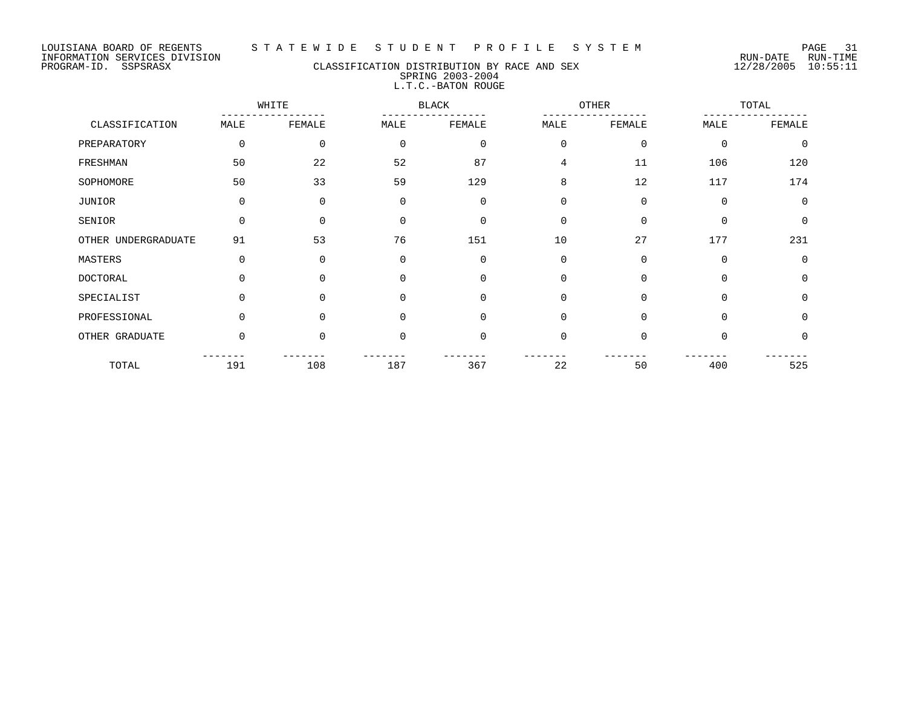## PROGRAM-ID. SSPSRASX CLASSIFICATION DISTRIBUTION BY RACE AND SEX 12/28/2005 10:55:11 SPRING 2003-2004 L.T.C.-BATON ROUGE

|                     |          | WHITE    |             | <b>BLACK</b> | OTHER       |             |             | TOTAL       |  |
|---------------------|----------|----------|-------------|--------------|-------------|-------------|-------------|-------------|--|
| CLASSIFICATION      | MALE     | FEMALE   | MALE        | FEMALE       | MALE        | FEMALE      | MALE        | FEMALE      |  |
| PREPARATORY         | 0        | 0        | $\mathbf 0$ | $\mathbf 0$  | $\mathbf 0$ | $\mathbf 0$ | $\mathbf 0$ | $\mathbf 0$ |  |
| FRESHMAN            | 50       | 22       | 52          | 87           | 4           | 11          | 106         | 120         |  |
| SOPHOMORE           | 50       | 33       | 59          | 129          | 8           | 12          | 117         | 174         |  |
| JUNIOR              | 0        | 0        | $\mathbf 0$ | $\mathbf 0$  | $\mathbf 0$ | $\mathbf 0$ | 0           | $\mathbf 0$ |  |
| SENIOR              | 0        | $\Omega$ | $\Omega$    | $\Omega$     | $\mathbf 0$ | $\Omega$    | $\Omega$    | $\Omega$    |  |
| OTHER UNDERGRADUATE | 91       | 53       | 76          | 151          | 10          | 27          | 177         | 231         |  |
| MASTERS             | 0        | $\Omega$ | $\mathbf 0$ | $\Omega$     | $\mathbf 0$ | $\Omega$    | $\Omega$    | $\Omega$    |  |
| <b>DOCTORAL</b>     | $\Omega$ | $\Omega$ | $\Omega$    | $\Omega$     | $\mathbf 0$ | $\Omega$    | $\Omega$    | $\Omega$    |  |
| SPECIALIST          | $\Omega$ | $\Omega$ | $\Omega$    | $\Omega$     | $\mathbf 0$ | $\Omega$    | $\Omega$    | $\Omega$    |  |
| PROFESSIONAL        | $\Omega$ | $\Omega$ | $\Omega$    | $\Omega$     | $\mathbf 0$ | $\Omega$    | $\Omega$    | $\Omega$    |  |
| OTHER GRADUATE      | $\Omega$ | $\Omega$ | $\mathbf 0$ | $\Omega$     | $\mathbf 0$ | $\Omega$    | $\Omega$    | $\Omega$    |  |
| TOTAL               | 191      | 108      | 187         | 367          | 22          | 50          | 400         | 525         |  |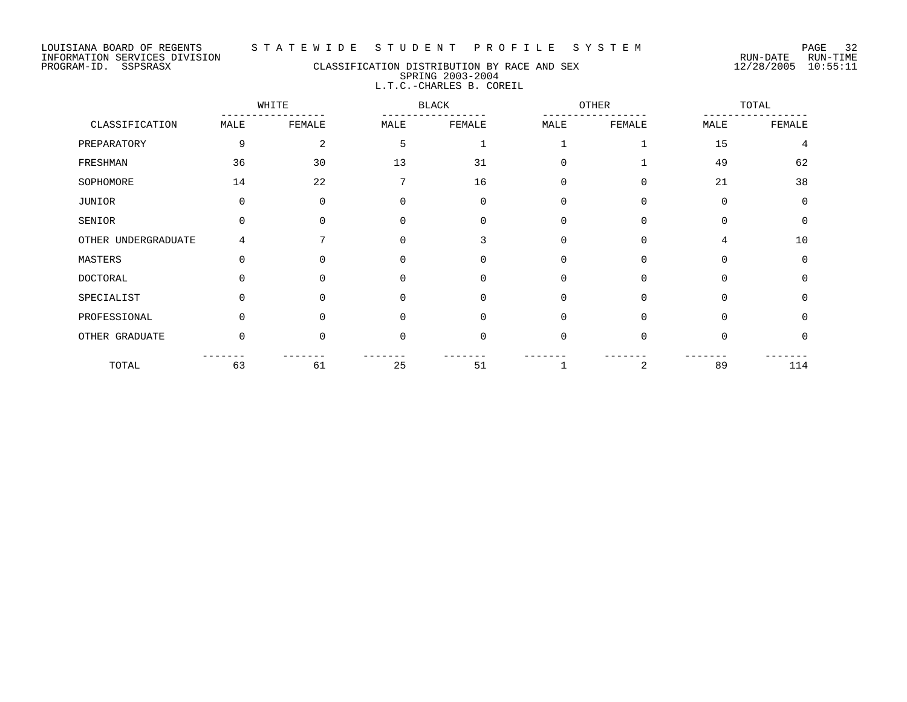#### LOUISIANA BOARD OF REGENTS S T A T E W I D E S T U D E N T P R O F I L E S Y S T E M PAGE 32

## PROGRAM-ID. SSPSRASX CLASSIFICATION DISTRIBUTION BY RACE AND SEX 12/28/2005 10:55:11 SPRING 2003-2004 L.T.C.-CHARLES B. COREIL

|                     |          | WHITE          | OTHER<br><b>BLACK</b> |             |          | TOTAL    |          |             |
|---------------------|----------|----------------|-----------------------|-------------|----------|----------|----------|-------------|
| CLASSIFICATION      | MALE     | FEMALE         | MALE                  | FEMALE      | MALE     | FEMALE   | MALE     | FEMALE      |
| PREPARATORY         | 9        | $\overline{a}$ | 5                     |             |          |          | 15       | 4           |
| FRESHMAN            | 36       | 30             | 13                    | 31          | U        |          | 49       | 62          |
| SOPHOMORE           | 14       | 22             | 7                     | 16          | $\Omega$ | $\Omega$ | 21       | 38          |
| JUNIOR              | $\Omega$ | 0              | 0                     | $\mathbf 0$ | $\Omega$ | $\Omega$ | $\Omega$ | $\mathbf 0$ |
| SENIOR              |          | 0              | ∩                     | $\Omega$    | $\Omega$ | $\Omega$ | $\Omega$ | 0           |
| OTHER UNDERGRADUATE | 4        |                | ∩                     | 3           | $\Omega$ | $\Omega$ | 4        | 10          |
| MASTERS             |          | $\Omega$       |                       | $\Omega$    | $\Omega$ | $\Omega$ | $\Omega$ | $\Omega$    |
| <b>DOCTORAL</b>     |          | 0              |                       | $\Omega$    | $\Omega$ | $\Omega$ | $\Omega$ | $\Omega$    |
| SPECIALIST          |          | $\Omega$       | <sup>0</sup>          | $\Omega$    | $\Omega$ | $\Omega$ | $\Omega$ | $\Omega$    |
| PROFESSIONAL        |          | $\Omega$       |                       | $\Omega$    | $\Omega$ | $\Omega$ | $\Omega$ | $\Omega$    |
| OTHER GRADUATE      | $\Omega$ | $\Omega$       | $\Omega$              | $\Omega$    | $\Omega$ | $\Omega$ | $\Omega$ | 0           |
| TOTAL               | 63       | 61             | 25                    | 51          |          | 2        | 89       | 114         |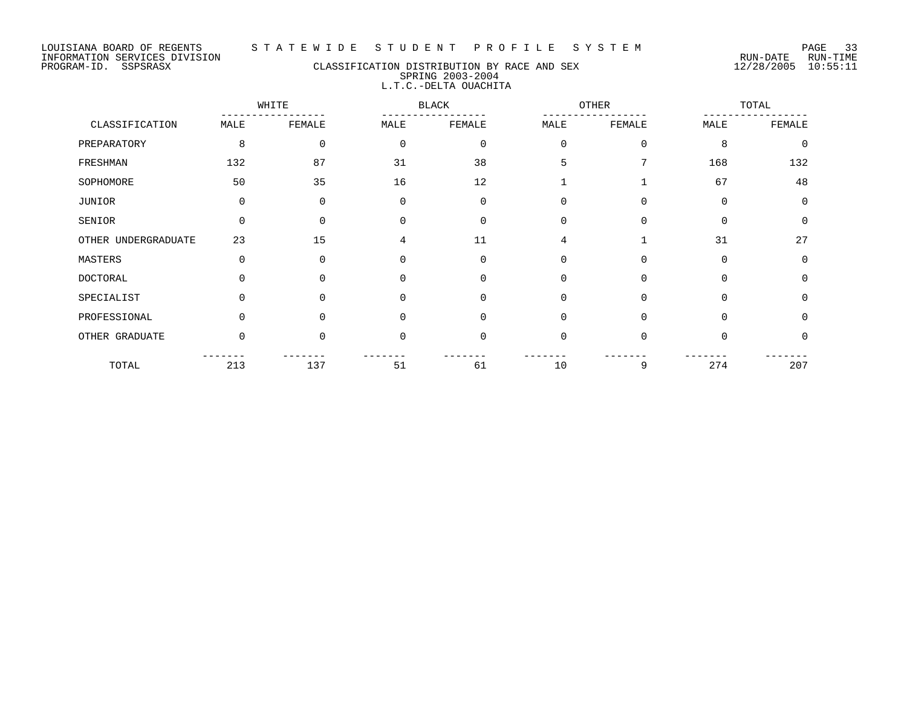# PROGRAM-ID. SSPSRASX CLASSIFICATION DISTRIBUTION BY RACE AND SEX 12/28/2005 10:55:11 SPRING 2003-2004 L.T.C.-DELTA OUACHITA

|                     |          | WHITE    |             | <b>BLACK</b> |          | OTHER       |          | TOTAL       |
|---------------------|----------|----------|-------------|--------------|----------|-------------|----------|-------------|
| CLASSIFICATION      | MALE     | FEMALE   | MALE        | FEMALE       | MALE     | FEMALE      | MALE     | FEMALE      |
| PREPARATORY         | 8        | 0        | $\mathbf 0$ | $\mathbf 0$  | $\Omega$ | $\mathbf 0$ | 8        | $\mathbf 0$ |
| FRESHMAN            | 132      | 87       | 31          | 38           | 5        |             | 168      | 132         |
| SOPHOMORE           | 50       | 35       | 16          | 12           |          |             | 67       | 48          |
| JUNIOR              | $\Omega$ | 0        | $\mathbf 0$ | $\Omega$     | $\Omega$ | $\Omega$    | $\Omega$ | $\mathbf 0$ |
| SENIOR              | $\Omega$ | 0        | $\Omega$    | $\Omega$     | $\Omega$ | $\Omega$    | $\Omega$ | $\mathbf 0$ |
| OTHER UNDERGRADUATE | 23       | 15       | 4           | 11           | 4        |             | 31       | 27          |
| MASTERS             | $\Omega$ | 0        | $\mathbf 0$ | $\Omega$     | 0        | 0           | $\Omega$ | $\mathbf 0$ |
| <b>DOCTORAL</b>     |          | O        | $\Omega$    | $\Omega$     | $\Omega$ | $\Omega$    | $\Omega$ | $\Omega$    |
| SPECIALIST          | 0        | 0        | $\Omega$    | $\Omega$     | $\Omega$ | $\Omega$    | $\Omega$ | $\Omega$    |
| PROFESSIONAL        | 0        | 0        | $\Omega$    | $\Omega$     | $\Omega$ | $\Omega$    | $\Omega$ | 0           |
| OTHER GRADUATE      | $\Omega$ | $\Omega$ | $\mathbf 0$ | $\Omega$     | $\Omega$ | $\Omega$    | $\Omega$ | 0           |
| TOTAL               | 213      | 137      | 51          | 61           | 10       | 9           | 274      | 207         |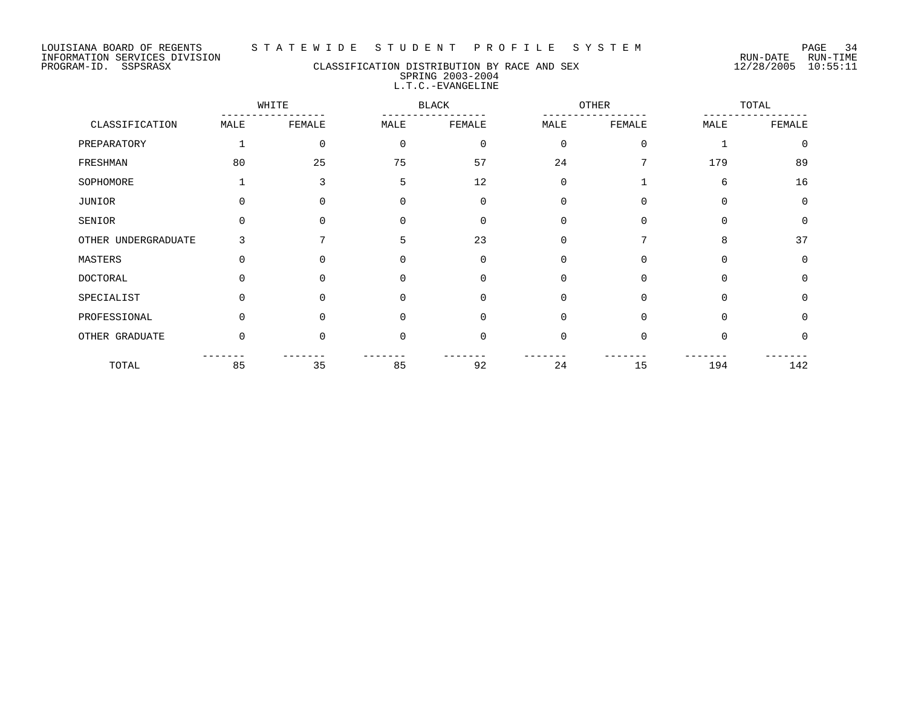## PROGRAM-ID. SSPSRASX CLASSIFICATION DISTRIBUTION BY RACE AND SEX 12/28/2005 10:55:11 SPRING 2003-2004 L.T.C.-EVANGELINE

|                     |          | WHITE    |             | <b>BLACK</b> |             | OTHER       |          | TOTAL       |  |
|---------------------|----------|----------|-------------|--------------|-------------|-------------|----------|-------------|--|
| CLASSIFICATION      | MALE     | FEMALE   | MALE        | FEMALE       | MALE        | FEMALE      | MALE     | FEMALE      |  |
| PREPARATORY         |          | $\Omega$ | $\mathbf 0$ | $\mathbf 0$  | $\Omega$    | $\mathbf 0$ |          | $\mathbf 0$ |  |
| FRESHMAN            | 80       | 25       | 75          | 57           | 24          |             | 179      | 89          |  |
| SOPHOMORE           |          | ς        | 5           | 12           | $\mathbf 0$ |             | 6        | 16          |  |
| JUNIOR              | 0        | $\Omega$ | 0           | 0            | $\Omega$    | $\Omega$    | $\Omega$ | $\mathbf 0$ |  |
| SENIOR              | O        | $\cap$   | $\Omega$    | $\Omega$     | $\Omega$    | $\Omega$    | $\Omega$ | $\mathbf 0$ |  |
| OTHER UNDERGRADUATE | 3        |          | 5           | 23           | $\Omega$    | 7           | 8        | 37          |  |
| MASTERS             | $\Omega$ | $\Omega$ | $\Omega$    | 0            | $\mathbf 0$ | 0           | 0        | 0           |  |
| <b>DOCTORAL</b>     | ∩        |          | $\Omega$    | $\Omega$     | $\Omega$    | $\Omega$    | $\Omega$ | 0           |  |
| SPECIALIST          | $\Omega$ | $\Omega$ | $\Omega$    | $\Omega$     | $\Omega$    | $\Omega$    | $\Omega$ | $\mathbf 0$ |  |
| PROFESSIONAL        | $\Omega$ | $\cap$   | $\Omega$    | $\Omega$     | $\Omega$    | $\Omega$    | $\Omega$ | $\Omega$    |  |
| OTHER GRADUATE      | $\Omega$ | $\Omega$ | $\Omega$    | $\mathbf 0$  | $\Omega$    | $\Omega$    | $\Omega$ | $\Omega$    |  |
| TOTAL               | 85       | 35       | 85          | 92           | 24          | 15          | 194      | 142         |  |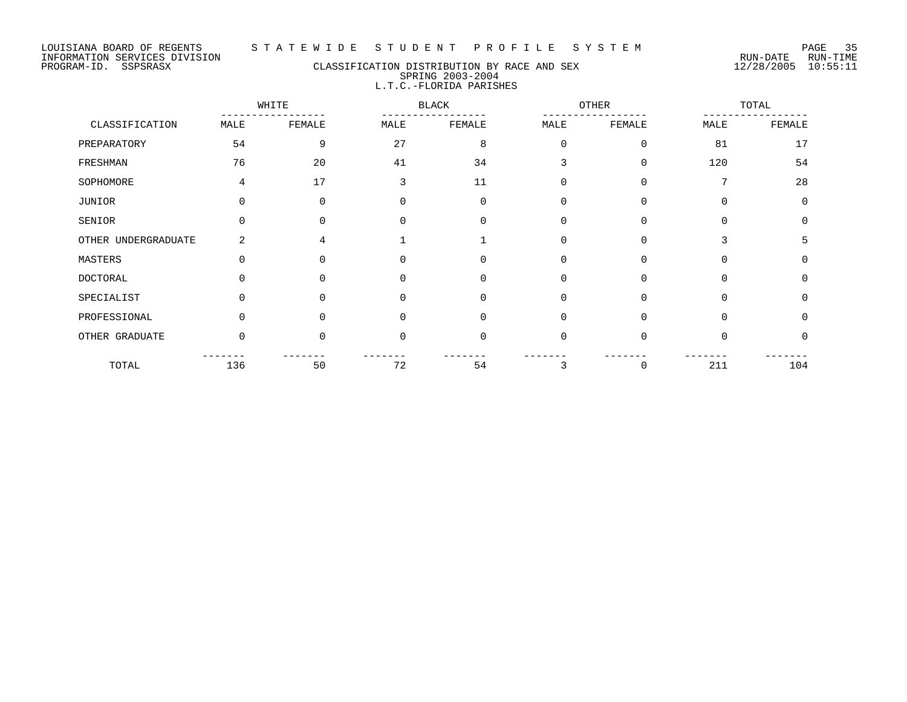PROGRAM-ID. SSPSRASX CLASSIFICATION DISTRIBUTION BY RACE AND SEX 12/28/2005 10:55:11 SPRING 2003-2004 L.T.C.-FLORIDA PARISHES

|                     |                | WHITE    |          | <b>BLACK</b> |             | OTHER       |          |          |  | TOTAL |  |
|---------------------|----------------|----------|----------|--------------|-------------|-------------|----------|----------|--|-------|--|
| CLASSIFICATION      | MALE           | FEMALE   | MALE     | FEMALE       | MALE        | FEMALE      | MALE     | FEMALE   |  |       |  |
| PREPARATORY         | 54             | 9        | 27       | 8            | $\mathbf 0$ | $\mathbf 0$ | 81       | 17       |  |       |  |
| FRESHMAN            | 76             | 20       | 41       | 34           | 3           | $\mathbf 0$ | 120      | 54       |  |       |  |
| SOPHOMORE           | 4              | 17       | 3        | 11           | $\Omega$    | 0           | 7        | 28       |  |       |  |
| JUNIOR              | $\Omega$       | $\Omega$ | $\Omega$ | $\Omega$     | $\Omega$    | $\Omega$    | $\Omega$ | $\Omega$ |  |       |  |
| SENIOR              | $\Omega$       | 0        | 0        | $\Omega$     | $\Omega$    | 0           | $\Omega$ | $\Omega$ |  |       |  |
| OTHER UNDERGRADUATE | $\overline{a}$ | 4        |          |              | $\Omega$    | $\Omega$    | 3        | 5        |  |       |  |
| MASTERS             | $\Omega$       | $\Omega$ | $\Omega$ | $\Omega$     | $\Omega$    | $\Omega$    | $\Omega$ | $\Omega$ |  |       |  |
| DOCTORAL            | U              | 0        | $\Omega$ | 0            | $\mathbf 0$ | 0           | 0        | $\Omega$ |  |       |  |
| SPECIALIST          |                | 0        |          | $\Omega$     | $\Omega$    | $\Omega$    | $\Omega$ | $\Omega$ |  |       |  |
| PROFESSIONAL        | $\Omega$       | $\Omega$ | $\Omega$ | $\Omega$     | $\Omega$    | $\Omega$    | 0        | $\Omega$ |  |       |  |
| OTHER GRADUATE      | 0              | 0        | $\Omega$ | $\Omega$     | $\mathbf 0$ | 0           | $\Omega$ | $\Omega$ |  |       |  |
| TOTAL               | 136            | 50       | 72       | 54           | 3           | 0           | 211      | 104      |  |       |  |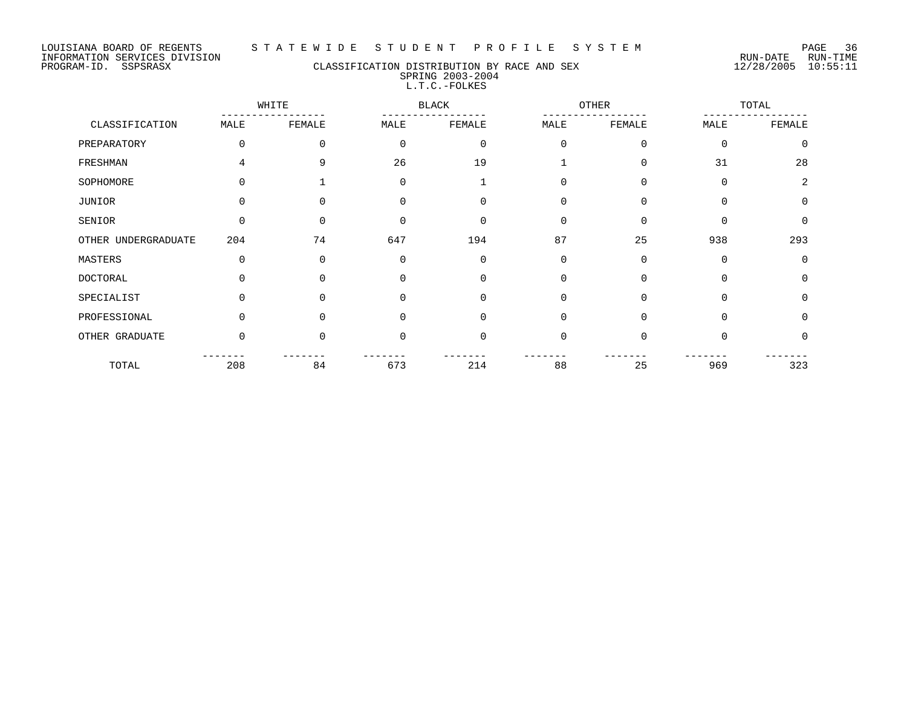#### LOUISIANA BOARD OF REGENTS S T A T E W I D E S T U D E N T P R O F I L E S Y S T E M PAGE 36

## PROGRAM-ID. SSPSRASX CLASSIFICATION DISTRIBUTION BY RACE AND SEX 12/28/2005 10:55:11 SPRING 2003-2004 L.T.C.-FOLKES

|                     |          | WHITE    |             | BLACK       | OTHER       |          | TOTAL    |          |
|---------------------|----------|----------|-------------|-------------|-------------|----------|----------|----------|
| CLASSIFICATION      | MALE     | FEMALE   | MALE        | FEMALE      | MALE        | FEMALE   | MALE     | FEMALE   |
| PREPARATORY         | $\Omega$ | $\Omega$ | $\mathbf 0$ | $\mathbf 0$ | $\Omega$    | $\Omega$ | $\Omega$ | $\Omega$ |
| FRESHMAN            | 4        | 9        | 26          | 19          |             | 0        | 31       | 28       |
| SOPHOMORE           | 0        |          | $\Omega$    |             | 0           | $\Omega$ | $\Omega$ | 2        |
| JUNIOR              | $\Omega$ | 0        | $\Omega$    | $\Omega$    | $\Omega$    | $\Omega$ | $\Omega$ | $\Omega$ |
| SENIOR              | 0        | $\Omega$ | $\Omega$    | $\Omega$    | 0           | $\Omega$ |          | $\Omega$ |
| OTHER UNDERGRADUATE | 204      | 74       | 647         | 194         | 87          | 25       | 938      | 293      |
| MASTERS             | 0        | $\Omega$ | 0           | $\mathbf 0$ | 0           | 0        | $\Omega$ | $\Omega$ |
| <b>DOCTORAL</b>     | 0        | O        | $\Omega$    | $\Omega$    | 0           | $\Omega$ | $\Omega$ | $\Omega$ |
| SPECIALIST          | 0        | $\Omega$ | 0           | 0           | $\mathbf 0$ | $\Omega$ | $\Omega$ | $\Omega$ |
| PROFESSIONAL        | $\Omega$ | 0        | $\Omega$    | $\Omega$    | $\Omega$    | $\Omega$ | $\Omega$ | $\Omega$ |
| OTHER GRADUATE      | $\Omega$ | $\Omega$ | $\Omega$    | $\Omega$    | $\Omega$    | $\Omega$ | $\Omega$ | $\Omega$ |
| TOTAL               | 208      | 84       | 673         | 214         | 88          | 25       | 969      | 323      |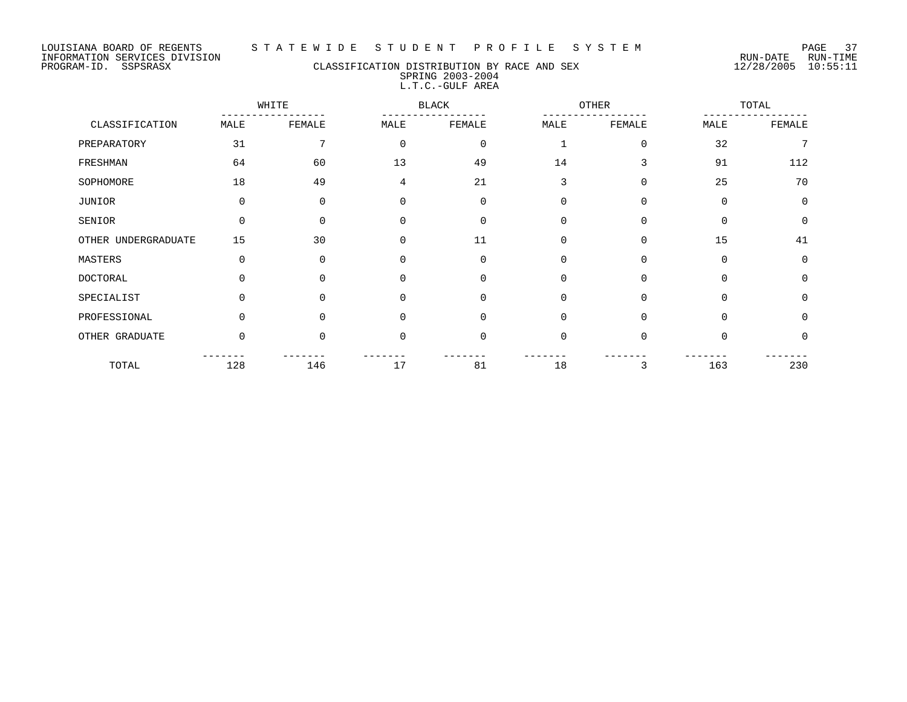LOUISIANA BOARD OF REGENTS S T A T E W I D E S T U D E N T P R O F I L E S Y S T E M PAGE 37

## PROGRAM-ID. SSPSRASX CLASSIFICATION DISTRIBUTION BY RACE AND SEX 12/28/2005 10:55:11 SPRING 2003-2004 L.T.C.-GULF AREA

|                     |          | WHITE    |             | <b>BLACK</b> |              | OTHER    |          | TOTAL       |
|---------------------|----------|----------|-------------|--------------|--------------|----------|----------|-------------|
| CLASSIFICATION      | MALE     | FEMALE   | MALE        | FEMALE       | MALE         | FEMALE   | MALE     | FEMALE      |
| PREPARATORY         | 31       | 7        | $\Omega$    | $\Omega$     | $\mathbf{1}$ | $\Omega$ | 32       | 7           |
| FRESHMAN            | 64       | 60       | 13          | 49           | 14           | 3        | 91       | 112         |
| SOPHOMORE           | 18       | 49       | 4           | 21           | 3            | $\Omega$ | 25       | 70          |
| JUNIOR              | 0        | $\Omega$ | $\Omega$    | $\Omega$     | 0            | $\Omega$ | $\Omega$ | $\Omega$    |
| SENIOR              | 0        | $\Omega$ | $\Omega$    | $\Omega$     | 0            | $\Omega$ | $\Omega$ | $\Omega$    |
| OTHER UNDERGRADUATE | 15       | 30       | $\mathbf 0$ | 11           | 0            | $\Omega$ | 15       | 41          |
| MASTERS             | 0        | $\Omega$ | $\mathbf 0$ | $\Omega$     | 0            | $\Omega$ | 0        | $\Omega$    |
| <b>DOCTORAL</b>     | $\Omega$ | $\Omega$ | $\Omega$    | $\Omega$     | 0            | $\Omega$ | $\Omega$ | $\Omega$    |
| SPECIALIST          | 0        | $\Omega$ | $\mathbf 0$ | $\Omega$     | $\mathbf 0$  | $\Omega$ | $\Omega$ | $\mathbf 0$ |
| PROFESSIONAL        | $\Omega$ | $\Omega$ | $\Omega$    | $\Omega$     | 0            | $\Omega$ | $\Omega$ | $\Omega$    |
| OTHER GRADUATE      | $\Omega$ | $\Omega$ | $\Omega$    | $\Omega$     | $\Omega$     | $\Omega$ | $\Omega$ | $\Omega$    |
| TOTAL               | 128      | 146      | 17          | 81           | 18           | 3        | 163      | 230         |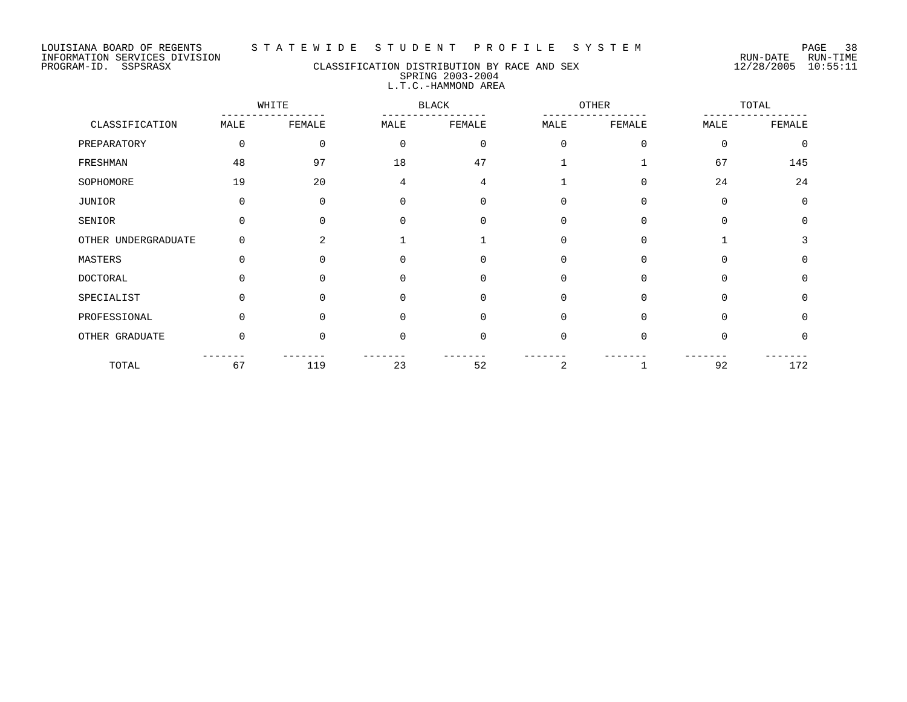## PROGRAM-ID. SSPSRASX CLASSIFICATION DISTRIBUTION BY RACE AND SEX 12/28/2005 10:55:11 SPRING 2003-2004 L.T.C.-HAMMOND AREA

|                     |              | WHITE          |              | <b>BLACK</b> |             | <b>OTHER</b> |          | TOTAL    |
|---------------------|--------------|----------------|--------------|--------------|-------------|--------------|----------|----------|
| CLASSIFICATION      | MALE         | FEMALE         | MALE         | FEMALE       | MALE        | FEMALE       | MALE     | FEMALE   |
| PREPARATORY         | $\mathbf 0$  | 0              | $\Omega$     | $\mathbf 0$  | $\Omega$    | $\mathbf 0$  | $\Omega$ | $\Omega$ |
| FRESHMAN            | 48           | 97             | 18           | 47           |             |              | 67       | 145      |
| SOPHOMORE           | 19           | 20             | 4            | 4            |             | $\Omega$     | 24       | 24       |
| JUNIOR              | $\Omega$     | 0              | 0            | 0            | $\mathbf 0$ | 0            | $\Omega$ | $\Omega$ |
| SENIOR              |              | <sup>n</sup>   | <sup>n</sup> | $\Omega$     | $\Omega$    | $\Omega$     | $\Omega$ | $\Omega$ |
| OTHER UNDERGRADUATE | $\Omega$     | $\overline{2}$ |              |              | $\Omega$    | $\Omega$     |          | 3        |
| MASTERS             | $\Omega$     | <sup>n</sup>   | <sup>0</sup> | $\Omega$     | $\Omega$    | $\Omega$     | $\Omega$ | $\Omega$ |
| <b>DOCTORAL</b>     |              |                |              | $\Omega$     | $\Omega$    | $\Omega$     | $\Omega$ | $\Omega$ |
| SPECIALIST          | $\Omega$     | $\Omega$       | <sup>0</sup> | $\Omega$     | $\Omega$    | $\Omega$     | $\Omega$ | $\Omega$ |
| PROFESSIONAL        | <sup>n</sup> | <sup>n</sup>   |              | $\Omega$     | $\Omega$    | $\Omega$     | $\Omega$ | $\Omega$ |
| OTHER GRADUATE      | $\Omega$     | <sup>n</sup>   | O            | $\mathbf 0$  | $\mathbf 0$ | $\Omega$     | ∩        | 0        |
| TOTAL               | 67           | 119            | 23           | 52           | 2           |              | 92       | 172      |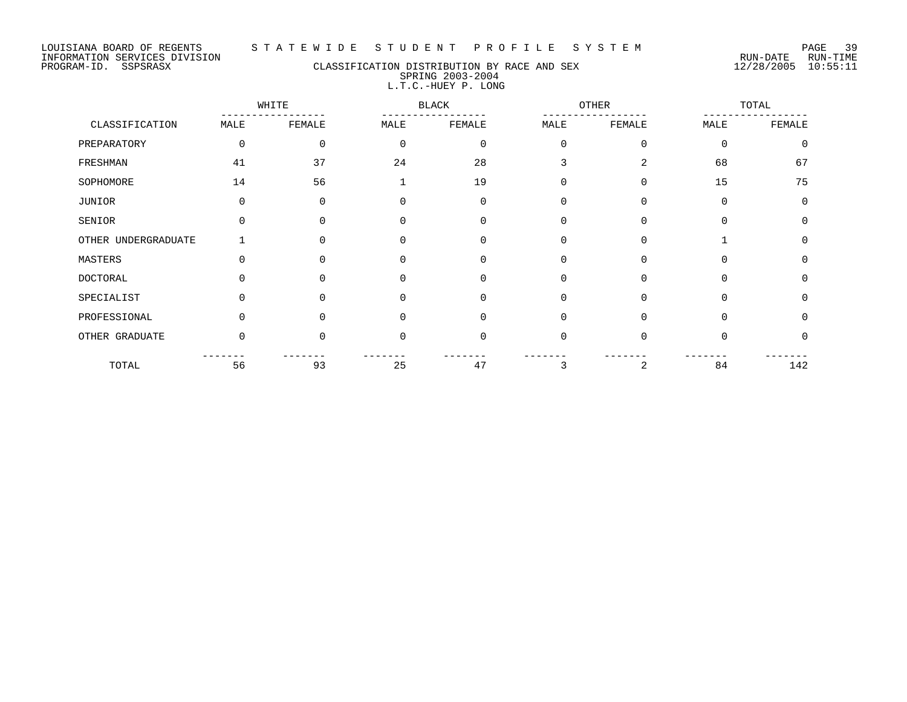#### LOUISIANA BOARD OF REGENTS S T A T E W I D E S T U D E N T P R O F I L E S Y S T E M PAGE 39

PROGRAM-ID. SSPSRASX CLASSIFICATION DISTRIBUTION BY RACE AND SEX 12/28/2005 10:55:11 SPRING 2003-2004 L.T.C.-HUEY P. LONG

WHITE BLACK OTHER TOTAL ----------------- ----------------- ----------------- ----------------- CLASSIFICATION MALE FEMALE MALE FEMALE MALE FEMALE MALE FEMALE PREPARATORY 0 0 0 0 0 0 0 0 FRESHMAN 41 37 24 28 3 2 68 67 SOPHOMORE 14 56 1 19 0 0 15 75 JUNIOR 0 0 0 0 0 0 0 0 SENIOR 0 0 0 0 0 0 0 0 OTHER UNDERGRADUATE 1 0 0 0 0 0 0 0 1 0 MASTERS 0 0 0 0 0 0 0 0 DOCTORAL 0 0 0 0 0 0 0 0 SPECIALIST 0 0 0 0 0 0 0 0 0 0 PROFESSIONAL 0 0 0 0 0 0 0 0 0 0 0 0 OTHER GRADUATE  $\begin{array}{ccccccccccc} 0 & 0 & 0 & 0 & 0 & 0 & 0 & 0 & 0 \end{array}$ ------- ------- ------- ------- ------- ------- ------- ------- TOTAL 56 93 25 47 3 2 84 142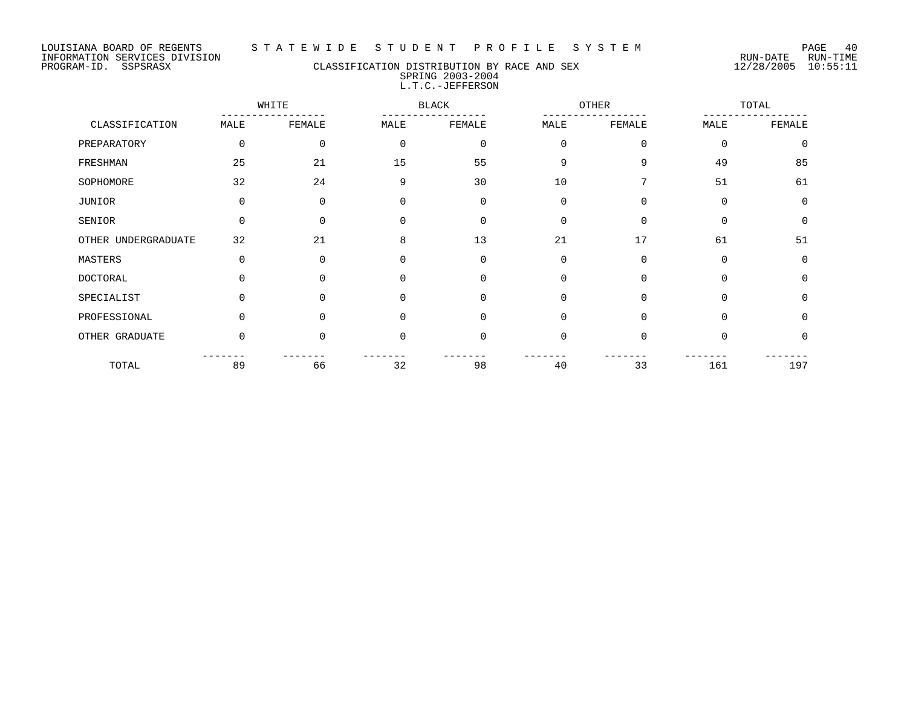## PROGRAM-ID. SSPSRASX CLASSIFICATION DISTRIBUTION BY RACE AND SEX 12/28/2005 10:55:11 SPRING 2003-2004 L.T.C.-JEFFERSON

|                     |          | WHITE       |             | <b>BLACK</b> |             | <b>OTHER</b> |             | TOTAL    |
|---------------------|----------|-------------|-------------|--------------|-------------|--------------|-------------|----------|
| CLASSIFICATION      | MALE     | FEMALE      | MALE        | FEMALE       | MALE        | FEMALE       | MALE        | FEMALE   |
| PREPARATORY         | 0        | $\mathbf 0$ | $\mathbf 0$ | $\mathbf 0$  | $\mathbf 0$ | $\mathbf 0$  | $\Omega$    | $\Omega$ |
| FRESHMAN            | 25       | 21          | 15          | 55           | 9           | 9            | 49          | 85       |
| SOPHOMORE           | 32       | 24          | 9           | 30           | 10          | 7            | 51          | 61       |
| <b>JUNIOR</b>       | 0        | 0           | $\mathbf 0$ | $\mathbf 0$  | $\mathbf 0$ | $\Omega$     | $\Omega$    | $\Omega$ |
| SENIOR              | 0        | $\Omega$    | $\Omega$    | $\Omega$     | $\Omega$    | $\Omega$     | $\Omega$    | $\Omega$ |
| OTHER UNDERGRADUATE | 32       | 21          | 8           | 13           | 21          | 17           | 61          | 51       |
| MASTERS             | 0        | 0           | $\mathbf 0$ | $\mathbf 0$  | 0           | 0            | $\mathbf 0$ | 0        |
| <b>DOCTORAL</b>     | 0        | 0           | $\Omega$    | $\mathbf 0$  | $\mathbf 0$ | $\Omega$     | $\Omega$    | $\Omega$ |
| SPECIALIST          | $\Omega$ | $\Omega$    | $\Omega$    | $\Omega$     | $\Omega$    | $\Omega$     | $\Omega$    | $\Omega$ |
| PROFESSIONAL        | $\Omega$ | $\Omega$    | 0           | 0            | $\mathbf 0$ | $\Omega$     | $\Omega$    | $\Omega$ |
| OTHER GRADUATE      | 0        | $\Omega$    | 0           | 0            | $\mathbf 0$ | $\Omega$     | $\Omega$    | 0        |
| TOTAL               | 89       | 66          | 32          | 98           | 40          | 33           | 161         | 197      |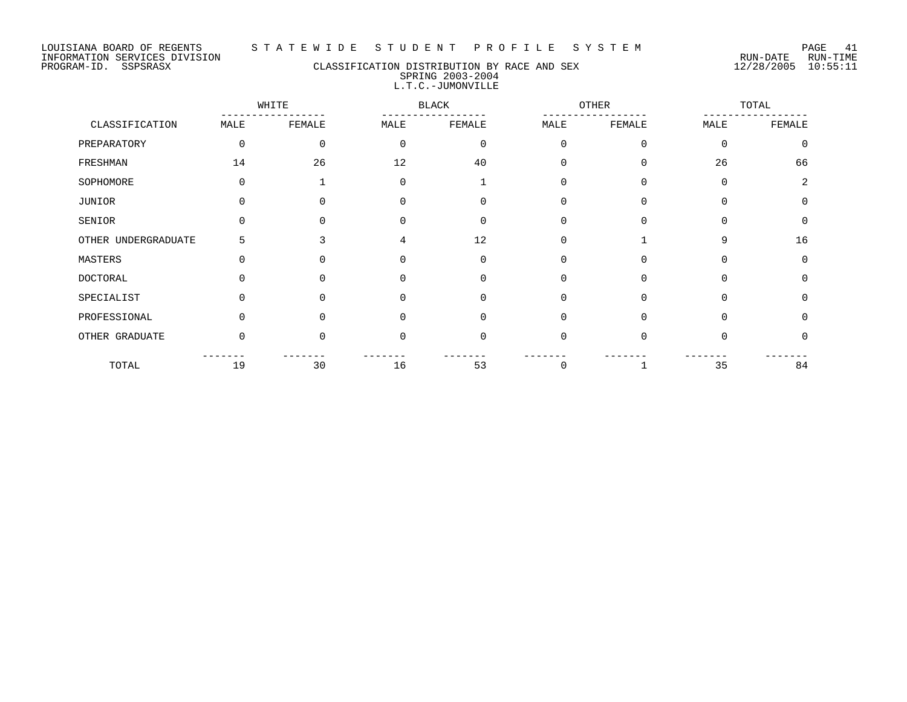## PROGRAM-ID. SSPSRASX CLASSIFICATION DISTRIBUTION BY RACE AND SEX 12/28/2005 10:55:11 SPRING 2003-2004 L.T.C.-JUMONVILLE

|                     |          | WHITE        |          | <b>BLACK</b> |          | OTHER    |             | TOTAL       |
|---------------------|----------|--------------|----------|--------------|----------|----------|-------------|-------------|
| CLASSIFICATION      | MALE     | FEMALE       | MALE     | FEMALE       | MALE     | FEMALE   | MALE        | FEMALE      |
| PREPARATORY         | 0        | $\Omega$     | $\Omega$ | $\mathbf 0$  | $\Omega$ | 0        | $\mathbf 0$ | $\mathbf 0$ |
| FRESHMAN            | 14       | 26           | 12       | 40           | $\Omega$ | 0        | 26          | 66          |
| SOPHOMORE           | $\Omega$ |              | $\Omega$ |              | $\Omega$ | $\Omega$ | $\Omega$    | 2           |
| <b>JUNIOR</b>       | $\Omega$ |              | $\Omega$ | 0            | $\Omega$ | $\Omega$ | $\Omega$    | $\Omega$    |
| SENIOR              | O        |              | $\Omega$ | $\Omega$     | $\Omega$ | 0        | $\Omega$    | $\Omega$    |
| OTHER UNDERGRADUATE | 5        | ς            | 4        | 12           | $\Omega$ |          | 9           | 16          |
| MASTERS             | $\Omega$ | U            | $\Omega$ | 0            | 0        | 0        | 0           | 0           |
| <b>DOCTORAL</b>     |          |              | U        | 0            | $\Omega$ | 0        | $\Omega$    | 0           |
| SPECIALIST          | 0        | <sup>n</sup> | $\Omega$ | $\Omega$     | $\Omega$ | $\Omega$ | $\Omega$    | $\Omega$    |
| PROFESSIONAL        | $\Omega$ | ∩            | $\Omega$ | 0            | $\Omega$ | $\Omega$ | $\Omega$    | $\Omega$    |
| OTHER GRADUATE      | $\Omega$ | ∩            | $\Omega$ | 0            | $\Omega$ | 0        | 0           | 0           |
| TOTAL               | 19       | 30           | 16       | 53           | $\Omega$ |          | 35          | 84          |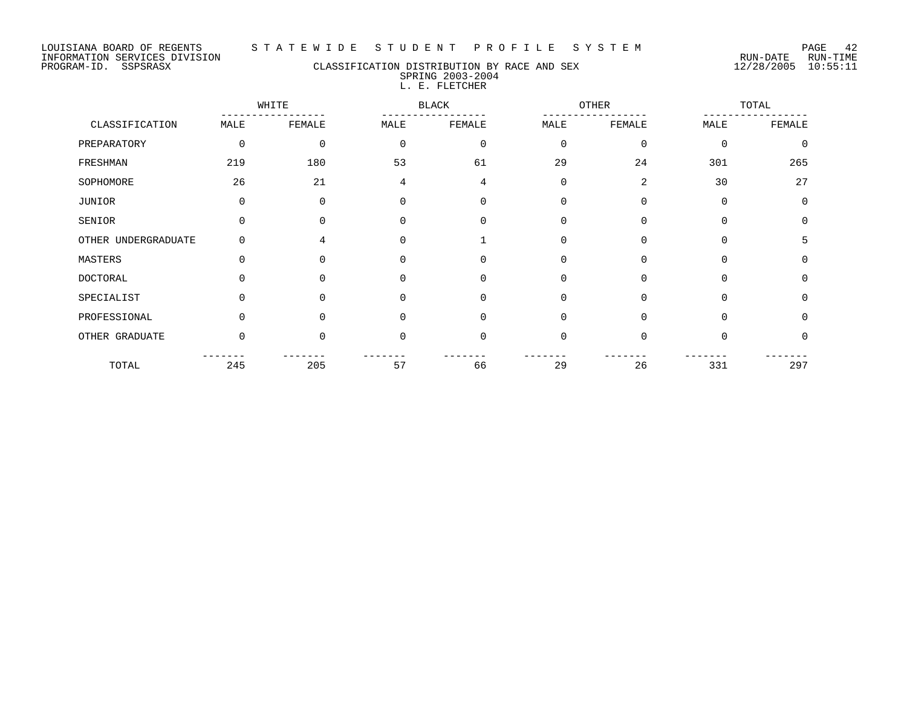#### LOUISIANA BOARD OF REGENTS S T A T E W I D E S T U D E N T P R O F I L E S Y S T E M PAGE 42

## PROGRAM-ID. SSPSRASX CLASSIFICATION DISTRIBUTION BY RACE AND SEX 12/28/2005 10:55:11 SPRING 2003-2004 L. E. FLETCHER

|                     |          | WHITE       |          | <b>BLACK</b> |             | <b>OTHER</b> |             | TOTAL        |  |
|---------------------|----------|-------------|----------|--------------|-------------|--------------|-------------|--------------|--|
| CLASSIFICATION      | MALE     | FEMALE      | MALE     | FEMALE       | MALE        | FEMALE       | MALE        | FEMALE       |  |
| PREPARATORY         | 0        | $\mathbf 0$ | $\Omega$ | $\mathbf 0$  | $\mathbf 0$ | $\mathbf 0$  | $\Omega$    | $\Omega$     |  |
| FRESHMAN            | 219      | 180         | 53       | 61           | 29          | 24           | 301         | 265          |  |
| SOPHOMORE           | 26       | 21          | 4        | 4            | $\mathbf 0$ | 2            | 30          | 27           |  |
| JUNIOR              | 0        | 0           | $\Omega$ | $\mathbf 0$  | $\mathbf 0$ | $\mathbf 0$  | $\mathbf 0$ | $\Omega$     |  |
| SENIOR              | 0        | $\Omega$    | $\Omega$ | $\Omega$     | $\mathbf 0$ | $\mathbf 0$  | $\Omega$    | $\Omega$     |  |
| OTHER UNDERGRADUATE | $\Omega$ | 4           | $\Omega$ |              | $\Omega$    | 0            | $\Omega$    | 5            |  |
| MASTERS             | 0        | $\Omega$    | $\Omega$ | $\Omega$     | $\mathbf 0$ | 0            | $\mathbf 0$ | $\Omega$     |  |
| <b>DOCTORAL</b>     | $\Omega$ | $\Omega$    | $\Omega$ | $\Omega$     | $\Omega$    | $\mathbf 0$  | $\Omega$    | <sup>0</sup> |  |
| SPECIALIST          | $\Omega$ | $\Omega$    | $\Omega$ | $\Omega$     | $\mathbf 0$ | $\mathbf 0$  | $\Omega$    | $\Omega$     |  |
| PROFESSIONAL        | $\Omega$ | $\Omega$    | $\Omega$ | $\Omega$     | $\Omega$    | $\Omega$     | $\Omega$    | $\Omega$     |  |
| OTHER GRADUATE      | 0        | $\Omega$    | $\Omega$ | $\Omega$     | $\mathbf 0$ | $\mathbf 0$  | $\Omega$    | <sup>0</sup> |  |
| TOTAL               | 245      | 205         | 57       | 66           | 29          | 26           | 331         | 297          |  |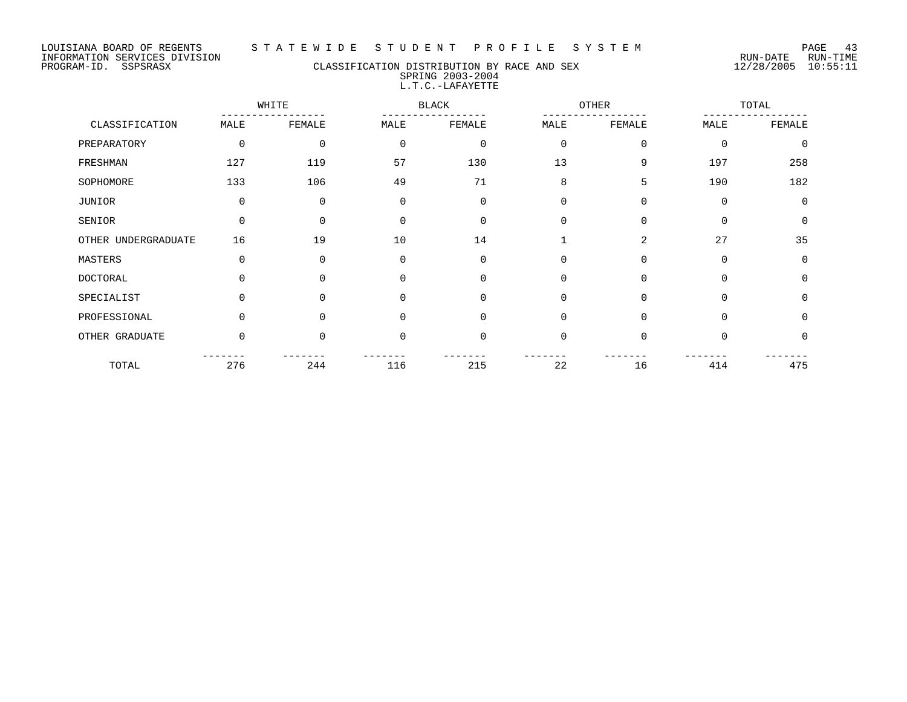#### LOUISIANA BOARD OF REGENTS S T A T E W I D E S T U D E N T P R O F I L E S Y S T E M PAGE 43

## PROGRAM-ID. SSPSRASX CLASSIFICATION DISTRIBUTION BY RACE AND SEX 12/28/2005 10:55:11 SPRING 2003-2004 L.T.C.-LAFAYETTE

|                     |             | WHITE    |             | <b>BLACK</b> |                | <b>OTHER</b> |             | TOTAL       |
|---------------------|-------------|----------|-------------|--------------|----------------|--------------|-------------|-------------|
| CLASSIFICATION      | MALE        | FEMALE   | MALE        | FEMALE       | MALE           | FEMALE       | MALE        | FEMALE      |
| PREPARATORY         | $\mathbf 0$ | 0        | $\mathbf 0$ | 0            | $\mathbf 0$    | $\mathbf 0$  | $\Omega$    | $\Omega$    |
| FRESHMAN            | 127         | 119      | 57          | 130          | 13             | 9            | 197         | 258         |
| SOPHOMORE           | 133         | 106      | 49          | 71           | 8              | 5            | 190         | 182         |
| JUNIOR              | $\mathbf 0$ | $\Omega$ | $\mathbf 0$ | 0            | $\overline{0}$ | $\mathbf 0$  | $\mathbf 0$ | $\Omega$    |
| SENIOR              | $\Omega$    | $\Omega$ | $\Omega$    | $\Omega$     | $\overline{0}$ | $\mathbf 0$  | $\Omega$    | $\mathbf 0$ |
| OTHER UNDERGRADUATE | 16          | 19       | 10          | 14           |                | 2            | 27          | 35          |
| MASTERS             | $\mathbf 0$ | $\Omega$ | $\mathbf 0$ | 0            | $\mathbf 0$    | 0            | $\Omega$    | $\Omega$    |
| <b>DOCTORAL</b>     | $\Omega$    | $\Omega$ | $\Omega$    | $\Omega$     | $\mathbf 0$    | 0            | $\Omega$    | $\Omega$    |
| SPECIALIST          | $\Omega$    | 0        | $\Omega$    | $\mathbf 0$  | $\overline{0}$ | $\mathbf 0$  | $\Omega$    | $\mathbf 0$ |
| PROFESSIONAL        | $\Omega$    | $\Omega$ | $\Omega$    | $\Omega$     | $\mathbf 0$    | $\mathbf 0$  | $\Omega$    | $\Omega$    |
| OTHER GRADUATE      | $\Omega$    | $\Omega$ | $\Omega$    | 0            | $\mathbf 0$    | $\mathbf 0$  | $\Omega$    | $\Omega$    |
| TOTAL               | 276         | 244      | 116         | 215          | 22             | 16           | 414         | 475         |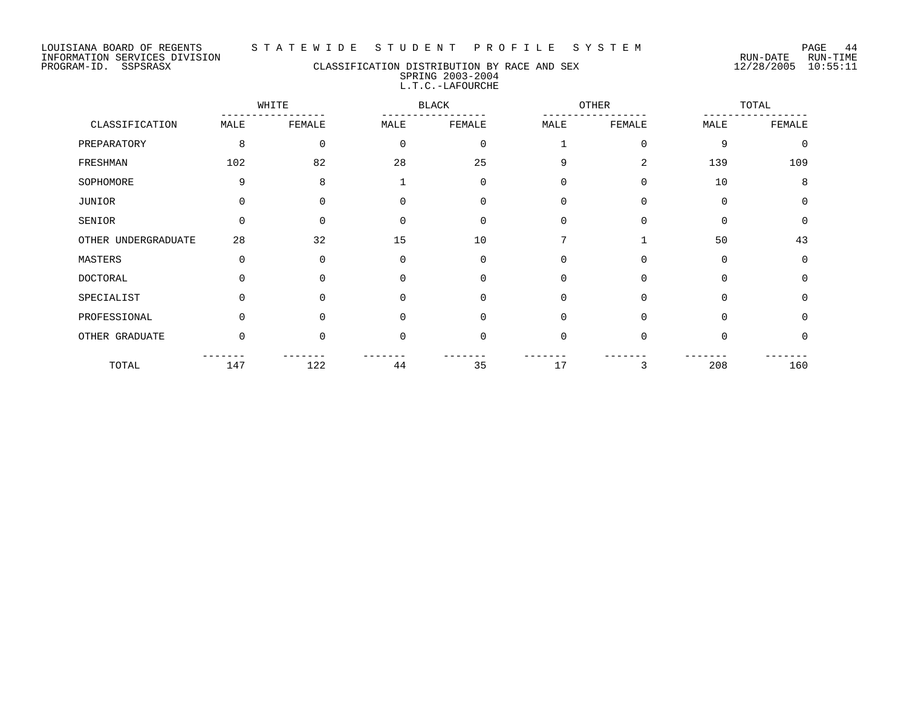#### LOUISIANA BOARD OF REGENTS S T A T E W I D E S T U D E N T P R O F I L E S Y S T E M PAGE 44

## PROGRAM-ID. SSPSRASX CLASSIFICATION DISTRIBUTION BY RACE AND SEX 12/28/2005 10:55:11 SPRING 2003-2004 L.T.C.-LAFOURCHE

|                     | WHITE    |             |          | <b>BLACK</b> |             | <b>OTHER</b> |             | TOTAL    |
|---------------------|----------|-------------|----------|--------------|-------------|--------------|-------------|----------|
| CLASSIFICATION      | MALE     | FEMALE      | MALE     | FEMALE       | MALE        | FEMALE       | MALE        | FEMALE   |
| PREPARATORY         | 8        | $\mathbf 0$ | 0        | $\mathbf 0$  |             | $\mathbf 0$  | 9           | $\Omega$ |
| FRESHMAN            | 102      | 82          | 28       | 25           | 9           | 2            | 139         | 109      |
| SOPHOMORE           | 9        | 8           |          | $\mathbf 0$  | 0           | 0            | 10          | 8        |
| JUNIOR              | 0        | 0           | 0        | 0            | $\mathbf 0$ | 0            | $\mathbf 0$ | $\Omega$ |
| SENIOR              | 0        | $\Omega$    | $\Omega$ | $\Omega$     | $\Omega$    | $\Omega$     | $\Omega$    | $\Omega$ |
| OTHER UNDERGRADUATE | 28       | 32          | 15       | 10           | 7           |              | 50          | 43       |
| MASTERS             | 0        | 0           | 0        | $\mathbf 0$  | 0           | 0            | $\mathbf 0$ | $\Omega$ |
| <b>DOCTORAL</b>     | $\Omega$ | U           | $\Omega$ | $\Omega$     | $\Omega$    | $\Omega$     | $\Omega$    | $\Omega$ |
| SPECIALIST          | $\Omega$ | $\Omega$    | $\Omega$ | $\Omega$     | $\Omega$    | $\Omega$     | $\Omega$    | $\Omega$ |
| PROFESSIONAL        | 0        | 0           | $\Omega$ | $\Omega$     | 0           | $\Omega$     | $\Omega$    | $\Omega$ |
| OTHER GRADUATE      | 0        | $\Omega$    | 0        | 0            | 0           | $\Omega$     | $\Omega$    | $\Omega$ |
| TOTAL               | 147      | 122         | 44       | 35           | 17          | 3            | 208         | 160      |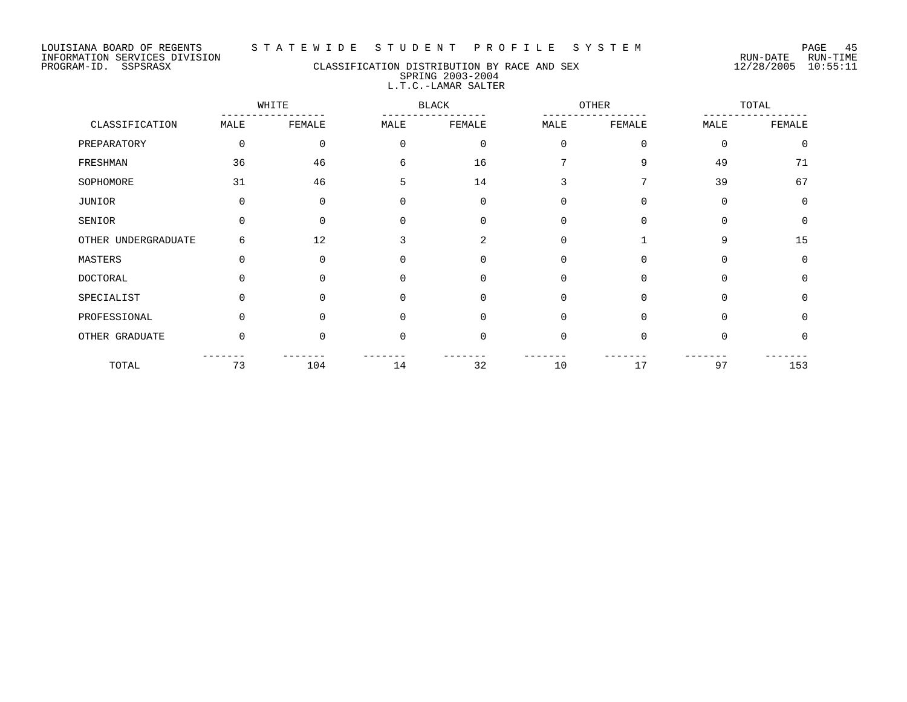# PROGRAM-ID. SSPSRASX CLASSIFICATION DISTRIBUTION BY RACE AND SEX 12/28/2005 10:55:11 SPRING 2003-2004 L.T.C.-LAMAR SALTER

|                     |          | WHITE    |              | <b>BLACK</b> | OTHER       |              |             | TOTAL       |  |
|---------------------|----------|----------|--------------|--------------|-------------|--------------|-------------|-------------|--|
| CLASSIFICATION      | MALE     | FEMALE   | MALE         | FEMALE       | MALE        | FEMALE       | MALE        | FEMALE      |  |
| PREPARATORY         | 0        | 0        | $\Omega$     | $\mathbf 0$  | $\mathbf 0$ | $\Omega$     | $\mathbf 0$ | $\mathbf 0$ |  |
| FRESHMAN            | 36       | 46       | 6            | 16           |             | 9            | 49          | 71          |  |
| SOPHOMORE           | 31       | 46       | 5            | 14           | 3           | 7            | 39          | 67          |  |
| JUNIOR              | $\Omega$ | $\Omega$ | 0            | $\mathbf 0$  | 0           | $\Omega$     | $\Omega$    | $\mathbf 0$ |  |
| SENIOR              | $\Omega$ | $\Omega$ | $\Omega$     | $\Omega$     | 0           | $\Omega$     | $\Omega$    | $\mathbf 0$ |  |
| OTHER UNDERGRADUATE | 6        | 12       | 3            | 2            | 0           | $\mathbf{1}$ | 9           | 15          |  |
| MASTERS             | 0        | $\Omega$ | 0            | $\mathbf 0$  | 0           | $\Omega$     | 0           | 0           |  |
| DOCTORAL            | $\Omega$ | U        | $\Omega$     | $\Omega$     | 0           | $\Omega$     | $\Omega$    | $\mathbf 0$ |  |
| SPECIALIST          | $\Omega$ | $\Omega$ | 0            | $\Omega$     | 0           | $\Omega$     | $\Omega$    | $\mathbf 0$ |  |
| PROFESSIONAL        | $\Omega$ | 0        | <sup>n</sup> | $\Omega$     | $\Omega$    | $\Omega$     | $\Omega$    | $\Omega$    |  |
| OTHER GRADUATE      | $\Omega$ | $\Omega$ | $\Omega$     | $\mathbf 0$  | $\mathbf 0$ | $\Omega$     | $\Omega$    | $\Omega$    |  |
| TOTAL               | 73       | 104      | 14           | 32           | 10          | 17           | 97          | 153         |  |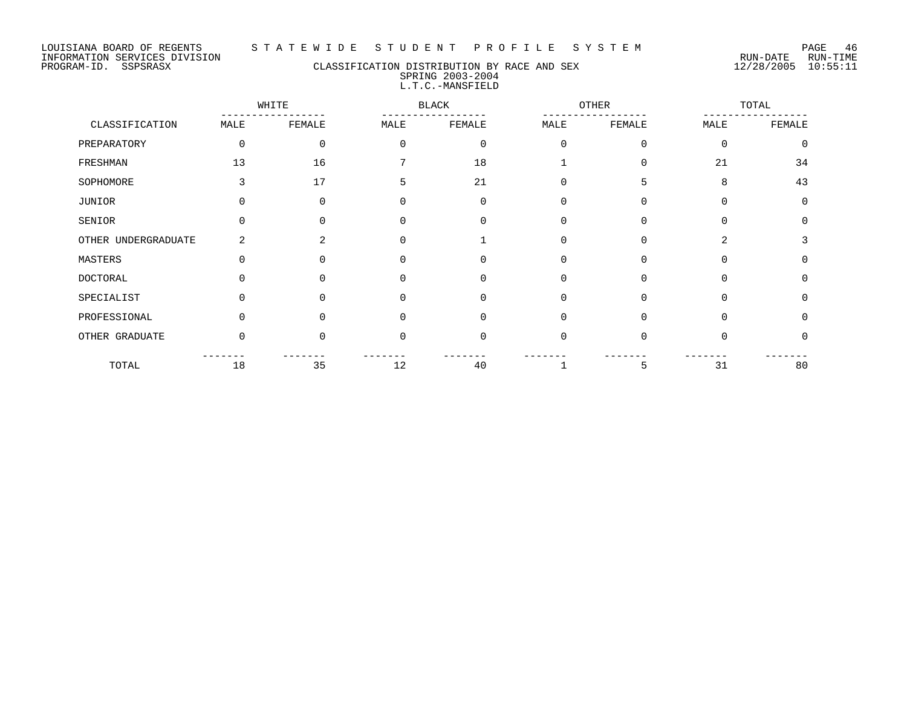## PROGRAM-ID. SSPSRASX CLASSIFICATION DISTRIBUTION BY RACE AND SEX 12/28/2005 10:55:11 SPRING 2003-2004 L.T.C.-MANSFIELD

|                     | WHITE       |          |              | <b>BLACK</b> |             | OTHER    |                | TOTAL       |  |
|---------------------|-------------|----------|--------------|--------------|-------------|----------|----------------|-------------|--|
| CLASSIFICATION      | MALE        | FEMALE   | MALE         | FEMALE       | MALE        | FEMALE   | MALE           | FEMALE      |  |
| PREPARATORY         | $\mathbf 0$ | 0        | $\Omega$     | $\mathbf 0$  | $\mathbf 0$ | $\Omega$ | $\mathbf 0$    | $\mathbf 0$ |  |
| FRESHMAN            | 13          | 16       |              | 18           |             | $\Omega$ | 21             | 34          |  |
| SOPHOMORE           | 3           | 17       | 5            | 21           | 0           | 5        | 8              | 43          |  |
| JUNIOR              | 0           | $\Omega$ | 0            | $\Omega$     | 0           | $\Omega$ | $\Omega$       | $\mathbf 0$ |  |
| SENIOR              | 0           | U        |              | $\Omega$     | $\Omega$    | $\Omega$ | $\Omega$       | $\Omega$    |  |
| OTHER UNDERGRADUATE | 2           | 2        | <sup>0</sup> |              | $\Omega$    | $\Omega$ | $\overline{a}$ | 3           |  |
| MASTERS             | 0           | O        | 0            | $\mathbf 0$  | 0           | $\Omega$ | $\Omega$       | 0           |  |
| DOCTORAL            | ∩           | ∩        | O            | $\Omega$     | 0           | $\Omega$ | $\Omega$       | 0           |  |
| SPECIALIST          | $\Omega$    | $\Omega$ | $\Omega$     | $\Omega$     | $\mathbf 0$ | $\Omega$ | $\Omega$       | $\Omega$    |  |
| PROFESSIONAL        | $\Omega$    | U        | <sup>0</sup> | $\Omega$     | $\mathbf 0$ | $\Omega$ | $\Omega$       | $\Omega$    |  |
| OTHER GRADUATE      | $\Omega$    | $\Omega$ | $\Omega$     | $\Omega$     | $\Omega$    | $\Omega$ | $\Omega$       | 0           |  |
| TOTAL               | 18          | 35       | 12           | 40           |             | 5        | 31             | 80          |  |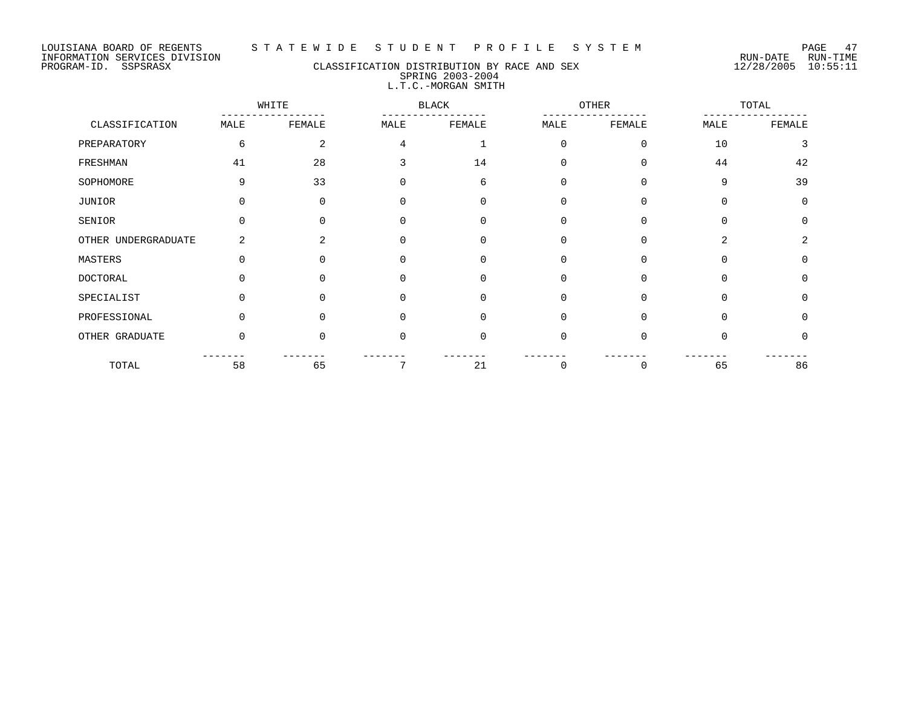# PROGRAM-ID. SSPSRASX CLASSIFICATION DISTRIBUTION BY RACE AND SEX 12/28/2005 10:55:11 SPRING 2003-2004 L.T.C.-MORGAN SMITH

|                     |          | WHITE          |             | <b>BLACK</b> |             | OTHER       |          | TOTAL         |
|---------------------|----------|----------------|-------------|--------------|-------------|-------------|----------|---------------|
| CLASSIFICATION      | MALE     | FEMALE         | MALE        | FEMALE       | MALE        | FEMALE      | MALE     | FEMALE        |
| PREPARATORY         | 6        | 2              | 4           |              | $\Omega$    | $\Omega$    | 10       | 3             |
| FRESHMAN            | 41       | 28             |             | 14           | 0           | $\Omega$    | 44       | 42            |
| SOPHOMORE           | 9        | 33             | $\Omega$    | 6            | $\Omega$    | $\Omega$    | 9        | 39            |
| JUNIOR              | $\Omega$ | 0              | 0           | 0            | $\mathbf 0$ | $\Omega$    | $\Omega$ | $\Omega$      |
| SENIOR              | 0        | <sup>n</sup>   | $\Omega$    | $\Omega$     | 0           | $\Omega$    | $\Omega$ | $\Omega$      |
| OTHER UNDERGRADUATE | 2        | $\mathfrak{D}$ | $\Omega$    | $\Omega$     | $\Omega$    | $\Omega$    | 2        | $\mathcal{L}$ |
| MASTERS             | 0        | O              | 0           | 0            | 0           | $\mathbf 0$ | $\Omega$ | $\Omega$      |
| <b>DOCTORAL</b>     | 0        |                | $\Omega$    | $\Omega$     | 0           | $\Omega$    | ∩        | $\Omega$      |
| SPECIALIST          | $\Omega$ | 0              | $\Omega$    | $\Omega$     | $\Omega$    | $\Omega$    | $\Omega$ | $\Omega$      |
| PROFESSIONAL        | $\Omega$ | 0              | $\Omega$    | 0            | 0           | $\Omega$    | $\Omega$ | <sup>0</sup>  |
| OTHER GRADUATE      | 0        | O              | $\mathbf 0$ | 0            | 0           | $\Omega$    | $\Omega$ | $\Omega$      |
| TOTAL               | 58       | 65             | 7           | 21           | 0           | 0           | 65       | 86            |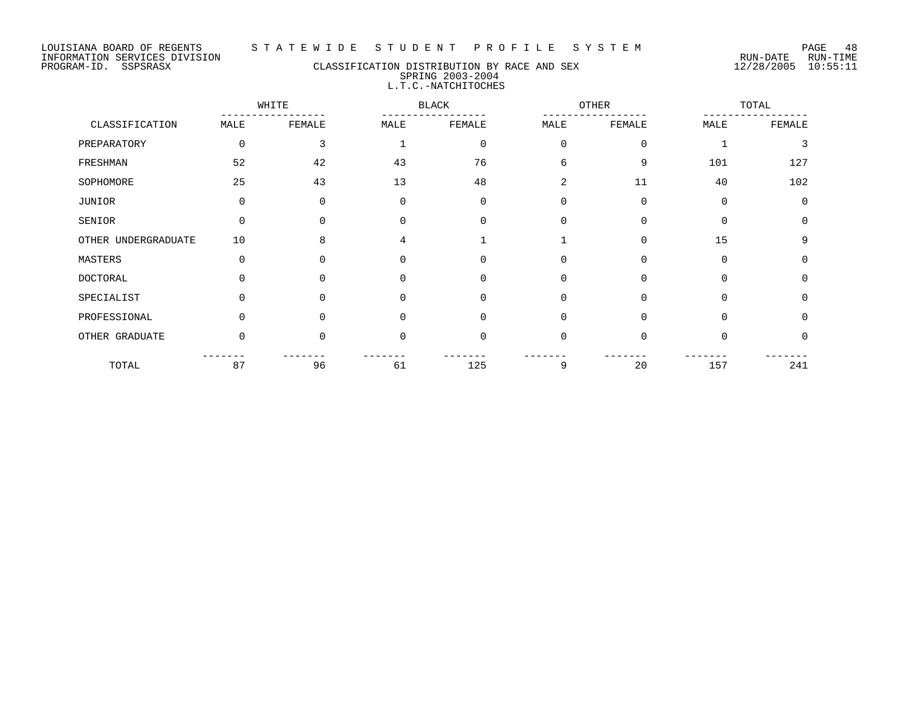## PROGRAM-ID. SSPSRASX CLASSIFICATION DISTRIBUTION BY RACE AND SEX 12/28/2005 10:55:11 SPRING 2003-2004 L.T.C.-NATCHITOCHES

|                     | WHITE    |          |              | <b>BLACK</b> |             | OTHER       |             | TOTAL       |  |
|---------------------|----------|----------|--------------|--------------|-------------|-------------|-------------|-------------|--|
| CLASSIFICATION      | MALE     | FEMALE   | MALE         | FEMALE       | MALE        | FEMALE      | MALE        | FEMALE      |  |
| PREPARATORY         | 0        | 3        |              | 0            | $\mathbf 0$ | $\mathbf 0$ |             | 3           |  |
| FRESHMAN            | 52       | 42       | 43           | 76           | 6           | 9           | 101         | 127         |  |
| SOPHOMORE           | 25       | 43       | 13           | 48           | 2           | 11          | 40          | 102         |  |
| JUNIOR              | 0        | 0        | 0            | $\mathbf 0$  | 0           | $\mathbf 0$ | $\mathbf 0$ | $\mathbf 0$ |  |
| SENIOR              | $\Omega$ | $\Omega$ | $\Omega$     | $\Omega$     | 0           | $\Omega$    | $\Omega$    | $\mathbf 0$ |  |
| OTHER UNDERGRADUATE | 10       | 8        | 4            |              |             | $\Omega$    | 15          | 9           |  |
| MASTERS             | $\Omega$ | $\Omega$ | $\Omega$     | $\Omega$     | 0           | $\Omega$    | $\Omega$    | $\mathbf 0$ |  |
| DOCTORAL            | $\Omega$ | U        | $\Omega$     | $\Omega$     | 0           | $\Omega$    | $\Omega$    | $\mathbf 0$ |  |
| SPECIALIST          | 0        | $\Omega$ | 0            | $\Omega$     | $\Omega$    | $\Omega$    | $\Omega$    | $\mathbf 0$ |  |
| PROFESSIONAL        | $\Omega$ | 0        | <sup>n</sup> | $\Omega$     | 0           | $\Omega$    | $\Omega$    | 0           |  |
| OTHER GRADUATE      | $\Omega$ | $\Omega$ | $\Omega$     | $\Omega$     | $\mathbf 0$ | $\Omega$    | $\Omega$    | $\Omega$    |  |
| TOTAL               | 87       | 96       | 61           | 125          | 9           | 20          | 157         | 241         |  |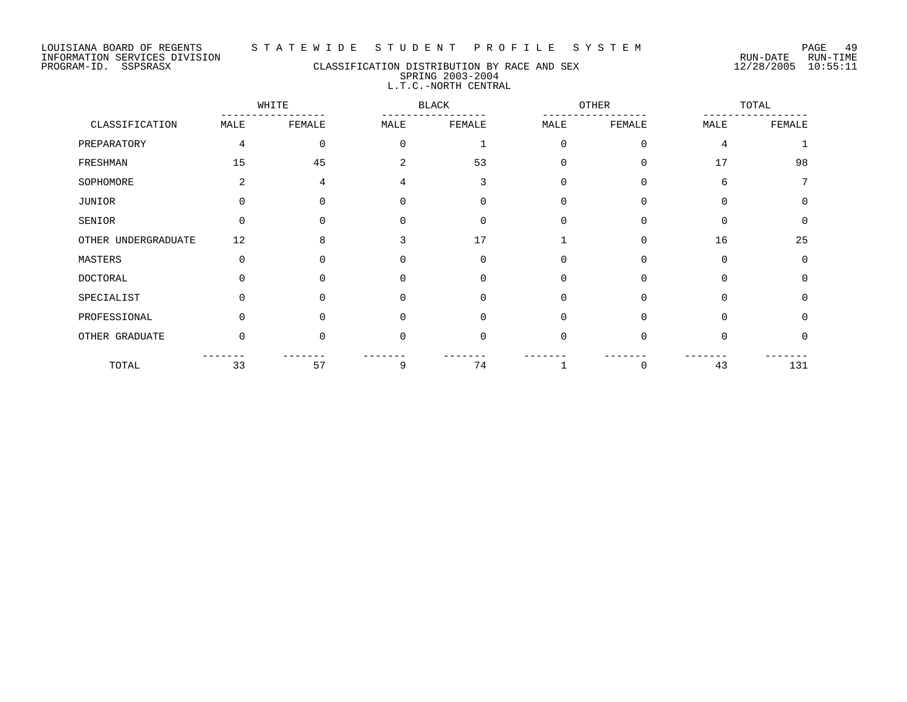#### LOUISIANA BOARD OF REGENTS S T A T E W I D E S T U D E N T P R O F I L E S Y S T E M PAGE 49

# PROGRAM-ID. SSPSRASX CLASSIFICATION DISTRIBUTION BY RACE AND SEX 12/28/2005 10:55:11 SPRING 2003-2004 L.T.C.-NORTH CENTRAL

|                     | WHITE    |          |              | <b>BLACK</b> |             | OTHER    |          | TOTAL       |  |
|---------------------|----------|----------|--------------|--------------|-------------|----------|----------|-------------|--|
| CLASSIFICATION      | MALE     | FEMALE   | MALE         | FEMALE       | MALE        | FEMALE   | MALE     | FEMALE      |  |
| PREPARATORY         | 4        | 0        | $\Omega$     |              | $\mathbf 0$ | $\Omega$ | 4        |             |  |
| FRESHMAN            | 15       | 45       | 2            | 53           | $\Omega$    | $\Omega$ | 17       | 98          |  |
| SOPHOMORE           | 2        | 4        | 4            | 3            | 0           | $\Omega$ | 6        | 7           |  |
| JUNIOR              | 0        | 0        | 0            | 0            | 0           | $\Omega$ | $\Omega$ | 0           |  |
| SENIOR              | $\Omega$ | U        |              | $\Omega$     | 0           | $\Omega$ | $\Omega$ | $\mathbf 0$ |  |
| OTHER UNDERGRADUATE | 12       | 8        | 3            | 17           |             | $\Omega$ | 16       | 25          |  |
| MASTERS             | $\Omega$ | U        | $\Omega$     | $\Omega$     | 0           | $\Omega$ | $\Omega$ | $\Omega$    |  |
| <b>DOCTORAL</b>     | ∩        | ∩        | O            | $\Omega$     | $\Omega$    | $\Omega$ | $\Omega$ | $\Omega$    |  |
| SPECIALIST          | 0        | $\Omega$ | <sup>0</sup> | $\Omega$     | $\Omega$    | $\Omega$ | $\Omega$ | $\Omega$    |  |
| PROFESSIONAL        | $\Omega$ | ∩        |              | $\Omega$     | $\Omega$    | $\Omega$ | $\Omega$ | $\Omega$    |  |
| OTHER GRADUATE      | $\Omega$ | U        | $\Omega$     | $\Omega$     | $\mathbf 0$ | $\Omega$ | $\Omega$ | 0           |  |
| TOTAL               | 33       | 57       | 9            | 74           |             | $\Omega$ | 43       | 131         |  |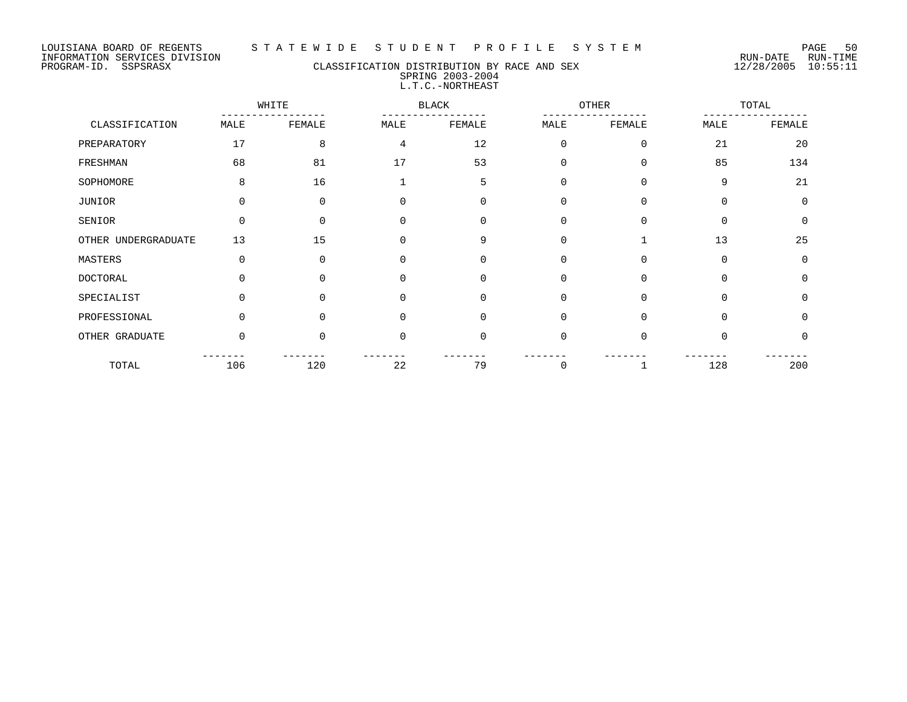#### LOUISIANA BOARD OF REGENTS S T A T E W I D E S T U D E N T P R O F I L E S Y S T E M PAGE 50

## PROGRAM-ID. SSPSRASX CLASSIFICATION DISTRIBUTION BY RACE AND SEX 12/28/2005 10:55:11 SPRING 2003-2004 L.T.C.-NORTHEAST

|                     |          | WHITE    |                | OTHER<br><b>BLACK</b> |             |             | TOTAL       |          |
|---------------------|----------|----------|----------------|-----------------------|-------------|-------------|-------------|----------|
| CLASSIFICATION      | MALE     | FEMALE   | MALE           | FEMALE                | MALE        | FEMALE      | MALE        | FEMALE   |
| PREPARATORY         | 17       | 8        | $\overline{4}$ | 12                    | $\mathbf 0$ | $\mathbf 0$ | 21          | 20       |
| FRESHMAN            | 68       | 81       | 17             | 53                    | $\mathbf 0$ | $\Omega$    | 85          | 134      |
| SOPHOMORE           | 8        | 16       |                | 5                     | 0           | $\mathbf 0$ | 9           | 21       |
| JUNIOR              | 0        | 0        | 0              | 0                     | $\mathbf 0$ | $\Omega$    | $\Omega$    | $\Omega$ |
| SENIOR              | $\Omega$ | $\Omega$ | $\Omega$       | $\Omega$              | $\Omega$    | $\Omega$    | $\Omega$    | $\Omega$ |
| OTHER UNDERGRADUATE | 13       | 15       | $\mathbf 0$    | 9                     | $\Omega$    |             | 13          | 25       |
| MASTERS             | 0        | 0        | 0              | 0                     | $\mathbf 0$ | 0           | $\mathbf 0$ | $\Omega$ |
| <b>DOCTORAL</b>     | $\Omega$ | U        | $\Omega$       | $\Omega$              | $\mathbf 0$ | $\Omega$    | $\Omega$    | $\Omega$ |
| SPECIALIST          | 0        | $\Omega$ | $\mathbf 0$    | $\mathbf 0$           | $\mathbf 0$ | $\Omega$    | $\Omega$    | $\Omega$ |
| PROFESSIONAL        | 0        | 0        | $\Omega$       | $\Omega$              | $\Omega$    | $\Omega$    | $\Omega$    | $\Omega$ |
| OTHER GRADUATE      | $\Omega$ | $\Omega$ | $\mathbf 0$    | $\mathbf 0$           | $\mathbf 0$ | $\Omega$    | $\Omega$    | $\Omega$ |
| TOTAL               | 106      | 120      | 22             | 79                    | 0           |             | 128         | 200      |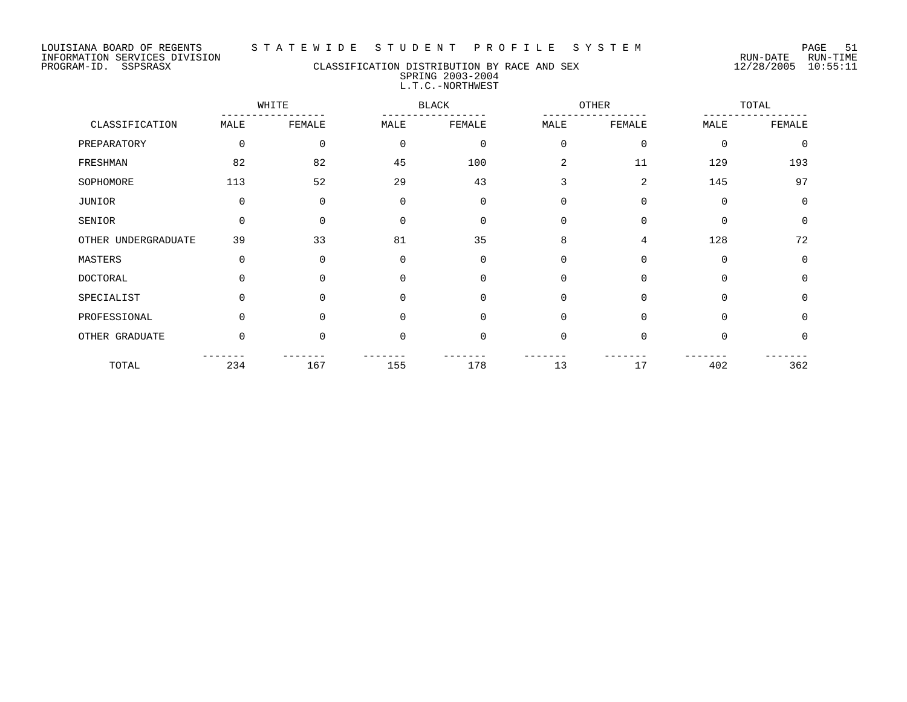#### LOUISIANA BOARD OF REGENTS S T A T E W I D E S T U D E N T P R O F I L E S Y S T E M PAGE 51

## PROGRAM-ID. SSPSRASX CLASSIFICATION DISTRIBUTION BY RACE AND SEX 12/28/2005 10:55:11 SPRING 2003-2004 L.T.C.-NORTHWEST

|                     |          | WHITE    |             | <b>BLACK</b> |             | <b>OTHER</b> |             | TOTAL       |
|---------------------|----------|----------|-------------|--------------|-------------|--------------|-------------|-------------|
| CLASSIFICATION      | MALE     | FEMALE   | MALE        | FEMALE       | MALE        | FEMALE       | MALE        | FEMALE      |
| PREPARATORY         | 0        | 0        | $\mathbf 0$ | $\mathbf 0$  | $\Omega$    | $\mathbf 0$  | $\Omega$    | $\Omega$    |
| FRESHMAN            | 82       | 82       | 45          | 100          | 2           | 11           | 129         | 193         |
| SOPHOMORE           | 113      | 52       | 29          | 43           | 3           | 2            | 145         | 97          |
| JUNIOR              | 0        | 0        | $\mathbf 0$ | $\mathbf 0$  | $\mathbf 0$ | $\mathbf 0$  | $\mathbf 0$ | $\mathbf 0$ |
| SENIOR              | $\Omega$ | $\Omega$ | $\Omega$    | $\Omega$     | $\Omega$    | $\Omega$     | $\Omega$    | $\Omega$    |
| OTHER UNDERGRADUATE | 39       | 33       | 81          | 35           | 8           | 4            | 128         | 72          |
| MASTERS             | 0        | 0        | $\mathbf 0$ | $\mathbf 0$  | $\mathbf 0$ | $\mathbf 0$  | $\mathbf 0$ | 0           |
| <b>DOCTORAL</b>     | $\Omega$ | $\Omega$ | $\Omega$    | $\Omega$     | $\Omega$    | $\Omega$     | $\Omega$    | $\Omega$    |
| SPECIALIST          | $\Omega$ | $\Omega$ | $\Omega$    | $\Omega$     | $\Omega$    | $\Omega$     | $\Omega$    | $\Omega$    |
| PROFESSIONAL        | $\Omega$ | $\Omega$ | $\Omega$    | $\Omega$     | $\Omega$    | $\Omega$     | $\Omega$    | $\Omega$    |
| OTHER GRADUATE      | $\Omega$ | $\Omega$ | $\mathbf 0$ | $\mathbf 0$  | $\Omega$    | $\Omega$     | $\Omega$    | $\Omega$    |
| TOTAL               | 234      | 167      | 155         | 178          | 13          | 17           | 402         | 362         |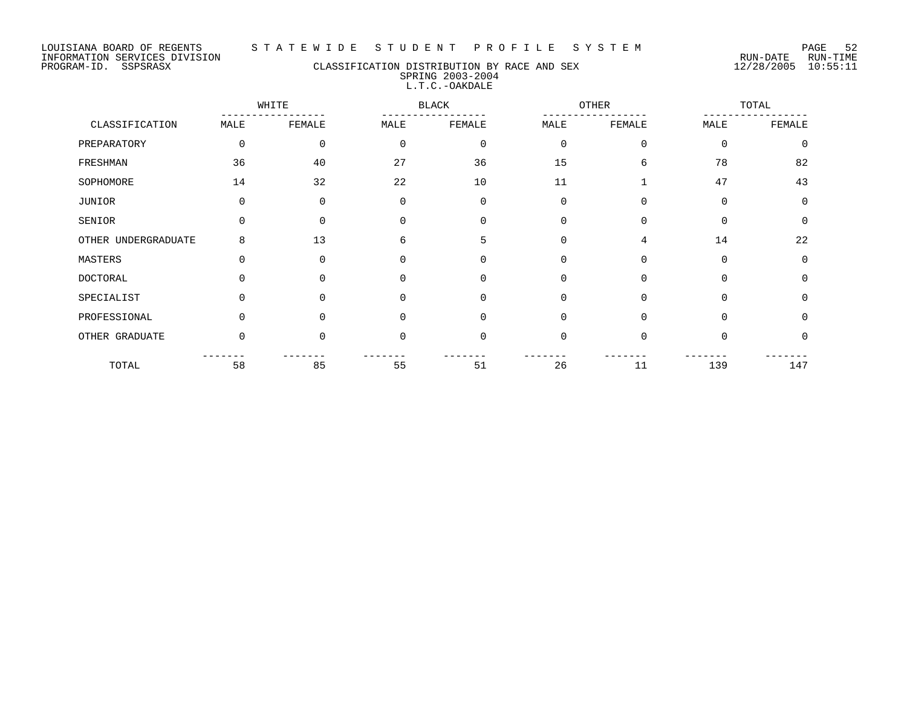#### LOUISIANA BOARD OF REGENTS S T A T E W I D E S T U D E N T P R O F I L E S Y S T E M PAGE 52

## PROGRAM-ID. SSPSRASX CLASSIFICATION DISTRIBUTION BY RACE AND SEX 12/28/2005 10:55:11 SPRING 2003-2004 L.T.C.-OAKDALE

|                     |          | WHITE       |             | <b>BLACK</b> | <b>OTHER</b> |                | TOTAL    |          |
|---------------------|----------|-------------|-------------|--------------|--------------|----------------|----------|----------|
| CLASSIFICATION      | MALE     | FEMALE      | MALE        | FEMALE       | MALE         | FEMALE         | MALE     | FEMALE   |
| PREPARATORY         | 0        | $\mathbf 0$ | $\mathbf 0$ | $\mathbf 0$  | $\mathbf 0$  | $\mathbf 0$    | $\Omega$ | $\Omega$ |
| FRESHMAN            | 36       | 40          | 27          | 36           | 15           | 6              | 78       | 82       |
| SOPHOMORE           | 14       | 32          | 22          | 10           | 11           | $\mathbf{1}$   | 47       | 43       |
| <b>JUNIOR</b>       | 0        | $\Omega$    | $\Omega$    | $\Omega$     | $\Omega$     | $\Omega$       | $\Omega$ | $\Omega$ |
| SENIOR              | 0        | $\Omega$    | $\Omega$    | $\Omega$     | 0            | $\Omega$       | $\Omega$ | $\Omega$ |
| OTHER UNDERGRADUATE | 8        | 13          | 6           | 5            | 0            | $\overline{4}$ | 14       | 22       |
| MASTERS             | 0        | $\Omega$    | 0           | 0            | 0            | $\mathbf 0$    | $\Omega$ | $\Omega$ |
| <b>DOCTORAL</b>     | $\Omega$ | $\Omega$    | $\Omega$    | $\Omega$     | $\Omega$     | $\Omega$       | $\Omega$ | $\Omega$ |
| SPECIALIST          | 0        | 0           | $\Omega$    | $\mathbf 0$  | $\mathbf 0$  | $\Omega$       | $\Omega$ | $\Omega$ |
| PROFESSIONAL        | $\Omega$ | 0           | $\Omega$    | $\Omega$     | $\Omega$     | $\Omega$       | $\Omega$ | $\Omega$ |
| OTHER GRADUATE      | $\Omega$ | $\Omega$    | 0           | 0            | $\mathbf 0$  | $\Omega$       | $\Omega$ | $\Omega$ |
| TOTAL               | 58       | 85          | 55          | 51           | 26           | 11             | 139      | 147      |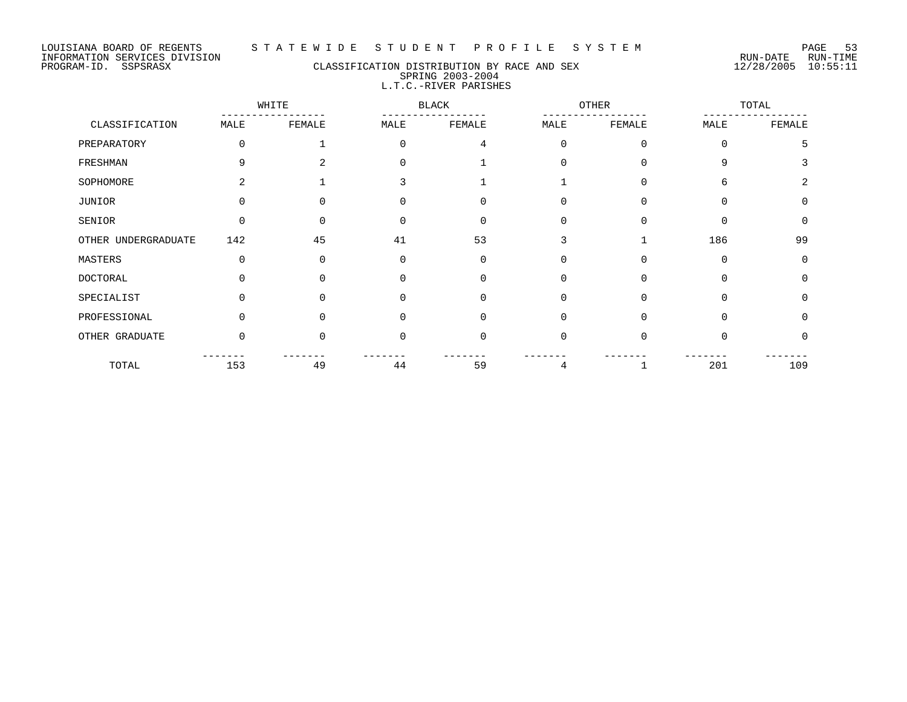## PROGRAM-ID. SSPSRASX CLASSIFICATION DISTRIBUTION BY RACE AND SEX 12/28/2005 10:55:11 SPRING 2003-2004 L.T.C.-RIVER PARISHES

|                     | WHITE    |                |          | <b>BLACK</b> |             | OTHER    | TOTAL    |                |
|---------------------|----------|----------------|----------|--------------|-------------|----------|----------|----------------|
| CLASSIFICATION      | MALE     | FEMALE         | MALE     | FEMALE       | MALE        | FEMALE   | MALE     | FEMALE         |
| PREPARATORY         | $\Omega$ |                | $\Omega$ | 4            | $\mathbf 0$ | $\Omega$ | $\Omega$ | 5              |
| FRESHMAN            | 9        | $\overline{a}$ | $\Omega$ |              | $\Omega$    | $\Omega$ | 9        |                |
| SOPHOMORE           | 2        |                |          |              |             | $\Omega$ | 6        | $\mathfrak{D}$ |
| JUNIOR              | 0        |                |          | $\Omega$     | 0           | $\Omega$ | $\Omega$ | $\mathbf 0$    |
| SENIOR              | $\Omega$ | $\Omega$       |          | $\Omega$     | $\Omega$    | $\Omega$ | $\Omega$ | $\Omega$       |
| OTHER UNDERGRADUATE | 142      | 45             | 41       | 53           | 3           |          | 186      | 99             |
| MASTERS             | 0        | $\Omega$       | $\Omega$ | $\mathbf 0$  | 0           | $\Omega$ | $\Omega$ | 0              |
| DOCTORAL            | ∩        | U              | $\Omega$ | $\Omega$     | 0           | $\Omega$ | $\Omega$ | $\mathbf 0$    |
| SPECIALIST          | $\Omega$ | $\Omega$       | $\Omega$ | $\Omega$     | $\mathbf 0$ | $\Omega$ | $\Omega$ | $\Omega$       |
| PROFESSIONAL        | $\Omega$ | U              | $\Omega$ | $\Omega$     | $\mathbf 0$ | $\Omega$ | $\Omega$ | $\Omega$       |
| OTHER GRADUATE      | $\Omega$ | $\Omega$       | $\Omega$ | $\Omega$     | $\Omega$    | $\Omega$ | $\Omega$ | 0              |
| TOTAL               | 153      | 49             | 44       | 59           | 4           |          | 201      | 109            |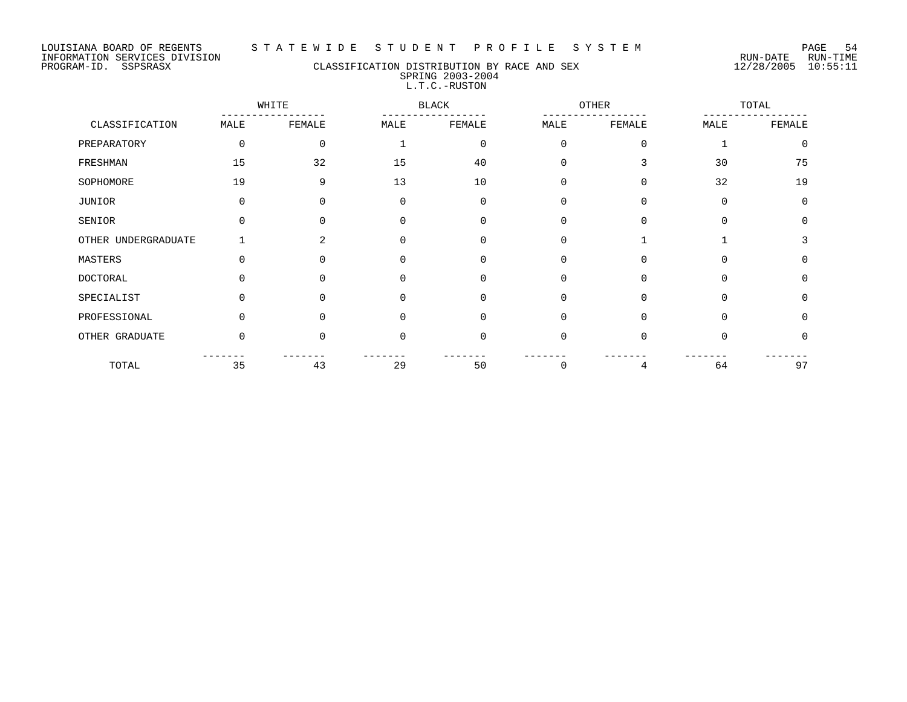#### LOUISIANA BOARD OF REGENTS S T A T E W I D E S T U D E N T P R O F I L E S Y S T E M PAGE 54

## PROGRAM-ID. SSPSRASX CLASSIFICATION DISTRIBUTION BY RACE AND SEX 12/28/2005 10:55:11 SPRING 2003-2004 L.T.C.-RUSTON

|                     |          | WHITE    |             | <b>BLACK</b> |             | OTHER    |          | TOTAL    |
|---------------------|----------|----------|-------------|--------------|-------------|----------|----------|----------|
| CLASSIFICATION      | MALE     | FEMALE   | MALE        | FEMALE       | MALE        | FEMALE   | MALE     | FEMALE   |
| PREPARATORY         | 0        | $\Omega$ |             | $\mathbf 0$  | $\Omega$    | $\Omega$ |          | $\Omega$ |
| FRESHMAN            | 15       | 32       | 15          | 40           | 0           | 3        | 30       | 75       |
| SOPHOMORE           | 19       | 9        | 13          | 10           | $\mathbf 0$ | $\Omega$ | 32       | 19       |
| JUNIOR              | 0        | 0        | 0           | 0            | $\mathbf 0$ | $\Omega$ | $\Omega$ | $\Omega$ |
| SENIOR              | $\Omega$ | 0        | $\Omega$    | $\Omega$     | 0           | $\Omega$ | $\Omega$ | $\Omega$ |
| OTHER UNDERGRADUATE |          | 2        | $\Omega$    | $\Omega$     | $\Omega$    |          |          | 3        |
| MASTERS             | 0        | 0        | 0           | 0            | 0           | 0        | $\Omega$ | $\Omega$ |
| <b>DOCTORAL</b>     | 0        | U        | $\Omega$    | $\Omega$     | 0           | $\Omega$ | $\Omega$ | $\Omega$ |
| SPECIALIST          | $\Omega$ | $\Omega$ | $\Omega$    | $\Omega$     | $\Omega$    | $\Omega$ | $\Omega$ | $\Omega$ |
| PROFESSIONAL        | $\Omega$ | $\Omega$ | $\Omega$    | $\Omega$     | $\Omega$    | $\Omega$ | $\Omega$ | $\Omega$ |
| OTHER GRADUATE      | 0        | $\Omega$ | $\mathbf 0$ | 0            | $\mathbf 0$ | $\Omega$ | $\Omega$ | 0        |
| TOTAL               | 35       | 43       | 29          | 50           | 0           | 4        | 64       | 97       |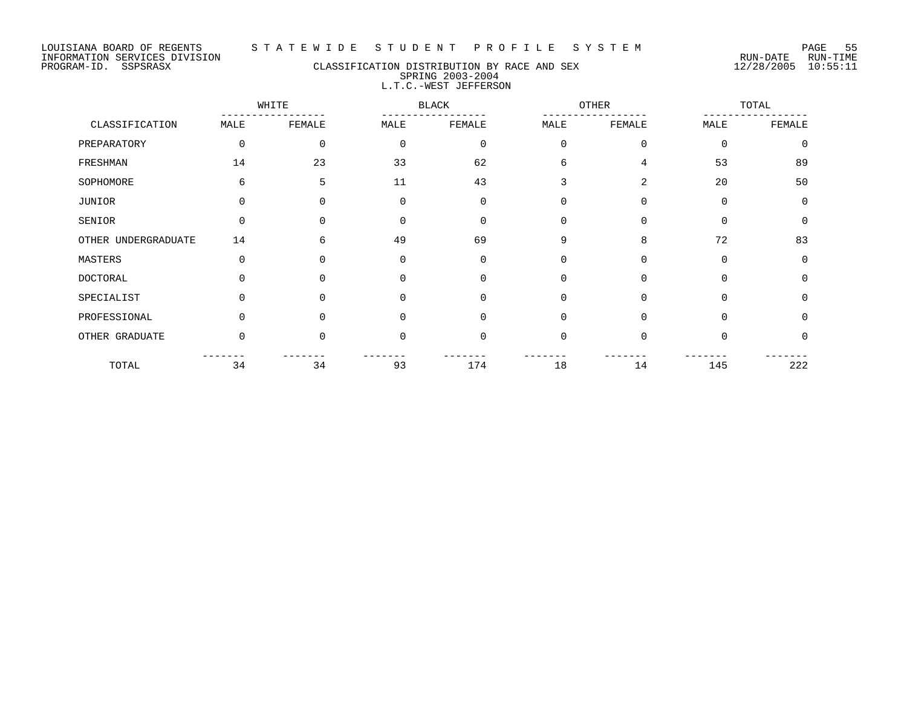#### PROGRAM-ID. SSPSRASX CLASSIFICATION DISTRIBUTION BY RACE AND SEX 12/28/2005 10:55:11 SPRING 2003-2004 L.T.C.-WEST JEFFERSON

WHITE BLACK OTHER TOTAL ----------------- ----------------- ----------------- ----------------- CLASSIFICATION MALE FEMALE MALE FEMALE MALE FEMALE MALE FEMALE PREPARATORY 0 0 0 0 0 0 0 0 FRESHMAN 14 23 33 62 6 4 53 89 SOPHOMORE 6 5 5 11 43 3 2 20 50 JUNIOR 0 0 0 0 0 0 0 0 SENIOR 0 0 0 0 0 0 0 0 OTHER UNDERGRADUATE 14 6 6 49 69 9 8 72 83 MASTERS 0 0 0 0 0 0 0 0 DOCTORAL 0 0 0 0 0 0 0 0 SPECIALIST 0 0 0 0 0 0 0 0 0 0 PROFESSIONAL 0 0 0 0 0 0 0 0 OTHER GRADUATE  $\begin{array}{ccccccccccc} 0 & 0 & 0 & 0 & 0 & 0 & 0 & 0 & 0 \end{array}$ ------- ------- ------- ------- ------- ------- ------- ------- TOTAL 34 34 93 174 18 14 145 222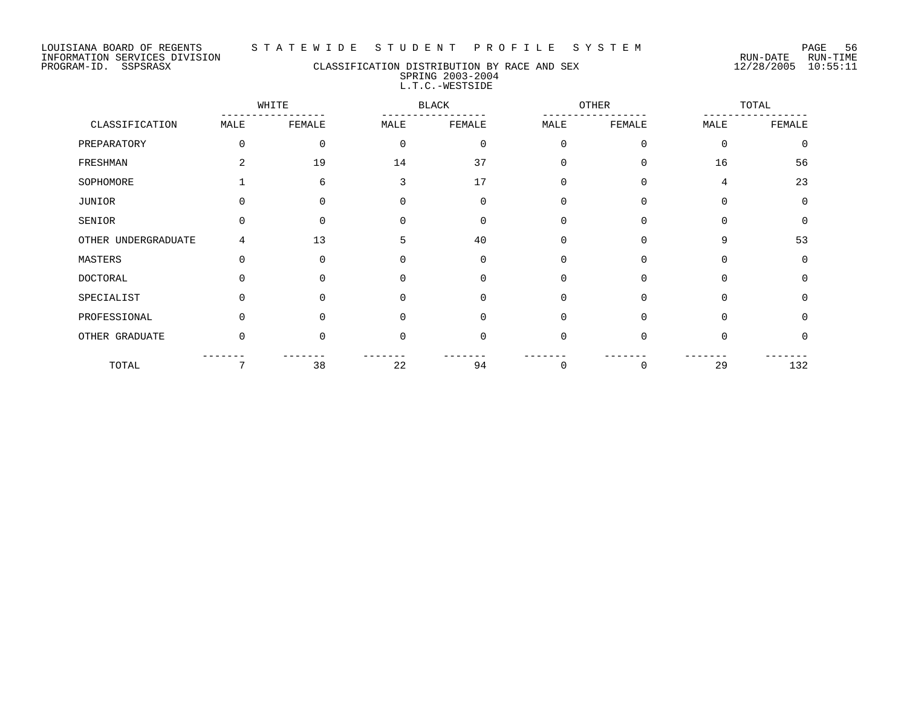#### LOUISIANA BOARD OF REGENTS S T A T E W I D E S T U D E N T P R O F I L E S Y S T E M PAGE 56

## PROGRAM-ID. SSPSRASX CLASSIFICATION DISTRIBUTION BY RACE AND SEX 12/28/2005 10:55:11 SPRING 2003-2004 L.T.C.-WESTSIDE

|                     |          | WHITE    |          | <b>BLACK</b> |          | OTHER    |          | TOTAL        |
|---------------------|----------|----------|----------|--------------|----------|----------|----------|--------------|
| CLASSIFICATION      | MALE     | FEMALE   | MALE     | FEMALE       | MALE     | FEMALE   | MALE     | FEMALE       |
| PREPARATORY         | $\Omega$ | $\Omega$ | $\Omega$ | $\Omega$     | $\Omega$ | $\Omega$ | $\Omega$ | $\Omega$     |
| FRESHMAN            | 2        | 19       | 14       | 37           | $\Omega$ | 0        | 16       | 56           |
| SOPHOMORE           |          | 6        | 3        | 17           | $\Omega$ | $\Omega$ | 4        | 23           |
| JUNIOR              | 0        | $\Omega$ | $\Omega$ | $\Omega$     | $\Omega$ | $\Omega$ | $\Omega$ | $\Omega$     |
| SENIOR              | U        | $\Omega$ | ∩        | $\Omega$     | $\Omega$ | $\Omega$ | $\Omega$ | $\Omega$     |
| OTHER UNDERGRADUATE | 4        | 13       | 5        | 40           | $\Omega$ | $\Omega$ | 9        | 53           |
| MASTERS             | $\Omega$ | $\Omega$ |          | $\Omega$     | $\Omega$ | 0        | $\Omega$ | $\Omega$     |
| <b>DOCTORAL</b>     |          |          |          | $\Omega$     | $\Omega$ | $\Omega$ | $\Omega$ | 0            |
| SPECIALIST          | 0        | 0        |          | $\Omega$     | $\Omega$ | $\Omega$ | $\Omega$ | $\Omega$     |
| PROFESSIONAL        | U        | ∩        |          | $\Omega$     | $\cap$   | $\Omega$ | $\Omega$ | <sup>n</sup> |
| OTHER GRADUATE      | $\Omega$ | $\Omega$ | $\Omega$ | $\Omega$     | $\Omega$ | $\Omega$ | $\Omega$ | 0            |
| TOTAL               | 7        | 38       | 22       | 94           | $\Omega$ | 0        | 29       | 132          |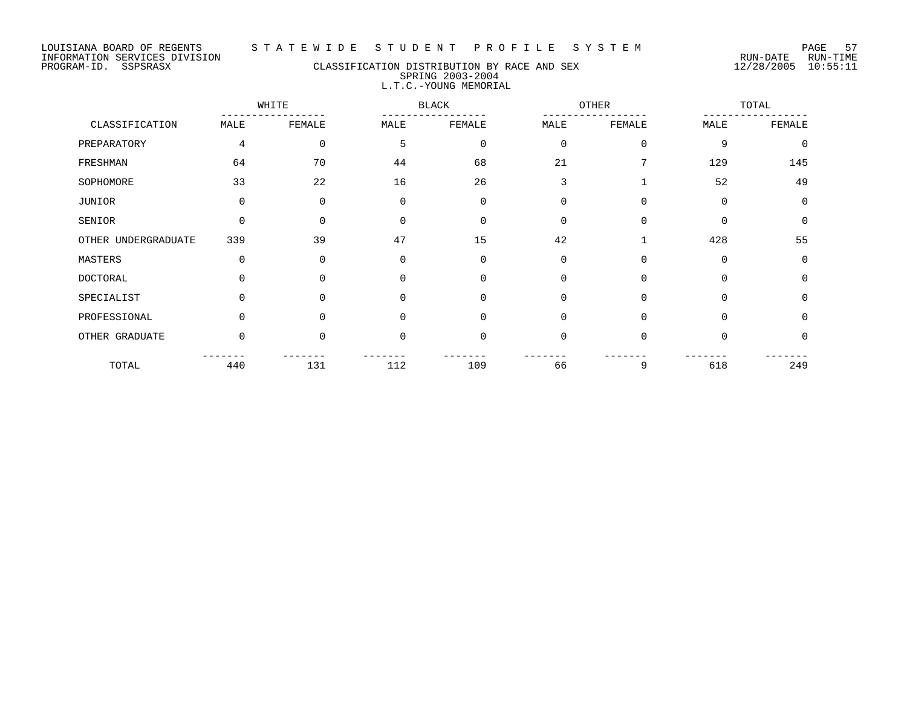## PROGRAM-ID. SSPSRASX CLASSIFICATION DISTRIBUTION BY RACE AND SEX 12/28/2005 10:55:11 SPRING 2003-2004 L.T.C.-YOUNG MEMORIAL

|                     |                | WHITE    | OTHER<br><b>BLACK</b> |             |             |             | TOTAL    |             |
|---------------------|----------------|----------|-----------------------|-------------|-------------|-------------|----------|-------------|
| CLASSIFICATION      | MALE           | FEMALE   | MALE                  | FEMALE      | MALE        | FEMALE      | MALE     | FEMALE      |
| PREPARATORY         | $\overline{4}$ | 0        | 5                     | $\mathbf 0$ | $\mathbf 0$ | $\mathbf 0$ | 9        | $\mathbf 0$ |
| FRESHMAN            | 64             | 70       | 44                    | 68          | 21          |             | 129      | 145         |
| SOPHOMORE           | 33             | 22       | 16                    | 26          | 3           | 1           | 52       | 49          |
| JUNIOR              | $\Omega$       | 0        | $\Omega$              | $\mathbf 0$ | $\mathbf 0$ | $\Omega$    | $\Omega$ | $\mathbf 0$ |
| SENIOR              | $\Omega$       | $\Omega$ | $\Omega$              | $\Omega$    | 0           | $\Omega$    | $\Omega$ | $\mathbf 0$ |
| OTHER UNDERGRADUATE | 339            | 39       | 47                    | 15          | 42          |             | 428      | 55          |
| MASTERS             | $\mathbf 0$    | 0        | $\Omega$              | $\mathbf 0$ | 0           | $\mathbf 0$ | $\Omega$ | 0           |
| <b>DOCTORAL</b>     | $\cap$         | $\Omega$ | $\cap$                | $\Omega$    | $\mathbf 0$ | $\Omega$    | $\Omega$ | $\mathbf 0$ |
| SPECIALIST          | $\Omega$       | $\Omega$ | $\Omega$              | $\Omega$    | $\mathbf 0$ | $\Omega$    | $\Omega$ | $\mathbf 0$ |
| PROFESSIONAL        | $\Omega$       | $\Omega$ | $\Omega$              | $\Omega$    | 0           | $\Omega$    | $\Omega$ | 0           |
| OTHER GRADUATE      | $\Omega$       | $\Omega$ | $\Omega$              | $\mathbf 0$ | $\mathbf 0$ | $\Omega$    | $\Omega$ | 0           |
| TOTAL               | 440            | 131      | 112                   | 109         | 66          | 9           | 618      | 249         |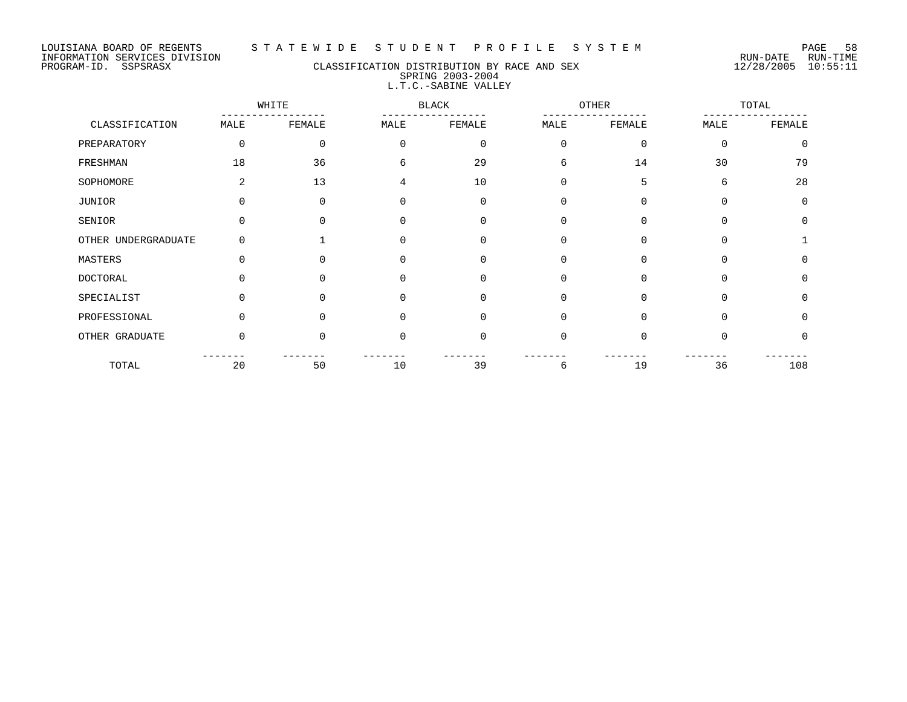#### LOUISIANA BOARD OF REGENTS S T A T E W I D E S T U D E N T P R O F I L E S Y S T E M PAGE 58

PROGRAM-ID. SSPSRASX CLASSIFICATION DISTRIBUTION BY RACE AND SEX 12/28/2005 10:55:11 SPRING 2003-2004 L.T.C.-SABINE VALLEY

WHITE BLACK OTHER TOTAL ----------------- ----------------- ----------------- ----------------- CLASSIFICATION MALE FEMALE MALE FEMALE MALE FEMALE MALE FEMALE PREPARATORY 0 0 0 0 0 0 0 0 FRESHMAN 18 18 36 6 29 6 14 30 79 SOPHOMORE 2 13 4 10 0 5 6 28 JUNIOR 0 0 0 0 0 0 0 0 SENIOR 0 0 0 0 0 0 0 0 OTHER UNDERGRADUATE 0 0 1 0 0 0 0 0 0 1 MASTERS 0 0 0 0 0 0 0 0 DOCTORAL 0 0 0 0 0 0 0 0 SPECIALIST 0 0 0 0 0 0 0 0 PROFESSIONAL 0 0 0 0 0 0 0 0 0 0 0 0 OTHER GRADUATE 0 0 0 0 0 0 0 0 ------- ------- ------- ------- ------- ------- ------- ------- TOTAL 20 50 10 39 6 19 36 108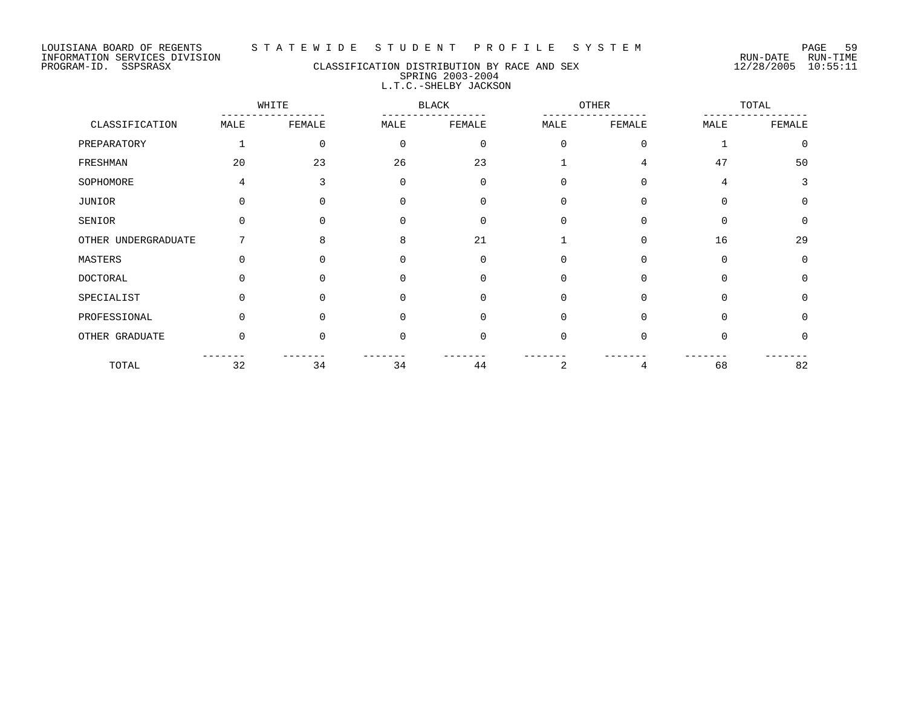## PROGRAM-ID. SSPSRASX CLASSIFICATION DISTRIBUTION BY RACE AND SEX 12/28/2005 10:55:11 SPRING 2003-2004 L.T.C.-SHELBY JACKSON

|                     |          | WHITE        |             | <b>BLACK</b> | OTHER    |          |          | TOTAL       |  |
|---------------------|----------|--------------|-------------|--------------|----------|----------|----------|-------------|--|
| CLASSIFICATION      | MALE     | FEMALE       | MALE        | FEMALE       | MALE     | FEMALE   | MALE     | FEMALE      |  |
| PREPARATORY         |          | 0            | $\mathbf 0$ | $\Omega$     | $\Omega$ | $\Omega$ |          | $\mathbf 0$ |  |
| FRESHMAN            | 20       | 23           | 26          | 23           |          | 4        | 47       | 50          |  |
| SOPHOMORE           | 4        | 3            | $\Omega$    | $\Omega$     | $\Omega$ | $\Omega$ | 4        | 3           |  |
| JUNIOR              |          | 0            | 0           | $\Omega$     | $\Omega$ | $\Omega$ | $\Omega$ | $\mathbf 0$ |  |
| SENIOR              | U        | <sup>n</sup> | 0           | $\Omega$     | $\Omega$ | $\Omega$ | $\Omega$ | 0           |  |
| OTHER UNDERGRADUATE |          | 8            | 8           | 21           |          | $\Omega$ | 16       | 29          |  |
| MASTERS             | U        | 0            | $\Omega$    | $\Omega$     | $\Omega$ | $\Omega$ | $\Omega$ | $\Omega$    |  |
| <b>DOCTORAL</b>     |          |              | $\Omega$    | $\Omega$     | $\Omega$ | $\Omega$ | $\Omega$ | $\Omega$    |  |
| SPECIALIST          | U        | 0            | $\Omega$    | $\Omega$     | $\Omega$ | $\Omega$ | $\Omega$ | $\Omega$    |  |
| PROFESSIONAL        |          | U            | $\Omega$    | $\Omega$     | $\Omega$ | $\Omega$ | $\Omega$ | $\Omega$    |  |
| OTHER GRADUATE      | $\Omega$ | U            | $\Omega$    | $\Omega$     | $\Omega$ | O        | $\Omega$ | 0           |  |
| TOTAL               | 32       | 34           | 34          | 44           | 2        | 4        | 68       | 82          |  |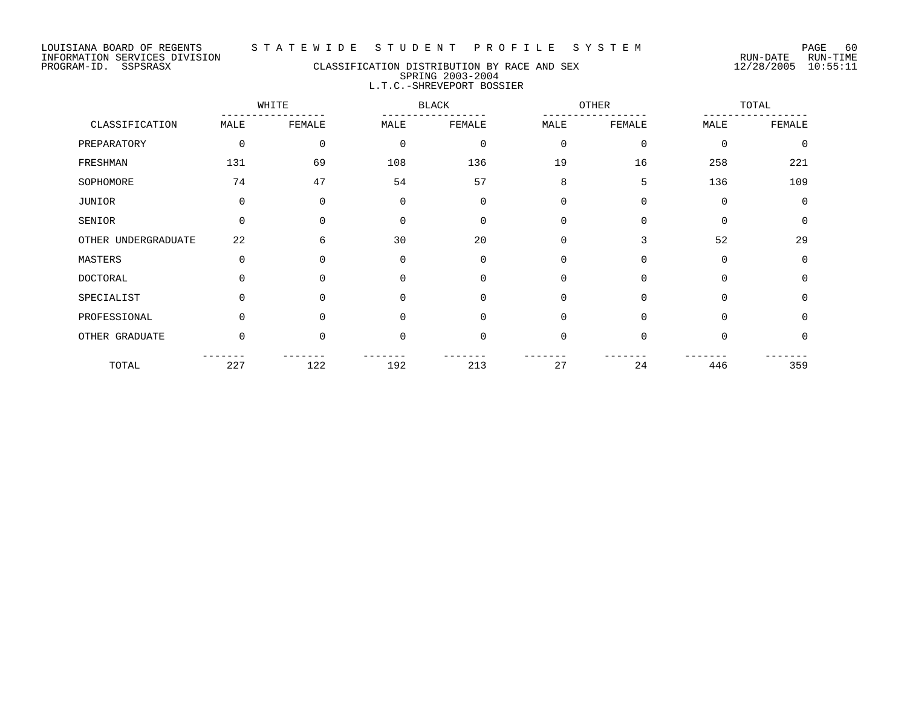#### PROGRAM-ID. SSPSRASX CLASSIFICATION DISTRIBUTION BY RACE AND SEX 12/28/2005 10:55:11 SPRING 2003-2004 L.T.C.-SHREVEPORT BOSSIER

WHITE BLACK OTHER TOTAL ----------------- ----------------- ----------------- ----------------- CLASSIFICATION MALE FEMALE MALE FEMALE MALE FEMALE MALE FEMALE PREPARATORY 0 0 0 0 0 0 0 0 FRESHMAN 131 69 108 136 19 16 258 221 SOPHOMORE 2008 74 54 57 8 5 136 109 JUNIOR 0 0 0 0 0 0 0 0 SENIOR 0 0 0 0 0 0 0 0 OTHER UNDERGRADUATE 22 6 30 20 0 3 52 29 MASTERS 0 0 0 0 0 0 0 0 DOCTORAL 0 0 0 0 0 0 0 0 SPECIALIST 0 0 0 0 0 0 0 0 0 0 PROFESSIONAL 0 0 0 0 0 0 0 0 0 0 0 OTHER GRADUATE 0 0 0 0 0 0 0 0 ------- ------- ------- ------- ------- ------- ------- ------- TOTAL 227 122 192 213 27 24 446 359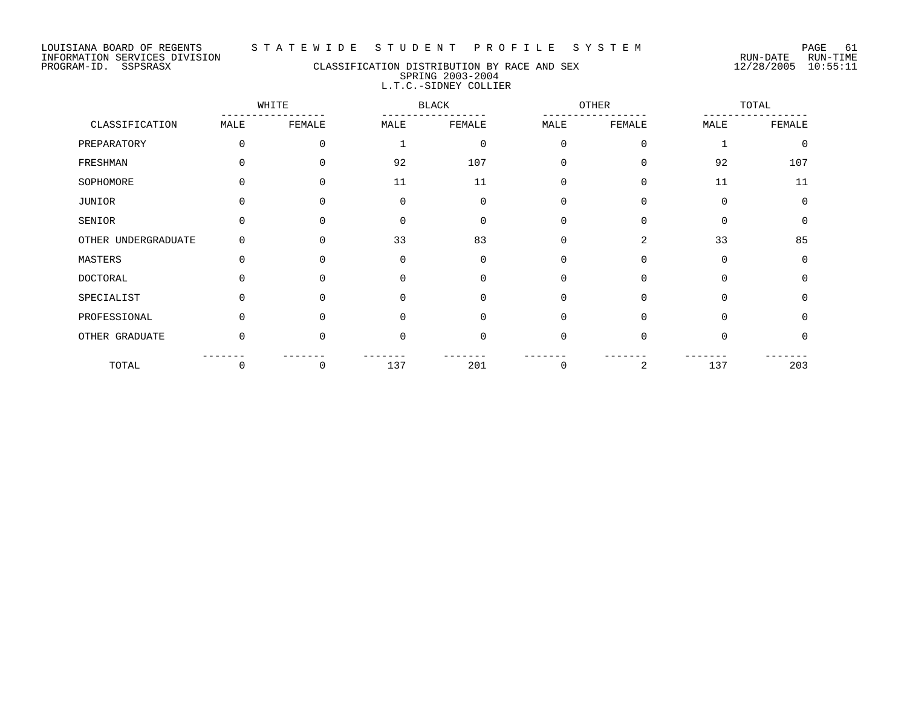PROGRAM-ID. SSPSRASX CLASSIFICATION DISTRIBUTION BY RACE AND SEX 12/28/2005 10:55:11 SPRING 2003-2004 L.T.C.-SIDNEY COLLIER

|                     |             | WHITE    |          | <b>BLACK</b> | OTHER    |          |          | TOTAL    |  |
|---------------------|-------------|----------|----------|--------------|----------|----------|----------|----------|--|
| CLASSIFICATION      | MALE        | FEMALE   | MALE     | FEMALE       | MALE     | FEMALE   | MALE     | FEMALE   |  |
| PREPARATORY         | $\Omega$    | $\Omega$ |          | $\mathbf 0$  | $\Omega$ | $\Omega$ |          | $\Omega$ |  |
| FRESHMAN            |             | 0        | 92       | 107          | 0        | $\Omega$ | 92       | 107      |  |
| SOPHOMORE           |             | 0        | 11       | 11           | 0        | $\Omega$ | 11       | 11       |  |
| JUNIOR              |             | U        | 0        | $\Omega$     | $\Omega$ | $\Omega$ | $\Omega$ | $\Omega$ |  |
| SENIOR              | $\Omega$    |          | $\Omega$ | $\Omega$     | 0        | $\Omega$ | $\Omega$ | $\Omega$ |  |
| OTHER UNDERGRADUATE |             |          | 33       | 83           | 0        | 2        | 33       | 85       |  |
| MASTERS             | $\Omega$    | U        | $\Omega$ | $\Omega$     | $\Omega$ | $\Omega$ | $\Omega$ | $\Omega$ |  |
| <b>DOCTORAL</b>     | $\Omega$    | 0        | 0        | 0            | 0        | $\Omega$ | $\Omega$ | $\Omega$ |  |
| SPECIALIST          |             |          | 0        | O            | $\Omega$ | $\Omega$ | $\Omega$ | $\Omega$ |  |
| PROFESSIONAL        | $\cap$      | ∩        | $\Omega$ | $\Omega$     | $\Omega$ | $\Omega$ | $\Omega$ | $\Omega$ |  |
| OTHER GRADUATE      | $\mathbf 0$ | 0        | 0        | 0            | 0        | 0        | $\Omega$ | $\Omega$ |  |
| TOTAL               | 0           | 0        | 137      | 201          | 0        | 2        | 137      | 203      |  |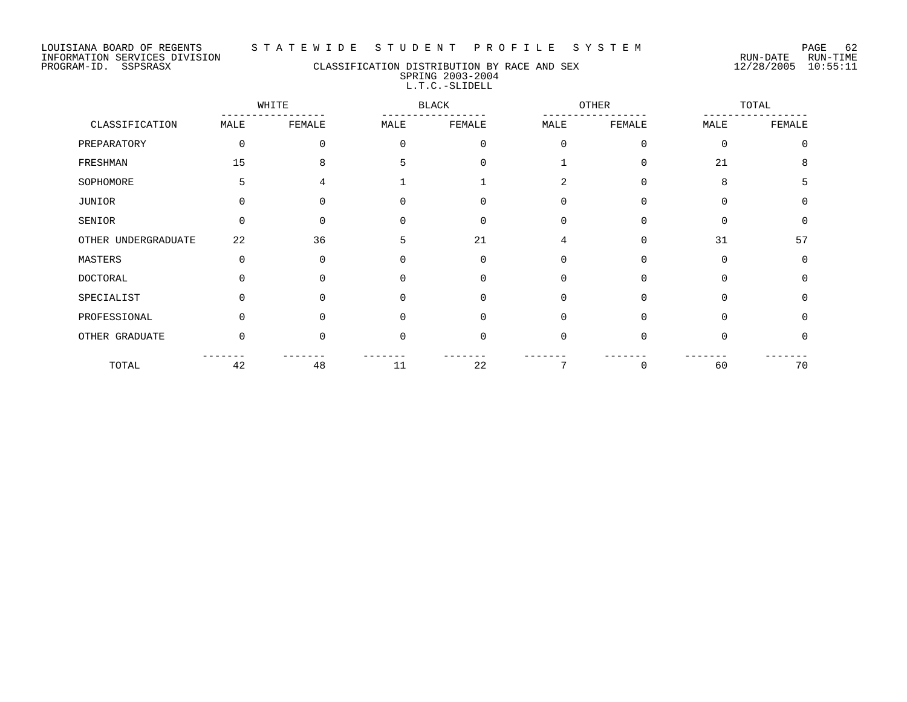#### LOUISIANA BOARD OF REGENTS S T A T E W I D E S T U D E N T P R O F I L E S Y S T E M PAGE 62

## PROGRAM-ID. SSPSRASX CLASSIFICATION DISTRIBUTION BY RACE AND SEX 12/28/2005 10:55:11 SPRING 2003-2004 L.T.C.-SLIDELL

|                     |          | WHITE    |              | <b>BLACK</b> | OTHER       |          |             | TOTAL       |  |
|---------------------|----------|----------|--------------|--------------|-------------|----------|-------------|-------------|--|
| CLASSIFICATION      | MALE     | FEMALE   | MALE         | FEMALE       | MALE        | FEMALE   | MALE        | FEMALE      |  |
| PREPARATORY         | 0        | 0        | $\Omega$     | $\mathbf 0$  | $\mathbf 0$ | $\Omega$ | $\mathbf 0$ | $\mathbf 0$ |  |
| FRESHMAN            | 15       | 8        | 5            | $\Omega$     |             | $\Omega$ | 21          | 8           |  |
| SOPHOMORE           | 5        | 4        |              |              | 2           | $\Omega$ | 8           | 5           |  |
| JUNIOR              | 0        | O        | 0            | $\Omega$     | $\Omega$    | $\Omega$ | $\Omega$    | $\Omega$    |  |
| SENIOR              | $\Omega$ | U        |              | $\Omega$     | $\Omega$    | $\Omega$ | $\Omega$    | $\Omega$    |  |
| OTHER UNDERGRADUATE | 22       | 36       | 5            | 21           | 4           | $\Omega$ | 31          | 57          |  |
| MASTERS             | $\Omega$ | $\Omega$ | 0            | $\Omega$     | 0           | $\Omega$ | $\Omega$    | 0           |  |
| DOCTORAL            |          |          |              | $\Omega$     | $\Omega$    | $\Omega$ | $\Omega$    | 0           |  |
| SPECIALIST          | U        | 0        | <sup>n</sup> | $\Omega$     | $\Omega$    | $\Omega$ | 0           | $\Omega$    |  |
| PROFESSIONAL        | 0        | U        | <sup>0</sup> | $\Omega$     | 0           | $\Omega$ | $\Omega$    | $\Omega$    |  |
| OTHER GRADUATE      | $\Omega$ | U        | <sup>0</sup> | $\mathbf 0$  | 0           | $\Omega$ | $\Omega$    | 0           |  |
| TOTAL               | 42       | 48       | 11           | 22           |             | 0        | 60          | 70          |  |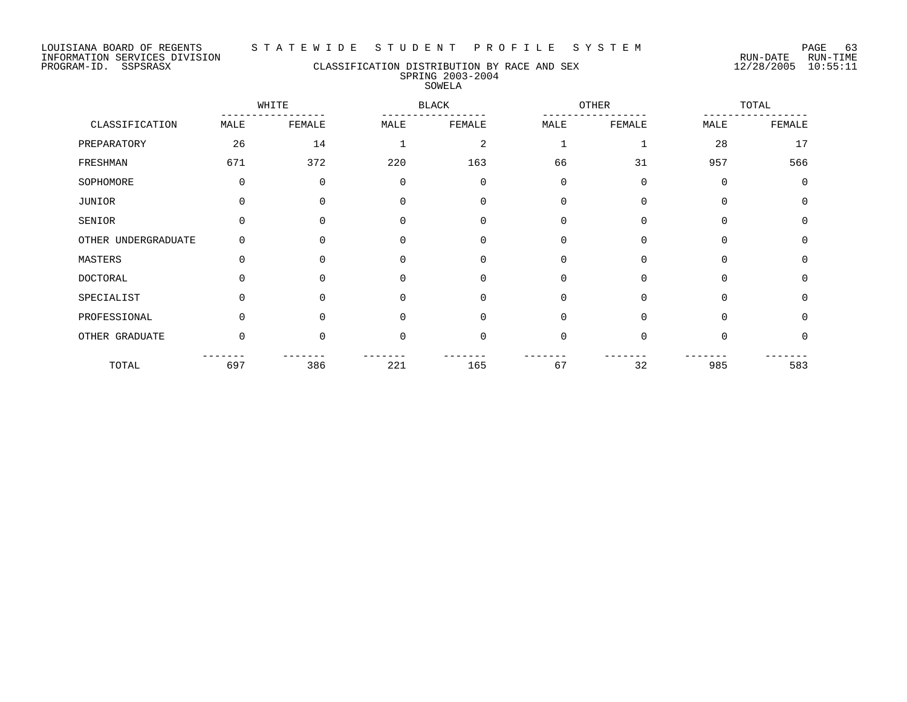#### LOUISIANA BOARD OF REGENTS S T A T E W I D E S T U D E N T P R O F I L E S Y S T E M PAGE 63

INFORMATION SERVICES DIVISION RUN-DATE RUN-TIME

#### PROGRAM-ID. SSPSRASX CLASSIFICATION DISTRIBUTION BY RACE AND SEX 12/28/2005 10:55:11 SPRING 2003-2004 SOWELA

WHITE BLACK OTHER TOTAL ----------------- ----------------- ----------------- ----------------- CLASSIFICATION MALE FEMALE MALE FEMALE MALE FEMALE MALE FEMALE PREPARATORY 26 24 1 2 1 28 17 FRESHMAN 671 372 220 163 66 31 957 566 SOPHOMORE 0 0 0 0 0 0 0 0 JUNIOR 0 0 0 0 0 0 0 0 SENIOR 0 0 0 0 0 0 0 0 OTHER UNDERGRADUATE 0 0 0 0 0 0 0 0 MASTERS 0 0 0 0 0 0 0 0 DOCTORAL 0 0 0 0 0 0 0 0 SPECIALIST 0 0 0 0 0 0 0 0 0 0 PROFESSIONAL 0 0 0 0 0 0 0 0 0 0 0 OTHER GRADUATE 0 0 0 0 0 0 0 0 ------- ------- ------- ------- ------- ------- ------- ------- TOTAL 697 386 221 165 67 32 985 583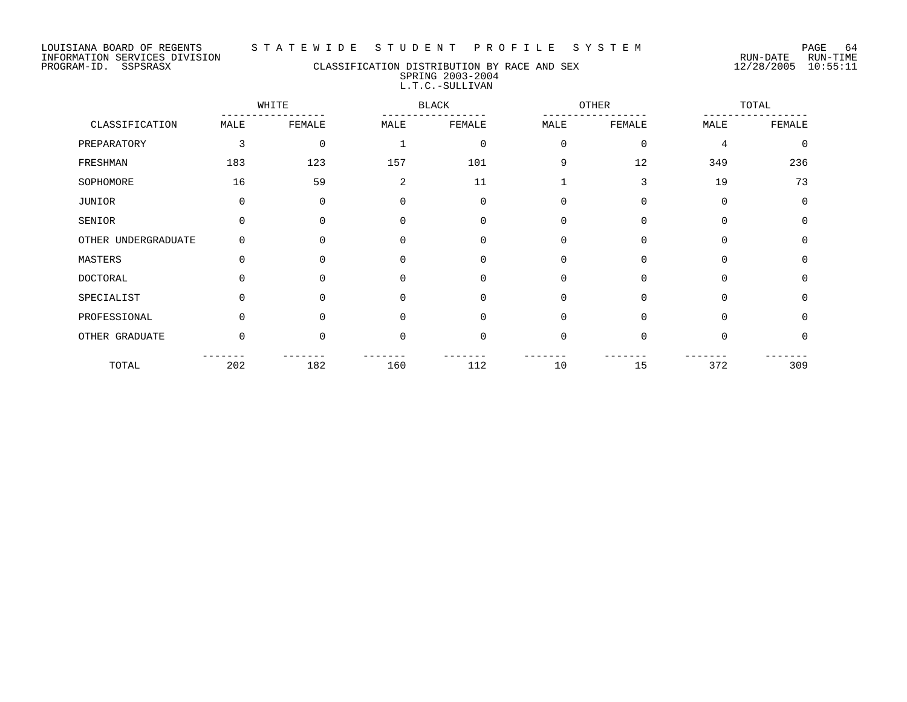#### LOUISIANA BOARD OF REGENTS S T A T E W I D E S T U D E N T P R O F I L E S Y S T E M PAGE 64

## PROGRAM-ID. SSPSRASX CLASSIFICATION DISTRIBUTION BY RACE AND SEX 12/28/2005 10:55:11 SPRING 2003-2004 L.T.C.-SULLIVAN

|                     |          | WHITE    |             | <b>BLACK</b> |              | <b>OTHER</b> |             | TOTAL    |
|---------------------|----------|----------|-------------|--------------|--------------|--------------|-------------|----------|
| CLASSIFICATION      | MALE     | FEMALE   | MALE        | FEMALE       | MALE         | FEMALE       | MALE        | FEMALE   |
| PREPARATORY         | 3        | $\Omega$ |             | $\mathbf 0$  | $\mathbf 0$  | $\mathbf 0$  | 4           | $\Omega$ |
| FRESHMAN            | 183      | 123      | 157         | 101          | 9            | 12           | 349         | 236      |
| SOPHOMORE           | 16       | 59       | 2           | 11           | $\mathbf{1}$ | 3            | 19          | 73       |
| JUNIOR              | $\Omega$ | $\Omega$ | $\mathbf 0$ | $\Omega$     | $\mathbf 0$  | $\Omega$     | $\Omega$    | $\Omega$ |
| SENIOR              | $\Omega$ | $\Omega$ | $\Omega$    | $\Omega$     | $\mathbf 0$  | 0            | $\Omega$    | $\Omega$ |
| OTHER UNDERGRADUATE | $\Omega$ | $\Omega$ | $\Omega$    | $\Omega$     | $\mathbf 0$  | $\Omega$     | $\Omega$    | $\Omega$ |
| MASTERS             | $\Omega$ | $\Omega$ | $\mathbf 0$ | $\mathbf 0$  | 0            | 0            | $\mathbf 0$ | $\Omega$ |
| <b>DOCTORAL</b>     | $\Omega$ | $\Omega$ | $\Omega$    | $\Omega$     | $\mathbf 0$  | $\Omega$     | $\Omega$    | $\Omega$ |
| SPECIALIST          | $\Omega$ | $\Omega$ | $\mathbf 0$ | $\mathbf 0$  | $\mathbf 0$  | $\Omega$     | $\Omega$    | $\Omega$ |
| PROFESSIONAL        | $\Omega$ | $\Omega$ | $\Omega$    | $\Omega$     | $\mathbf 0$  | $\Omega$     | $\Omega$    | $\Omega$ |
| OTHER GRADUATE      | $\Omega$ | $\Omega$ | $\Omega$    | $\Omega$     | $\mathbf 0$  | $\Omega$     | $\Omega$    | $\Omega$ |
| TOTAL               | 202      | 182      | 160         | 112          | 10           | 15           | 372         | 309      |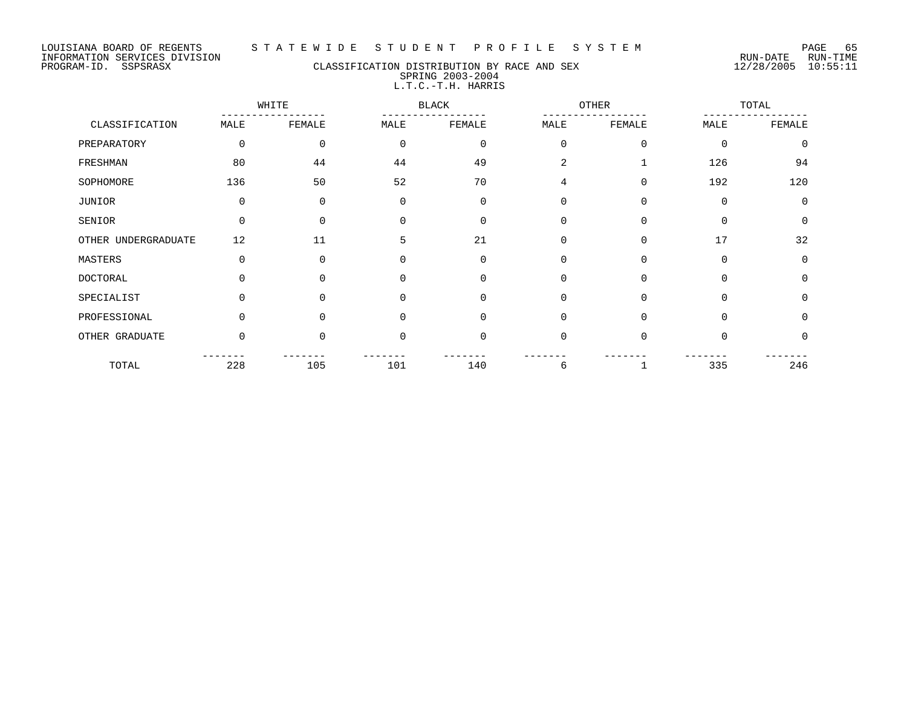#### LOUISIANA BOARD OF REGENTS S T A T E W I D E S T U D E N T P R O F I L E S Y S T E M PAGE 65

# PROGRAM-ID. SSPSRASX CLASSIFICATION DISTRIBUTION BY RACE AND SEX 12/28/2005 10:55:11 SPRING 2003-2004 L.T.C.-T.H. HARRIS

|                     |          | WHITE       |             | <b>BLACK</b> |                | <b>OTHER</b> |             | TOTAL       |  |  |
|---------------------|----------|-------------|-------------|--------------|----------------|--------------|-------------|-------------|--|--|
| CLASSIFICATION      | MALE     | FEMALE      | MALE        | FEMALE       | MALE           | FEMALE       | MALE        | FEMALE      |  |  |
| PREPARATORY         | 0        | $\mathbf 0$ | $\mathbf 0$ | $\mathbf 0$  | $\mathbf 0$    | $\mathbf 0$  | $\mathbf 0$ | $\mathbf 0$ |  |  |
| FRESHMAN            | 80       | 44          | 44          | 49           | $\overline{a}$ |              | 126         | 94          |  |  |
| SOPHOMORE           | 136      | 50          | 52          | 70           | $\overline{4}$ | $\mathbf 0$  | 192         | 120         |  |  |
| JUNIOR              | 0        | $\Omega$    | $\mathbf 0$ | 0            | 0              | $\mathbf 0$  | $\mathbf 0$ | $\mathbf 0$ |  |  |
| SENIOR              | $\Omega$ | $\Omega$    | $\Omega$    | $\Omega$     | $\Omega$       | $\Omega$     | $\Omega$    | $\Omega$    |  |  |
| OTHER UNDERGRADUATE | 12       | 11          | 5           | 21           | $\mathbf 0$    | $\mathbf 0$  | 17          | 32          |  |  |
| MASTERS             | 0        | $\Omega$    | $\Omega$    | 0            | 0              | 0            | $\mathbf 0$ | 0           |  |  |
| <b>DOCTORAL</b>     | $\Omega$ | $\Omega$    | $\Omega$    | $\Omega$     | $\Omega$       | $\Omega$     | $\Omega$    | $\mathbf 0$ |  |  |
| SPECIALIST          | $\Omega$ | $\Omega$    | $\Omega$    | $\mathbf 0$  | $\Omega$       | $\Omega$     | $\Omega$    | $\mathbf 0$ |  |  |
| PROFESSIONAL        | $\Omega$ | $\Omega$    | $\Omega$    | $\Omega$     | $\Omega$       | $\Omega$     | $\Omega$    | $\Omega$    |  |  |
| OTHER GRADUATE      | $\Omega$ | $\Omega$    | $\Omega$    | $\mathbf 0$  | $\Omega$       | $\Omega$     | $\mathbf 0$ | $\mathbf 0$ |  |  |
| TOTAL               | 228      | 105         | 101         | 140          | 6              | 1            | 335         | 246         |  |  |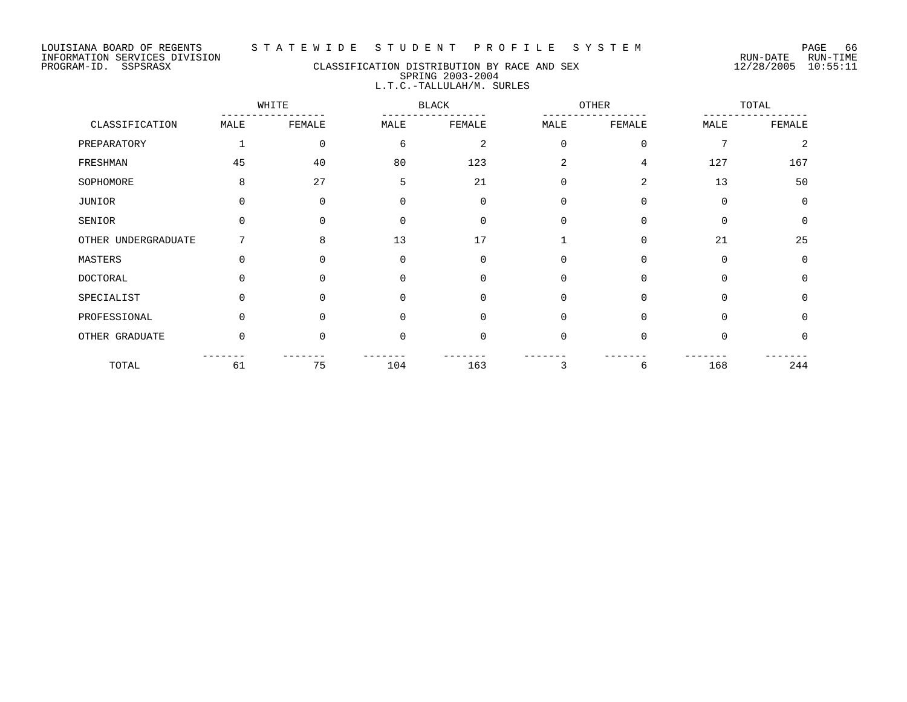## PROGRAM-ID. SSPSRASX CLASSIFICATION DISTRIBUTION BY RACE AND SEX 12/28/2005 10:55:11 SPRING 2003-2004 L.T.C.-TALLULAH/M. SURLES

|                     |          | WHITE    |          | <b>BLACK</b> |             | OTHER       |             | TOTAL       |  |
|---------------------|----------|----------|----------|--------------|-------------|-------------|-------------|-------------|--|
| CLASSIFICATION      | MALE     | FEMALE   | MALE     | FEMALE       | MALE        | FEMALE      | MALE        | FEMALE      |  |
| PREPARATORY         |          | 0        | 6        | 2            | $\mathbf 0$ | $\mathbf 0$ | 7           | 2           |  |
| FRESHMAN            | 45       | 40       | 80       | 123          | 2           | 4           | 127         | 167         |  |
| SOPHOMORE           | 8        | 27       | 5        | 21           | 0           | 2           | 13          | 50          |  |
| JUNIOR              | $\Omega$ | 0        | $\Omega$ | $\mathbf 0$  | $\mathbf 0$ | 0           | $\mathbf 0$ | $\mathbf 0$ |  |
| SENIOR              | $\Omega$ | $\Omega$ | ∩        | $\Omega$     | $\Omega$    | $\Omega$    | $\Omega$    | $\mathbf 0$ |  |
| OTHER UNDERGRADUATE |          | 8        | 13       | 17           |             | $\Omega$    | 21          | 25          |  |
| MASTERS             | $\Omega$ | $\Omega$ | $\Omega$ | $\Omega$     | 0           | $\Omega$    | $\Omega$    | $\Omega$    |  |
| DOCTORAL            | 0        | $\Omega$ |          | $\Omega$     | $\Omega$    | $\Omega$    | $\Omega$    | $\Omega$    |  |
| SPECIALIST          | $\Omega$ | $\Omega$ | $\Omega$ | $\Omega$     | $\Omega$    | $\Omega$    | $\Omega$    | $\Omega$    |  |
| PROFESSIONAL        | $\Omega$ | $\Omega$ | $\cap$   | $\Omega$     | $\Omega$    | $\Omega$    | $\Omega$    | $\Omega$    |  |
| OTHER GRADUATE      | 0        | $\Omega$ | $\Omega$ | $\Omega$     | 0           | $\Omega$    | $\Omega$    | $\Omega$    |  |
| TOTAL               | 61       | 75       | 104      | 163          | 3           | 6           | 168         | 244         |  |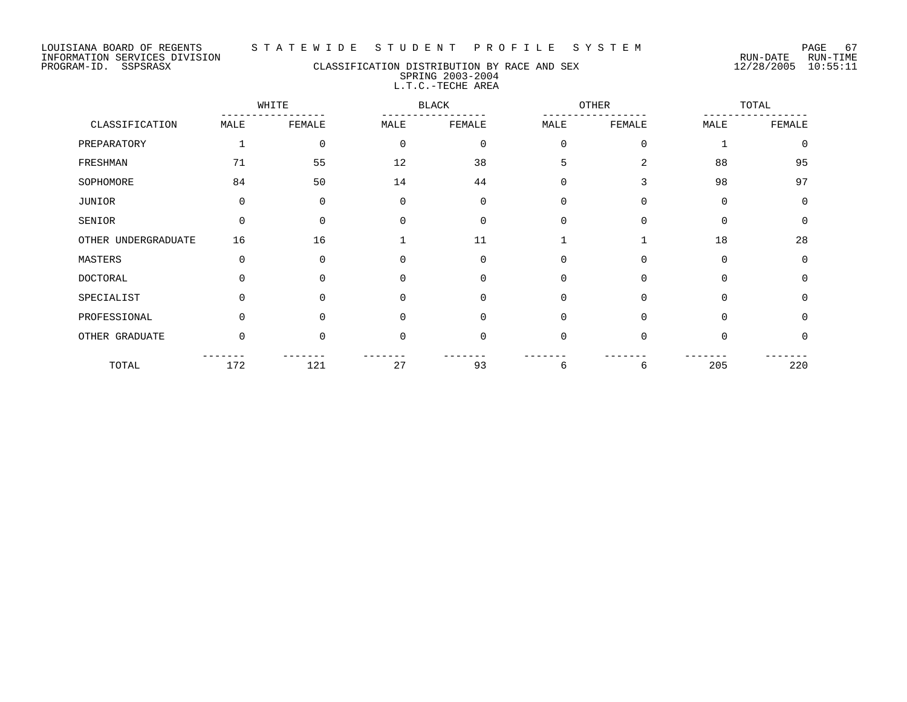# PROGRAM-ID. SSPSRASX CLASSIFICATION DISTRIBUTION BY RACE AND SEX 12/28/2005 10:55:11 SPRING 2003-2004 L.T.C.-TECHE AREA

|                     |          | WHITE       |             | <b>BLACK</b> |             | <b>OTHER</b> |          | TOTAL    |
|---------------------|----------|-------------|-------------|--------------|-------------|--------------|----------|----------|
| CLASSIFICATION      | MALE     | FEMALE      | MALE        | FEMALE       | MALE        | FEMALE       | MALE     | FEMALE   |
| PREPARATORY         |          | $\mathbf 0$ | $\mathbf 0$ | $\mathbf 0$  | $\mathbf 0$ | 0            |          | $\Omega$ |
| FRESHMAN            | 71       | 55          | 12          | 38           | 5           | 2            | 88       | 95       |
| SOPHOMORE           | 84       | 50          | 14          | 44           | $\mathbf 0$ | 3            | 98       | 97       |
| JUNIOR              | $\Omega$ | $\Omega$    | $\mathbf 0$ | $\Omega$     | $\mathbf 0$ | $\Omega$     | $\Omega$ | $\Omega$ |
| SENIOR              | $\Omega$ | $\Omega$    | $\Omega$    | $\Omega$     | $\mathbf 0$ | $\Omega$     | $\Omega$ | $\Omega$ |
| OTHER UNDERGRADUATE | 16       | 16          |             | 11           |             |              | 18       | 28       |
| MASTERS             | $\Omega$ | $\Omega$    | $\Omega$    | $\Omega$     | 0           | 0            | 0        | $\Omega$ |
| <b>DOCTORAL</b>     |          |             | $\Omega$    | $\Omega$     | 0           | $\Omega$     | $\Omega$ | $\Omega$ |
| SPECIALIST          | 0        | $\Omega$    | $\Omega$    | $\Omega$     | $\mathbf 0$ | $\Omega$     | $\Omega$ | $\Omega$ |
| PROFESSIONAL        | $\Omega$ | $\Omega$    | $\Omega$    | $\Omega$     | $\mathbf 0$ | $\Omega$     | 0        | $\Omega$ |
| OTHER GRADUATE      | $\Omega$ | $\Omega$    | $\Omega$    | $\Omega$     | $\mathbf 0$ | $\Omega$     | $\Omega$ | $\Omega$ |
| TOTAL               | 172      | 121         | 27          | 93           | 6           | 6            | 205      | 220      |